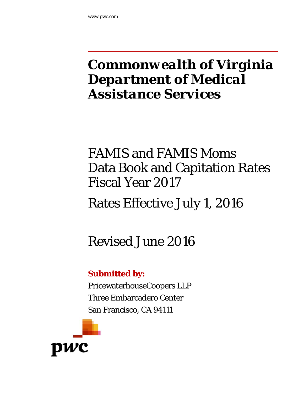# *Commonwealth of Virginia Department of Medical Assistance Services*

# FAMIS and FAMIS Moms Data Book and Capitation Rates Fiscal Year 2017

# Rates Effective July 1, 2016

# Revised June 2016

# **Submitted by:**

PricewaterhouseCoopers LLP Three Embarcadero Center San Francisco, CA 94111

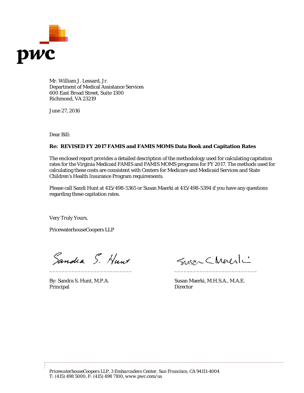

Mr. William J. Lessard, Jr. Department of Medical Assistance Services 600 East Broad Street, Suite 1300 Richmond, VA 23219

June 27, 2016

Dear Bill:

#### **Re: REVISED FY 2017 FAMIS and FAMIS MOMS Data Book and Capitation Rates**

The enclosed report provides a detailed description of the methodology used for calculating capitation rates for the Virginia Medicaid FAMIS and FAMIS MOMS programs for FY 2017. The methods used for calculating these costs are consistent with Centers for Medicare and Medicaid Services and State Children's Health Insurance Program requirements.

Please call Sandi Hunt at 415/498-5365 or Susan Maerki at 415/498-5394 if you have any questions regarding these capitation rates.

Very Truly Yours,

PricewaterhouseCoopers LLP

Sandra S. Hunt Susa Chercil

Principal Director

By: Sandra S. Hunt, M.P.A. Susan Maerki, M.H.S.A., M.A.E.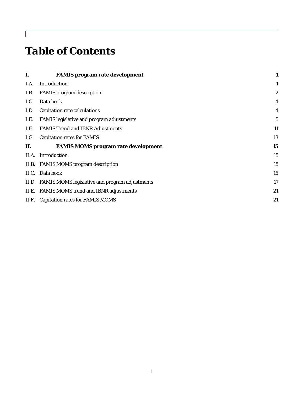# *Table of Contents*

| I.   | <b>FAMIS</b> program rate development                | 1                       |
|------|------------------------------------------------------|-------------------------|
| I.A. | Introduction                                         | $\mathbf{1}$            |
| I.B. | <b>FAMIS</b> program description                     | $\overline{c}$          |
| I.C. | Data book                                            | 4                       |
| I.D. | Capitation rate calculations                         | $\overline{\mathbf{4}}$ |
| I.E. | FAMIS legislative and program adjustments            | $\overline{5}$          |
| I.F. | <b>FAMIS Trend and IBNR Adjustments</b>              | 11                      |
| I.G. | <b>Capitation rates for FAMIS</b>                    | 13                      |
| П.   | <b>FAMIS MOMS program rate development</b>           | 15                      |
|      | II.A. Introduction                                   | 15                      |
|      | II.B. FAMIS MOMS program description                 | 15                      |
|      | II.C. Data book                                      | 16                      |
|      | II.D. FAMIS MOMS legislative and program adjustments | 17                      |
|      | II.E. FAMIS MOMS trend and IBNR adjustments          | 21                      |
|      | II.F. Capitation rates for FAMIS MOMS                | 21                      |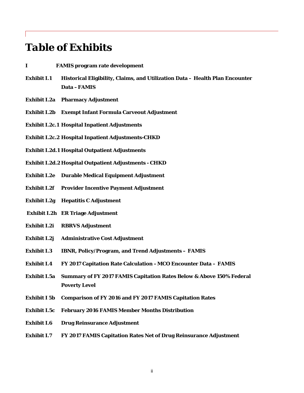# *Table of Exhibits*

- **I FAMIS program rate development**
- **Exhibit I.1 Historical Eligibility, Claims, and Utilization Data Health Plan Encounter Data –FAMIS**
- **Exhibit I.2a Pharmacy Adjustment**
- **Exhibit I.2b Exempt Infant Formula Carveout Adjustment**
- **Exhibit I.2c.1 Hospital Inpatient Adjustments**
- **Exhibit I.2c.2 Hospital Inpatient Adjustments-CHKD**
- **Exhibit I.2d.1 Hospital Outpatient Adjustments**
- **Exhibit I.2d.2 Hospital Outpatient Adjustments CHKD**
- **Exhibit I.2e Durable Medical Equipment Adjustment**
- **Exhibit I.2f Provider Incentive Payment Adjustment**
- **Exhibit I.2g Hepatitis C Adjustment**
- **Exhibit I.2h ER Triage Adjustment**
- **Exhibit I.2i RBRVS Adjustment**
- **Exhibit I.2j Administrative Cost Adjustment**
- **Exhibit I.3 IBNR, Policy/Program, and Trend Adjustments FAMIS**
- **Exhibit I.4 FY 2017 Capitation Rate Calculation –MCO Encounter Data FAMIS**
- **Exhibit I.5a Summary of FY 2017 FAMIS Capitation Rates Below & Above 150% Federal Poverty Level**
- **Exhibit I 5b Comparison of FY 2016 and FY 2017 FAMIS Capitation Rates**
- **Exhibit I.5c February 2016 FAMIS Member Months Distribution**
- **Exhibit I.6 Drug Reinsurance Adjustment**
- **Exhibit I.7 FY 2017 FAMIS Capitation Rates Net of Drug Reinsurance Adjustment**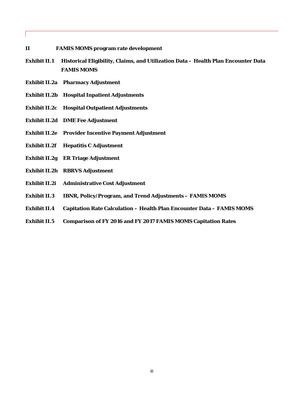- **II FAMIS MOMS program rate development**
- **Exhibit II.1 Historical Eligibility, Claims, and Utilization Data Health Plan Encounter Data FAMIS MOMS**
- **Exhibit II.2a Pharmacy Adjustment**
- **Exhibit II.2b Hospital Inpatient Adjustments**
- **Exhibit II.2c Hospital Outpatient Adjustments**
- **Exhibit II.2d DME Fee Adjustment**
- **Exhibit II.2e Provider Incentive Payment Adjustment**
- **Exhibit II.2f Hepatitis C Adjustment**
- **Exhibit II.2g ER Triage Adjustment**
- **Exhibit II.2h RBRVS Adjustment**
- **Exhibit II.2i Administrative Cost Adjustment**
- **Exhibit II.3 IBNR, Policy/Program, and Trend Adjustments FAMIS MOMS**
- **Exhibit II.4 Capitation Rate Calculation Health Plan Encounter Data FAMIS MOMS**
- **Exhibit II.5 Comparison of FY 2016 and FY 2017 FAMIS MOMS Capitation Rates**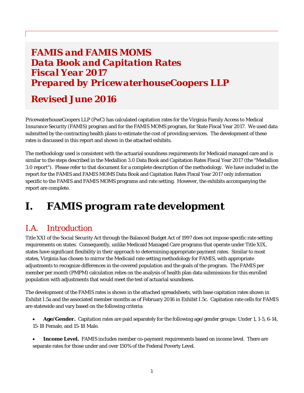# *FAMIS and FAMIS MOMS Data Book and Capitation Rates Fiscal Year 2017 Prepared by PricewaterhouseCoopers LLP*

# *Revised June 2016*

PricewaterhouseCoopers LLP (PwC) has calculated capitation rates for the Virginia Family Access to Medical Insurance Security (FAMIS) program and for the FAMIS MOMS program, for State Fiscal Year 2017. We used data submitted by the contracting health plans to estimate the cost of providing services. The development of these rates is discussed in this report and shown in the attached exhibits.

The methodology used is consistent with the actuarial soundness requirements for Medicaid managed care and is similar to the steps described in the Medallion 3.0 Data Book and Capitation Rates Fiscal Year 2017 (the "Medallion 3.0 report"). Please refer to that document for a complete description of the methodology. We have included in the report for the FAMIS and FAMIS MOMS Data Book and Capitation Rates Fiscal Year 2017 only information specific to the FAMIS and FAMIS MOMS programs and rate setting. However, the exhibits accompanying the report are complete.

# *I. FAMIS program rate development*

# *I.A. Introduction*

Title XXI of the Social Security Act through the Balanced Budget Act of 1997 does not impose specific rate setting requirements on states. Consequently, unlike Medicaid Managed Care programs that operate under Title XIX, states have significant flexibility in their approach to determining appropriate payment rates. Similar to most states, Virginia has chosen to mirror the Medicaid rate setting methodology for FAMIS, with appropriate adjustments to recognize differences in the covered population and the goals of the program. The FAMIS per member per month (PMPM) calculation relies on the analysis of health plan data submissions for this enrolled population with adjustments that would meet the test of actuarial soundness.

The development of the FAMIS rates is shown in the attached spreadsheets, with base capitation rates shown in Exhibit I.5a and the associated member months as of February 2016 in Exhibit I.5c. Capitation rate cells for FAMIS are statewide and vary based on the following criteria:

- **Age/Gender.** Capitation rates are paid separately for the following age/gender groups: Under 1, 1-5, 6-14, 15-18 Female, and 15-18 Male.
- **Income Level.** FAMIS includes member co-payment requirements based on income level. There are separate rates for those under and over 150% of the Federal Poverty Level.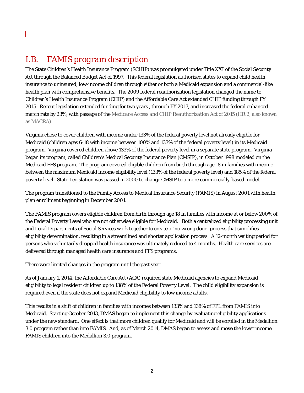# *I.B. FAMIS program description*

The State Children's Health Insurance Program (SCHIP) was promulgated under Title XXI of the Social Security Act through the Balanced Budget Act of 1997. This federal legislation authorized states to expand child health insurance to uninsured, low-income children through either or both a Medicaid expansion and a commercial-like health plan with comprehensive benefits. The 2009 federal reauthorization legislation changed the name to Children's Health Insurance Program (CHIP) and the Affordable Care Act extended CHIP funding through FY 2015. Recent legislation extended funding for two years , through FY 2017, and increased the federal enhanced match rate by 23%, with passage of the *Medicare Access and CHIP Reauthorization Act of 2015* (HR 2, also known as MACRA).

Virginia chose to cover children with income under 133% of the federal poverty level not already eligible for Medicaid (children ages 6-18 with income between 100% and 133% of the federal poverty level) in its Medicaid program. Virginia covered children above 133% of the federal poverty level in a separate state program. Virginia began its program, called Children's Medical Security Insurance Plan (CMSIP), in October 1998 modeled on the Medicaid FFS program. The program covered eligible children from birth through age 18 in families with income between the maximum Medicaid income eligibility level (133% of the federal poverty level) and 185% of the federal poverty level. State Legislation was passed in 2000 to change CMSIP to a more commercially-based model.

The program transitioned to the Family Access to Medical Insurance Security (FAMIS) in August 2001 with health plan enrollment beginning in December 2001.

The FAMIS program covers eligible children from birth through age 18 in families with income at or below 200% of the Federal Poverty Level who are not otherwise eligible for Medicaid. Both a centralized eligibility processing unit and Local Departments of Social Services work together to create a "no wrong door" process that simplifies eligibility determination, resulting in a streamlined and shorter application process. A 12-month waiting period for persons who voluntarily dropped health insurance was ultimately reduced to 4 months. Health care services are delivered through managed health care insurance and FFS programs.

There were limited changes in the program until the past year.

As of January 1, 2014, the Affordable Care Act (ACA) required state Medicaid agencies to expand Medicaid eligibility to legal resident children up to 138% of the Federal Poverty Level. The child eligibility expansion is required even if the state does not expand Medicaid eligibility to low income adults.

This results in a shift of children in families with incomes between 133% and 138% of FPL from FAMIS into Medicaid. Starting October 2013, DMAS began to implement this change by evaluating eligibility applications under the new standard. One effect is that more children qualify for Medicaid and will be enrolled in the Medallion 3.0 program rather than into FAMIS. And, as of March 2014, DMAS began to assess and move the lower income FAMIS children into the Medallion 3.0 program.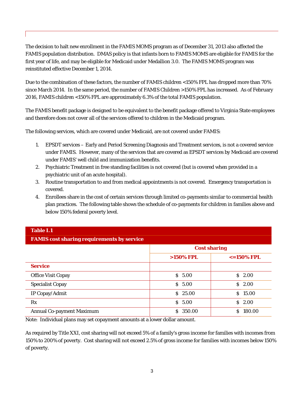The decision to halt new enrollment in the FAMIS MOMS program as of December 31, 2013 also affected the FAMIS population distribution. DMAS policy is that infants born to FAMIS MOMS are eligible for FAMIS for the first year of life, and may be eligible for Medicaid under Medallion 3.0. The FAMIS MOMS program was reinstituted effective December 1, 2014.

Due to the combination of these factors, the number of FAMIS children <150% FPL has dropped more than 70% since March 2014. In the same period, the number of FAMIS Children >150% FPL has increased. As of February 2016, FAMIS children <150% FPL are approximately 6.3% of the total FAMIS population.

The FAMIS benefit package is designed to be equivalent to the benefit package offered to Virginia State employees and therefore does not cover all of the services offered to children in the Medicaid program.

The following services, which are covered under Medicaid, are not covered under FAMIS:

- 1. EPSDT services Early and Period Screening Diagnosis and Treatment services, is not a covered service under FAMIS. However, many of the services that are covered as EPSDT services by Medicaid are covered under FAMIS' well child and immunization benefits.
- 2. Psychiatric Treatment in free standing facilities is not covered (but is covered when provided in a psychiatric unit of an acute hospital).
- 3. Routine transportation to and from medical appointments is not covered. Emergency transportation is covered.
- 4. Enrollees share in the cost of certain services through limited co-payments similar to commercial health plan practices. The following table shows the schedule of co-payments for children in families above and below 150% federal poverty level.

#### **Table I.1**

| <b>FAMIS</b> cost sharing requirements by service |                     |                      |
|---------------------------------------------------|---------------------|----------------------|
|                                                   | <b>Cost sharing</b> |                      |
|                                                   | $>150\%$ FPL        | $\epsilon$ =150% FPL |
| <b>Service</b>                                    |                     |                      |
| <b>Office Visit Copay</b>                         | \$5.00              | \$2.00               |
| <b>Specialist Copay</b>                           | \$5.00              | \$2.00               |
| IP Copay/Admit                                    | \$25.00             | \$15.00              |
| Rx                                                | \$5.00              | S.<br>2.00           |
| <b>Annual Co-payment Maximum</b>                  | 350.00<br>S.        | 180.00<br>S.         |

Note: Individual plans may set copayment amounts at a lower dollar amount.

As required by Title XXI, cost sharing will not exceed 5% of a family's gross income for families with incomes from 150% to 200% of poverty. Cost sharing will not exceed 2.5% of gross income for families with incomes below 150% of poverty.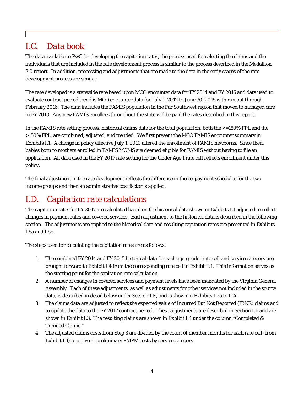# *I.C. Data book*

The data available to PwC for developing the capitation rates, the process used for selecting the claims and the individuals that are included in the rate development process is similar to the process described in the Medallion 3.0 report. In addition, processing and adjustments that are made to the data in the early stages of the rate development process are similar.

The rate developed is a statewide rate based upon MCO encounter data for FY 2014 and FY 2015 and data used to evaluate contract period trend is MCO encounter data for July 1, 2012 to June 30, 2015 with run out through February 2016. The data includes the FAMIS population in the Far Southwest region that moved to managed care in FY 2013. Any new FAMIS enrollees throughout the state will be paid the rates described in this report.

In the FAMIS rate setting process, historical claims data for the total population, both the  $\epsilon$ =150% FPL and the >150% FPL, are combined, adjusted, and trended. We first present the MCO FAMIS encounter summary in Exhibits I.1. A change in policy effective July 1, 2010 altered the enrollment of FAMIS newborns. Since then, babies born to mothers enrolled in FAMIS MOMS are deemed eligible for FAMIS without having to file an application. All data used in the FY 2017 rate setting for the Under Age 1 rate cell reflects enrollment under this policy.

The final adjustment in the rate development reflects the difference in the co-payment schedules for the two income groups and then an administrative cost factor is applied.

# *I.D. Capitation rate calculations*

The capitation rates for FY 2017 are calculated based on the historical data shown in Exhibits I.1 adjusted to reflect changes in payment rates and covered services. Each adjustment to the historical data is described in the following section. The adjustments are applied to the historical data and resulting capitation rates are presented in Exhibits I.5a and I.5b.

The steps used for calculating the capitation rates are as follows:

- 1. The combined FY 2014 and FY 2015 historical data for each age-gender rate cell and service category are brought forward to Exhibit I.4 from the corresponding rate cell in Exhibit I.1. This information serves as the starting point for the capitation rate calculation.
- 2. A number of changes in covered services and payment levels have been mandated by the Virginia General Assembly. Each of these adjustments, as well as adjustments for other services not included in the source data, is described in detail below under Section I.E, and is shown in Exhibits I.2a to I.2i.
- 3. The claims data are adjusted to reflect the expected value of Incurred But Not Reported (IBNR) claims and to update the data to the FY 2017 contract period. These adjustments are described in Section I.F and are shown in Exhibit I.3. The resulting claims are shown in Exhibit I.4 under the column "Completed & Trended Claims."
- 4. The adjusted claims costs from Step 3 are divided by the count of member months for each rate cell (from Exhibit I.1) to arrive at preliminary PMPM costs by service category.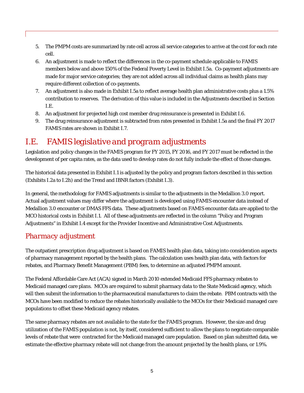- 5. The PMPM costs are summarized by rate cell across all service categories to arrive at the cost for each rate cell.
- 6. An adjustment is made to reflect the differences in the co-payment schedule applicable to FAMIS members below and above 150% of the Federal Poverty Level in Exhibit I.5a. Co-payment adjustments are made for major service categories; they are not added across all individual claims as health plans may require different collection of co-payments.
- 7. An adjustment is also made in Exhibit I.5a to reflect average health plan administrative costs plus a 1.5% contribution to reserves. The derivation of this value is included in the Adjustments described in Section I.E.
- 8. An adjustment for projected high cost member drug reinsurance is presented in Exhibit I.6.
- 9. The drug reinsurance adjustment is subtracted from rates presented in Exhibit I.5a and the final FY 2017 FAMIS rates are shown in Exhibit I.7.

# *I.E. FAMIS legislative and program adjustments*

Legislation and policy changes in the FAMIS program for FY 2015, FY 2016, and FY 2017 must be reflected in the development of per capita rates, as the data used to develop rates do not fully include the effect of those changes.

The historical data presented in Exhibit I.1 is adjusted by the policy and program factors described in this section (Exhibits I.2a to I.2h) and the Trend and IBNR factors (Exhibit I.3).

In general, the methodology for FAMIS adjustments is similar to the adjustments in the Medallion 3.0 report. Actual adjustment values may differ where the adjustment is developed using FAMIS encounter data instead of Medallion 3.0 encounter or DMAS FFS data. These adjustments based on FAMIS encounter data are applied to the MCO historical costs in Exhibit I.1. All of these adjustments are reflected in the column "Policy and Program Adjustments" in Exhibit I.4 except for the Provider Incentive and Administrative Cost Adjustments.

### *Pharmacy adjustment*

The outpatient prescription drug adjustment is based on FAMIS health plan data, taking into consideration aspects of pharmacy management reported by the health plans. The calculation uses health plan data, with factors for rebates, and Pharmacy Benefit Management (PBM) fees, to determine an adjusted PMPM amount.

The Federal Affordable Care Act (ACA) signed in March 2010 extended Medicaid FFS pharmacy rebates to Medicaid managed care plans. MCOs are required to submit pharmacy data to the State Medicaid agency, which will then submit the information to the pharmaceutical manufacturers to claim the rebate. PBM contracts with the MCOs have been modified to reduce the rebates historically available to the MCOs for their Medicaid managed care populations to offset these Medicaid agency rebates.

The same pharmacy rebates are not available to the state for the FAMIS program. However, the size and drug utilization of the FAMIS population is not, by itself, considered sufficient to allow the plans to negotiate comparable levels of rebate that were contracted for the Medicaid managed care population. Based on plan submitted data, we estimate the effective pharmacy rebate will not change from the amount projected by the health plans, or 1.9%.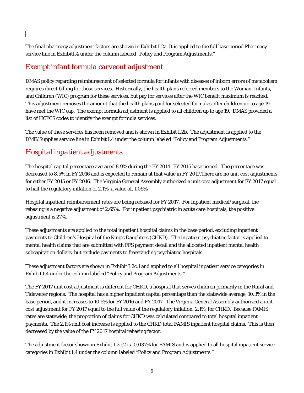The final pharmacy adjustment factors are shown in Exhibit I.2a. It is applied to the full base period Pharmacy service line in ExhibitI.4 under the column labeled "Policy and Program Adjustments."

#### *Exempt infant formula carveout adjustment*

DMAS policy regarding reimbursement of selected formula for infants with diseases of inborn errors of metabolism requires direct billing for those services. Historically, the health plans referred members to the Woman, Infants, and Children (WIC) program for these services, but pay for services after the WIC benefit maximum is reached. This adjustment removes the amount that the health plans paid for selected formulas after children up to age 19 have met the WIC cap. The exempt formula adjustment is applied to all children up to age 19. DMAS provided a list of HCPCS codes to identify the exempt formula services.

The value of these services has been removed and is shown in Exhibit I.2b. The adjustment is applied to the DME/Supplies service line in Exhibit I.4 under the column labeled "Policy and Program Adjustments."

## *Hospital inpatient adjustments*

The hospital capital percentage averaged 8.9% during the FY 2014- FY 2015 base period. The percentage was decreased to 8.5% in FY 2016 and is expected to remain at that value in FY 2017.There are no unit cost adjustments for either FY 2015 or FY 2016. The Virginia General Assembly authorized a unit cost adjustment for FY 2017 equal to half the regulatory inflation of 2.1%, a value of, 1.05%.

Hospital inpatient reimbursement rates are being rebased for FY 2017. For inpatient medical/surgical, the rebasing is a negative adjustment of 2.65%. For inpatient psychiatric in acute care hospitals, the positive adjustment is 27%.

These adjustments are applied to the total inpatient hospital claims in the base period, excluding inpatient payments to Children's Hospital of the King's Daughters (CHKD). The inpatient psychiatric factor is applied to mental health claims that are submitted with FFS payment detail and the allocated inpatient mental health subcapitation dollars, but exclude payments to freestanding psychiatric hospitals.

These adjustment factors are shown in Exhibit I.2c.1 and applied to all hospital inpatient service categories in Exhibit I.4 under the column labeled "Policy and Program Adjustments."

The FY 2017 unit cost adjustment is different for CHKD, a hospital that serves children primarily in the Rural and Tidewater regions. The hospital has a higher inpatient capital percentage than the statewide average, 10.3% in the base period, and it increases to 10.5% for FY 2016 and FY 2017. The Virginia General Assembly authorized a unit cost adjustment for FY 2017 equal to the full value of the regulatory inflation, 2.1%, for CHKD. Because FAMIS rates are statewide, the proportion of claims for CHKD was calculated compared to total hospital inpatient payments. The 2.1% unit cost increase is applied to the CHKD total FAMIS inpatient hospital claims. This is then decreased by the value of the FY 2017 hospital rebasing factor.

The adjustment factor shown in Exhibit I.2c.2 is -0.037% for FAMIS and is applied to all hospital inpatient service categories in Exhibit I.4 under the column labeled "Policy and Program Adjustments."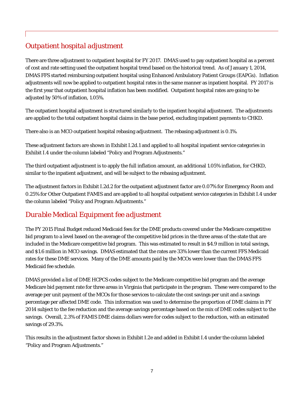# *Outpatient hospital adjustment*

There are three adjustment to outpatient hospital for FY 2017. DMAS used to pay outpatient hospital as a percent of cost and rate setting used the outpatient hospital trend based on the historical trend. As of January 1, 2014, DMAS FFS started reimbursing outpatient hospital using Enhanced Ambulatory Patient Groups (EAPGs). Inflation adjustments will now be applied to outpatient hospital rates in the same manner as inpatient hospital. FY 2017 is the first year that outpatient hospital inflation has been modified. Outpatient hospital rates are going to be adjusted by 50% of inflation, 1.05%.

The outpatient hospital adjustment is structured similarly to the inpatient hospital adjustment. The adjustments are applied to the total outpatient hospital claims in the base period, excluding inpatient payments to CHKD.

There also is an MCO outpatient hospital rebasing adjustment. The rebasing adjustment is 0.1%.

These adjustment factors are shown in Exhibit I.2d.1 and applied to all hospital inpatient service categories in Exhibit I.4 under the column labeled "Policy and Program Adjustments."

The third outpatient adjustment is to apply the full inflation amount, an additional 1.05% inflation, for CHKD, similar to the inpatient adjustment, and will be subject to the rebasing adjustment.

The adjustment factors in Exhibit I.2d.2 for the outpatient adjustment factor are 0.07% for Emergency Room and 0.25% for Other Outpatient FAMIS and are applied to all hospital outpatient service categories in Exhibit I.4 under the column labeled "Policy and Program Adjustments."

# *Durable Medical Equipment fee adjustment*

The FY 2015 Final Budget reduced Medicaid fees for the DME products covered under the Medicare competitive bid program to a level based on the average of the competitive bid prices in the three areas of the state that are included in the Medicare competitive bid program. This was estimated to result in \$4.9 million in total savings, and \$1.6 million in MCO savings. DMAS estimated that the rates are 33% lower than the current FFS Medicaid rates for these DME services. Many of the DME amounts paid by the MCOs were lower than the DMAS FFS Medicaid fee schedule.

DMAS provided a list of DME HCPCS codes subject to the Medicare competitive bid program and the average Medicare bid payment rate for three areas in Virginia that participate in the program. These were compared to the average per unit payment of the MCOs for those services to calculate the cost savings per unit and a savings percentage per affected DME code. This information was used to determine the proportion of DME claims in FY 2014 subject to the fee reduction and the average savings percentage based on the mix of DME codes subject to the savings. Overall, 2.3% of FAMIS DME claims dollars were for codes subject to the reduction, with an estimated savings of 29.3%.

This results in the adjustment factor shown in Exhibit I.2e and added in Exhibit I.4 under the column labeled "Policy and Program Adjustments."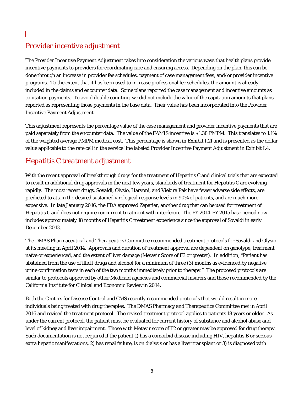### *Provider incentive adjustment*

The Provider Incentive Payment Adjustment takes into consideration the various ways that health plans provide incentive payments to providers for coordinating care and ensuring access. Depending on the plan, this can be done through an increase in provider fee schedules, payment of case management fees, and/or provider incentive programs. To the extent that it has been used to increase professional fee schedules, the amount is already included in the claims and encounter data. Some plans reported the case management and incentive amounts as capitation payments. To avoid double counting, we did not include the value of the capitation amounts that plans reported as representing those payments in the base data. Their value has been incorporated into the Provider Incentive Payment Adjustment.

This adjustment represents the percentage value of the case management and provider incentive payments that are paid separately from the encounter data. The value of the FAMIS incentive is \$1.38 PMPM. This translates to 1.1% of the weighted average PMPM medical cost. This percentage is shown in Exhibit I.2f and is presented as the dollar value applicable to the rate cell in the service line labeled Provider Incentive Payment Adjustment in Exhibit I.4.

### *Hepatitis C treatment adjustment*

With the recent approval of breakthrough drugs for the treatment of Hepatitis C and clinical trials that are expected to result in additional drug approvals in the next few years, standards of treatment for Hepatitis C are evolving rapidly. The most recent drugs, Sovaldi, Olysio, Harvoni, and Viekira Pak have fewer adverse side effects, are predicted to attain the desired sustained virological response levels in 90% of patients, and are much more expensive. In late January 2016, the FDA approved Zepatier, another drug that can be used for treatment of Hepatitis C and does not require concurrent treatment with interferon. The FY 2014-FY 2015 base period now includes approximately 18 months of Hepatitis C treatment experience since the approval of Sovaldi in early December 2013.

The DMAS Pharmaceutical and Therapeutics Committee recommended treatment protocols for Sovaldi and Olysio at its meeting in April 2014. Approvals and duration of treatment approval are dependent on genotype, treatment naïve or experienced, and the extent of liver damage (Metavir Score of F3 or greater). In addition, "Patient has abstained from the use of illicit drugs and alcohol for a minimum of three (3) months as evidenced by negative urine confirmation tests in each of the two months immediately prior to therapy." The proposed protocols are similar to protocols approved by other Medicaid agencies and commercial insurers and those recommended by the California Institute for Clinical and Economic Review in 2014.

Both the Centers for Disease Control and CMS recently recommended protocols that would result in more individuals being treated with drug therapies. The DMAS Pharmacy and Therapeutics Committee met in April 2016 and revised the treatment protocol. The revised treatment protocol applies to patients 18 years or older. As under the current protocol, the patient must be evaluated for current history of substance and alcohol abuse and level of kidney and liver impairment. Those with Metavir score of F2 or greater may be approved for drug therapy. Such documentation is not required if the patient 1) has a comorbid disease including HIV, hepatitis B or serious extra hepatic manifestations, 2) has renal failure, is on dialysis or has a liver transplant or 3) is diagnosed with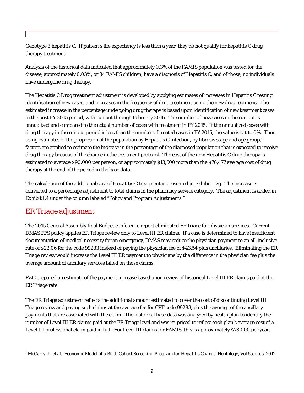Genotype 3 hepatitis C. If patient's life expectancy is less than a year, they do not qualify for hepatitis C drug therapy treatment.

Analysis of the historical data indicated that approximately 0.3% of the FAMIS population was tested for the disease, approximately 0.03%, or 34 FAMIS children, have a diagnosis of Hepatitis C, and of those, no individuals have undergone drug therapy.

The Hepatitis C Drug treatment adjustment is developed by applying estimates of increases in Hepatitis C testing, identification of new cases, and increases in the frequency of drug treatment using the new drug regimens. The estimated increase in the percentage undergoing drug therapy is based upon identification of new treatment cases in the post FY 2015 period, with run out through February 2016. The number of new cases in the run out is annualized and compared to the actual number of cases with treatment in FY 2015. If the annualized cases with drug therapy in the run out period is less than the number of treated cases in FY 2015, the value is set to 0%. Then, using estimates of the proportion of the population by Hepatitis C infection, by fibrosis stage and age group, $1$ factors are applied to estimate the increase in the percentage of the diagnosed population that is expected to receive drug therapy because of the change in the treatment protocol. The cost of the new Hepatitis C drug therapy is estimated to average \$90,000 per person, or approximately \$13,500 more than the \$76,477 average cost of drug therapy at the end of the period in the base data.

The calculation of the additional cost of Hepatitis C treatment is presented in Exhibit I.2g. The increase is converted to a percentage adjustment to total claims in the pharmacy service category. The adjustment is added in Exhibit I.4 under the column labeled "Policy and Program Adjustments."

# *ER Triage adjustment*

 $\overline{a}$ 

The 2015 General Assembly final Budget conference report eliminated ER triage for physician services. Current DMAS FFS policy applies ER Triage review only to Level III ER claims. If a case is determined to have insufficient documentation of medical necessity for an emergency, DMAS may reduce the physician payment to an all-inclusive rate of \$22.06 for the code 99283 instead of paying the physician fee of \$43.54 plus ancillaries. Eliminating the ER Triage review would increase the Level III ER payment to physicians by the difference in the physician fee plus the average amount of ancillary services billed on those claims.

PwC prepared an estimate of the payment increase based upon review of historical Level III ER claims paid at the ER Triage rate.

The ER Triage adjustment reflects the additional amount estimated to cover the cost of discontinuing Level III Triage review and paying such claims at the average fee for CPT code 99283, plus the average of the ancillary payments that are associated with the claim. The historical base data was analyzed by health plan to identify the number of Level III ER claims paid at the ER Triage level and was re-priced to reflect each plan's average cost of a Level III professional claim paid in full. For Level III claims for FAMIS, this is approximately \$78,000 per year.

<sup>1</sup> McGarry, L. et al. *Economic Model of a Birth Cohort Screening Program for Hepatitis C Virus*. Heptology, Vol 55, no.5, 2012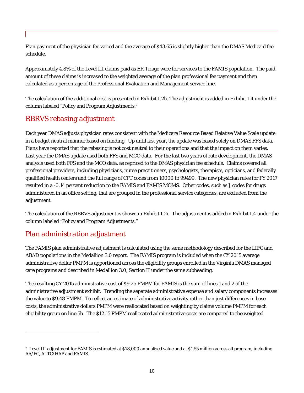Plan payment of the physician fee varied and the average of \$43.65 is slightly higher than the DMAS Medicaid fee schedule.

Approximately 4.8% of the Level III claims paid as ER Triage were for services to the FAMIS population. The paid amount of these claims is increased to the weighted average of the plan professional fee payment and then calculated as a percentage of the Professional Evaluation and Management service line.

The calculation of the additional cost is presented in Exhibit I.2h. The adjustment is added in Exhibit I.4 under the column labeled "Policy and Program Adjustments.2

#### *RBRVS rebasing adjustment*

Each year DMAS adjusts physician rates consistent with the Medicare Resource Based Relative Value Scale update in a budget neutral manner based on funding. Up until last year, the update was based solely on DMAS FFS data. Plans have reported that the rebasing is not cost neutral to their operations and that the impact on them varies. Last year the DMAS update used both FFS and MCO data. For the last two years of rate development, the DMAS analysis used both FFS and the MCO data, as repriced to the DMAS physician fee schedule. Claims covered all professional providers, including physicians, nurse practitioners, psychologists, therapists, opticians, and federally qualified health centers and the full range of CPT codes from 10000 to 99499. The new physician rates for FY 2017 resulted in a -0.14 percent reduction to the FAMIS and FAMIS MOMS. Other codes, such as J codes for drugs administered in an office setting, that are grouped in the professional service categories, are excluded from the adjustment.

The calculation of the RBRVS adjustment is shown in Exhibit I.2i.The adjustment is added in Exhibit I.4 under the column labeled "Policy and Program Adjustments."

### *Plan administration adjustment*

 $\overline{a}$ 

The FAMIS plan administrative adjustment is calculated using the same methodology described for the LIFC and ABAD populations in the Medallion 3.0 report. The FAMIS program is included when the CY 2015 average administrative dollar PMPM is apportioned across the eligibility groups enrolled in the Virginia DMAS managed care programs and described in Medallion 3.0, Section II under the same subheading.

The resulting CY 2015 administrative cost of \$9.25 PMPM for FAMIS is the sum of lines 1 and 2 of the administrative adjustment exhibit. Trending the separate administrative expense and salary components increases the value to \$9.48 PMPM. To reflect an estimate of administrative activity rather than just differences in base costs, the administrative dollars PMPM were reallocated based on weighting by claims volume PMPM for each eligibility group on line 5b. The \$12.15 PMPM reallocated administrative costs are compared to the weighted

<sup>2</sup> Level III adjustment for FAMIS is estimated at \$78,000 annualized value and at \$1.55 million across all program, including AA/FC, ALTC/HAP and FAMIS.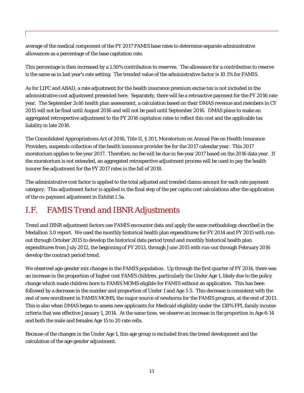average of the medical component of the FY 2017 FAMIS base rates to determine separate administrative allowances as a percentage of the base capitation rate.

This percentage is then increased by a 1.50% contribution to reserves. The allowance for a contribution to reserve is the same as in last year's rate setting. The trended value of the administrative factor is 10.1% for FAMIS.

As for LIFC and ABAD, a rate adjustment for the health insurance premium excise tax is not included in the administrative cost adjustment presented here. Separately, there will be a retroactive payment for the FY 2016 rate year. The September 2o16 health plan assessment, a calculation based on their DMAS revenue and members in CY 2015 will not be final until August 2016 and will not be paid until September 2016. DMAS plans to make an aggregated retrospective adjustment to the FY 2016 capitation rates to reflect this cost and the applicable tax liability in late 2016.

The Consolidated Appropriations Act of 2016, Title II, § 201, Moratorium on Annual Fee on Health Insurance Providers, suspends collection of the health insurance provider fee for the 2017 calendar year. This 2017 moratorium applies to fee year 2017. Therefore, no fee will be due in fee year 2017 based on the 2016 data year. If the moratorium is not extended, an aggregated retrospective adjustment process will be used to pay the health insurer fee adjustment for the FY 2017 rates in the fall of 2018.

The administrative cost factor is applied to the total adjusted and trended claims amount for each rate payment category. This adjustment factor is applied in the final step of the per capita cost calculations after the application of the co-payment adjustment in Exhibit I.5a.

# *I.F. FAMIS Trend and IBNR Adjustments*

Trend and IBNR adjustment factors use FAMIS encounter data and apply the same methodology described in the Medallion 3.0 report. We used the monthly historical health plan expenditures for FY 2014 and FY 2015 with runout through October 2015 to develop the historical data period trend and monthly historical health plan expenditures from July 2012, the beginning of FY 2013, through June 2015 with run-out through February 2016 develop the contract period trend.

We observed age-gender mix changes in the FAMIS population. Up through the first quarter of FY 2014, there was an increase in the proportion of higher cost FAMIS children, particularly the Under Age 1, likely due to the policy change which made children born to FAMIS MOMS eligible for FAMIS without an application. This has been followed by a decrease in the number and proportion of Under 1 and Age 1-5. This decrease is consistent with the end of new enrollment in FAMIS MOMS, the major source of newborns for the FAMIS program, at the end of 2013. This is also when DMAS began to assess new applicants for Medicaid eligibility under the 138% FPL family income criteria that was effective January 1, 2014. At the same time, we observe an increase in the proportion in Age 6-14 and both the male and females Age 15 to 20 rate cells.

Because of the changes in the Under Age 1, this age group is excluded from the trend development and the calculation of the age-gender adjustment.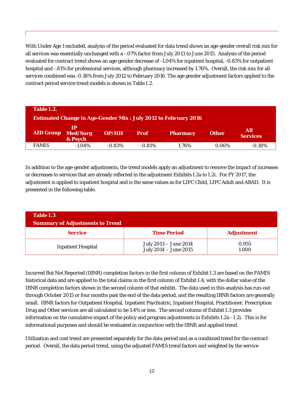With Under Age 1 excluded, analysis of the period evaluated for data trend shows an age-gender overall risk mix for all services was essentially unchanged with a -.07% factor from July 2013 to June 2015. Analysis of the period evaluated for contract trend shows an age-gender decrease of -1.04% for inpatient hospital, -0.83% for outpatient hospital and -.81% for professional services, although pharmacy increased by 1.76%. Overall, the risk mix for all services combined was -0.18% from July 2012 to February 2016. The age gender adjustment factors applied to the contract period service trend models is shown in Table I.2.

| Table I.2.       |                                   |          |             |                                                                       |              |                        |
|------------------|-----------------------------------|----------|-------------|-----------------------------------------------------------------------|--------------|------------------------|
|                  |                                   |          |             | <b>Estimated Change in Age-Gender Mix: July 2012 to February 2016</b> |              |                        |
| <b>AID Group</b> | TP.<br><b>Med/Surg</b><br>& Psych | OP/HH    | <b>Prof</b> | <b>Pharmacy</b>                                                       | <b>Other</b> | All<br><b>Services</b> |
| <b>FAMIS</b>     | $-1.04\%$                         | $-0.83%$ | $-0.81%$    | 1.76%                                                                 | $0.06\%$     | $-0.18%$               |

In addition to the age-gender adjustments, the trend models apply an adjustment to remove the impact of increases or decreases to services that are already reflected in the adjustment Exhibits I.2a to I.2i. For FY 2017, the adjustment is applied to inpatient hospital and is the same values as for LIFC Child, LIFC Adult and ABAD. It is presented in the following table.

| <b>Table I.3</b><br><b>Summary of Adjustments to Trend</b> |                                                |                   |
|------------------------------------------------------------|------------------------------------------------|-------------------|
| <b>Service</b>                                             | <b>Time Period</b>                             | <b>Adjustment</b> |
| <b>Inpatient Hospital</b>                                  | July 2013 - June 2014<br>July 2014 - June 2015 | 0.955<br>1.000    |

Incurred But Not Reported (IBNR) completion factors in the first column of Exhibit I.3 are based on the FAMIS historical data and are applied to the total claims in the first column of Exhibit I.4, with the dollar value of the IBNR completion factors shown in the second column of that exhibit. The data used in this analysis has run-out through October 2015 or four months past the end of the data period, and the resulting IBNR factors are generally small. IBNR factors for Outpatient Hospital, Inpatient Psychiatric, Inpatient Hospital, Practitioner, Prescription Drug and Other services are all calculated to be 1.4% or less. The second column of Exhibit I.3 provides information on the cumulative impact of the policy and program adjustments in Exhibits I.2a - I.2i. This is for informational purposes and should be evaluated in conjunction with the IBNR and applied trend.

Utilization and cost trend are presented separately for the data period and as a combined trend for the contract period. Overall, the data period trend, using the adjusted FAMIS trend factors and weighted by the service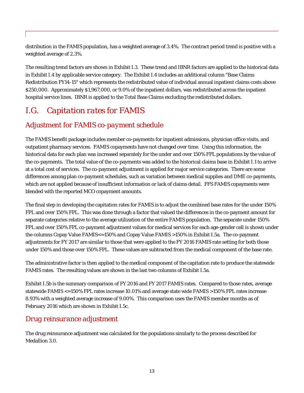distribution in the FAMIS population, has a weighted average of 3.4%. The contract period trend is positive with a weighted average of 2.3%.

The resulting trend factors are shown in Exhibit I.3. These trend and IBNR factors are applied to the historical data in Exhibit I.4 by applicable service category. The Exhibit I.4 includes an additional column "Base Claims Redistribution FY14-15" which represents the redistributed value of individual annual inpatient claims costs above \$250,000. Approximately \$1,967,000, or 9.0% of the inpatient dollars, was redistributed across the inpatient hospital service lines. IBNR is applied to the Total Base Claims excluding the redistributed dollars.

# *I.G. Capitation rates for FAMIS*

## *Adjustment for FAMIS co-payment schedule*

The FAMIS benefit package includes member co-payments for inpatient admissions, physician office visits, and outpatient pharmacy services. FAMIS copayments have not changed over time. Using this information, the historical data for each plan was increased separately for the under and over 150% FPL populations by the value of the co-payments. The total value of the co-payments was added to the historical claims base in Exhibit I.1 to arrive at a total cost of services. The co-payment adjustment is applied for major service categories. There are some differences among plan co-payment schedules, such as variation between medical supplies and DME co-payments, which are not applied because of insufficient information or lack of claims detail. FFS FAMIS copayments were blended with the reported MCO copayment amounts.

The final step in developing the capitation rates for FAMIS is to adjust the combined base rates for the under 150% FPL and over 150% FPL. This was done through a factor that valued the differences in the co-payment amount for separate categories relative to the average utilization of the entire FAMIS population. The separate under 150% FPL and over 150% FPL co-payment adjustment values for medical services for each age-gender cell is shown under the columns Copay Value FAMIS<=150% and Copay Value FAMIS >150% in Exhibit I.5a. The co-payment adjustments for FY 2017 are similar to those that were applied to the FY 2016 FAMIS rate setting for both those under 150% and those over 150% FPL. These values are subtracted from the medical component of the base rate.

The administrative factor is then applied to the medical component of the capitation rate to produce the statewide FAMIS rates. The resulting values are shown in the last two columns of Exhibit I.5a.

Exhibit I.5b is the summary comparison of FY 2016 and FY 2017 FAMIS rates. Compared to those rates, average statewide FAMIS <=150% FPL rates increase 10.01% and average state wide FAMIS >150% FPL rates increase 8.93% with a weighted average increase of 9.00%. This comparison uses the FAMIS member months as of February 2016 which are shown in Exhibit I.5c.

### *Drug reinsurance adjustment*

The drug reinsurance adjustment was calculated for the populations similarly to the process described for Medallion 3.0.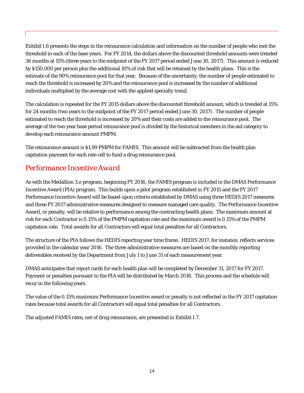Exhibit I.6 presents the steps in the reinsurance calculation and information on the number of people who met the threshold in each of the base years. For FY 2014, the dollars above the discounted threshold amounts were trended 36 months at 15% (three years to the midpoint of the FY 2017 period ended June 30, 2017). This amount is reduced by \$150,000 per person plus the additional 10% of risk that will be retained by the health plans. This is the estimate of the 90% reinsurance pool for that year. Because of the uncertainty, the number of people estimated to reach the threshold is increased by 20% and the reinsurance pool is increased by the number of additional individuals multiplied by the average cost with the applied specialty trend.

The calculation is repeated for the FY 2015 dollars above the discounted threshold amount, which is trended at 15% for 24 months (two years to the midpoint of the FY 2017 period ended June 30, 2017). The number of people estimated to reach the threshold is increased by 20% and their costs are added to the reinsurance pool. The average of the two year base period reinsurance pool is divided by the historical members in the aid category to develop each reinsurance amount PMPM.

The reinsurance amount is \$1.99 PMPM for FAMIS. This amount will be subtracted from the health plan capitation payment for each rate cell to fund a drug reinsurance pool.

### *Performance Incentive Award*

As with the Medallion 3.o program, beginning FY 2016, the FAMIS program is included in the DMAS Performance Incentive Award (PIA) program. This builds upon a pilot program established in FY 2015 and the FY 2017 Performance Incentive Award will be based upon criteria established by DMAS using three HEDIS 2017 measures and three FY 2017 administrative measures designed to measure managed care quality. The Performance Incentive Award, or penalty, will be relative to performance among the contracting health plans. The maximum amount at risk for each Contractor is 0.15% of the PMPM capitation rate and the maximum award is 0.15% of the PMPM capitation rate. Total awards for all Contractors will equal total penalties for all Contractors.

The structure of the PIA follows the HEDIS reporting year time frame. HEDIS 2017, for instance, reflects services provided in the calendar year 2016. The three administrative measures are based on the monthly reporting deliverables received by the Department from July 1 to June 31 of each measurement year.

DMAS anticipates that report cards for each health plan will be completed by December 31, 2017 for FY 2017. Payment or penalties pursuant to the PIA will be distributed by March 2018. This process and the schedule will recur in the following years.

The value of the 0.15% maximum Performance Incentive award or penalty is not reflected in the FY 2017 capitation rates because total awards for all Contractors will equal total penalties for all Contractors.

The adjusted FAMIS rates, net of drug reinsurance, are presented in Exhibit I.7.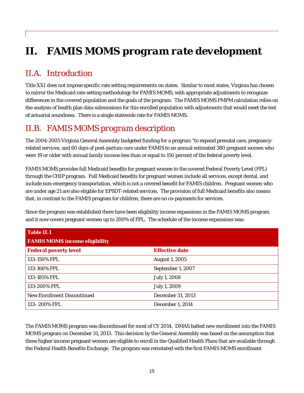# *II. FAMIS MOMS program rate development*

# *II.A. Introduction*

Title XXI does not impose specific rate setting requirements on states. Similar to most states, Virginia has chosen to mirror the Medicaid rate setting methodology for FAMIS MOMS, with appropriate adjustments to recognize differences in the covered population and the goals of the program. The FAMIS MOMS PMPM calculation relies on the analysis of health plan data submissions for this enrolled population with adjustments that would meet the test of actuarial soundness. There is a single statewide rate for FAMIS MOMS.

# *II.B. FAMIS MOMS program description*

The 2004-2005 Virginia General Assembly budgeted funding for a program "to expand prenatal care, pregnancyrelated services, and 60 days of post-partum care under FAMIS to an annual estimated 380 pregnant women who were 19 or older with annual family income less than or equal to 150 percent of the federal poverty level.

FAMIS MOMS provides full Medicaid benefits for pregnant women to the covered Federal Poverty Level (FPL) through the CHIP program. Full Medicaid benefits for pregnant women include all services, except dental, and include non-emergency transportation, which is not a covered benefit for FAMIS children. Pregnant women who are under age 21 are also eligible for EPSDT-related services. The provision of full Medicaid benefits also means that, in contrast to the FAMIS program for children, there are no co-payments for services.

Since the program was established there have been eligibility income expansions in the FAMIS MOMS program and it now covers pregnant women up to 200% of FPL. The schedule of the income expansions was:

| <b>Table II.1</b>                    |                         |
|--------------------------------------|-------------------------|
| <b>FAMIS MOMS income eligibility</b> |                         |
| <b>Federal poverty level</b>         | <b>Effective date</b>   |
| 133-150% FPL                         | <b>August 1, 2005</b>   |
| 133-166% FPL                         | September 1, 2007       |
| 133-185% FPL                         | <b>July 1, 2008</b>     |
| 133-200% FPL                         | July 1, 2009            |
| <b>New Enrollment Discontinued</b>   | December 31, 2013       |
| 133-200% FPL                         | <b>December 1, 2014</b> |

The FAMIS MOMS program was discontinued for most of CY 2014. DMAS halted new enrollment into the FAMIS MOMS program on December 31, 2013. This decision by the General Assembly was based on the assumption that these higher income pregnant women are eligible to enroll in the Qualified Health Plans that are available through the Federal Health Benefits Exchange. The program was reinstated with the first FAMIS MOMS enrollment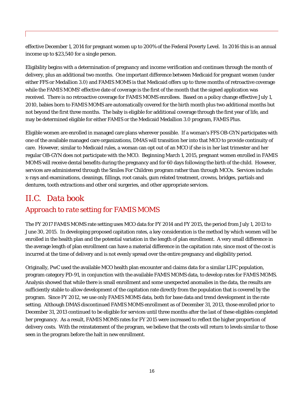effective December 1, 2014 for pregnant women up to 200% of the Federal Poverty Level. In 2016 this is an annual income up to \$23,540 for a single person.

Eligibility begins with a determination of pregnancy and income verification and continues through the month of delivery, plus an additional two months. One important difference between Medicaid for pregnant women (under either FFS or Medallion 3.0) and FAMIS MOMS is that Medicaid offers up to three months of retroactive coverage while the FAMIS MOMS' effective date of coverage is the first of the month that the signed application was received. There is no retroactive coverage for FAMIS MOMS enrollees. Based on a policy change effective July 1, 2010, babies born to FAMIS MOMS are automatically covered for the birth month plus two additional months but not beyond the first three months. The baby is eligible for additional coverage through the first year of life, and may be determined eligible for either FAMIS or the Medicaid Medallion 3.0 program, FAMIS Plus.

Eligible women are enrolled in managed care plans wherever possible. If a woman's FFS OB-GYN participates with one of the available managed care organizations, DMAS will transition her into that MCO to provide continuity of care. However, similar to Medicaid rules, a woman can opt out of an MCO if she is in her last trimester and her regular OB-GYN does not participate with the MCO. Beginning March 1, 2015, pregnant women enrolled in FAMIS MOMS will receive dental benefits during the pregnancy and for 60 days following the birth of the child. However, services are administered through the Smiles For Children program rather than through MCOs. Services include: x-rays and examinations, cleanings, fillings, root canals, gum related treatment, crowns, bridges, partials and dentures, tooth extractions and other oral surgeries, and other appropriate services.

# *II.C. Data book Approach to rate setting for FAMIS MOMS*

The FY 2017 FAMIS MOMS rate setting uses MCO data for FY 2014 and FY 2015, the period from July 1, 2013 to June 30, 2015. In developing proposed capitation rates, a key consideration is the method by which women will be enrolled in the health plan and the potential variation in the length of plan enrollment. A very small difference in the average length of plan enrollment can have a material difference in the capitation rate, since most of the cost is incurred at the time of delivery and is not evenly spread over the entire pregnancy and eligibility period.

Originally, PwC used the available MCO health plan encounter and claims data for a similar LIFC population, program category PD-91, in conjunction with the available FAMIS MOMS data, to develop rates for FAMIS MOMS. Analysis showed that while there is small enrollment and some unexpected anomalies in the data, the results are sufficiently stable to allow development of the capitation rate directly from the population that is covered by the program. Since FY 2012, we use only FAMIS MOMS data, both for base data and trend development in the rate setting. Although DMAS discontinued FAMIS MOMS enrollment as of December 31, 2013, those enrolled prior to December 31, 2013 continued to be eligible for services until three months after the last of these eligibles completed her pregnancy. As a result, FAMIS MOMS rates for FY 2015 were increased to reflect the higher proportion of delivery costs. With the reinstatement of the program, we believe that the costs will return to levels similar to those seen in the program before the halt in new enrollment.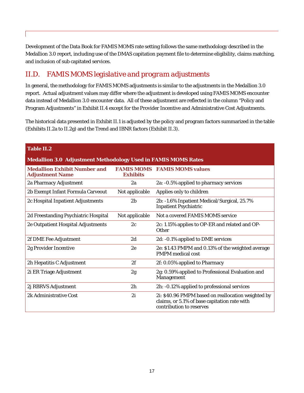Development of the Data Book for FAMIS MOMS rate setting follows the same methodology described in the Medallion 3.0 report, including use of the DMAS capitation payment file to determine eligibility, claims matching, and inclusion of sub capitated services.

## *II.D. FAMIS MOMS legislative and program adjustments*

In general, the methodology for FAMIS MOMS adjustments is similar to the adjustments in the Medallion 3.0 report. Actual adjustment values may differ where the adjustment is developed using FAMIS MOMS encounter data instead of Medallion 3.0 encounter data. All of these adjustment are reflected in the column "Policy and Program Adjustments" in Exhibit II.4 except for the Provider Incentive and Administrative Cost Adjustments.

The historical data presented in Exhibit II.1 is adjusted by the policy and program factors summarized in the table (Exhibits II.2a to II.2g) and the Trend and IBNR factors (Exhibit II.3).

| <b>Medallion 3.0 Adjustment Methodology Used in FAMIS MOMS Rates</b> |                 |                                                                                                                                |
|----------------------------------------------------------------------|-----------------|--------------------------------------------------------------------------------------------------------------------------------|
| <b>Medallion Exhibit Number and</b><br><b>Adjustment Name</b>        | <b>Exhibits</b> | <b>FAMIS MOMS</b> FAMIS MOMS values                                                                                            |
| 2a Pharmacy Adjustment                                               | 2a              | 2a: -0.5% applied to pharmacy services                                                                                         |
| 2b Exempt Infant Formula Carveout                                    | Not applicable  | Applies only to children                                                                                                       |
| 2c Hospital Inpatient Adjustments                                    | 2 <sub>b</sub>  | 2b: -1.6% Inpatient Medical/Surgical, 25.7%<br><b>Inpatient Psychiatric</b>                                                    |
| 2d Freestanding Psychiatric Hospital                                 | Not applicable  | Not a covered FAMIS MOMS service                                                                                               |
| 2e Outpatient Hospital Adjustments                                   | 2c              | 2c: 1.15% applies to OP-ER and related and OP-<br>Other                                                                        |
| 2f DME Fee Adjustment                                                | 2d              | 2d: -0.1% applied to DME services                                                                                              |
| 2g Provider Incentive                                                | 2e              | 2e: \$1.43 PMPM and 0.13% of the weighted average<br><b>PMPM</b> medical cost                                                  |
| 2h Hepatitis C Adjustment                                            | 2f              | 2f: 0.05% applied to Pharmacy                                                                                                  |
| 2i ER Triage Adjustment                                              | 2g              | 2g: 0.59% applied to Professional Evaluation and<br>Management                                                                 |
| 2j RBRVS Adjustment                                                  | 2h              | 2h: -0.12% applied to professional services                                                                                    |
| 2k Administrative Cost                                               | 2i              | 2i: \$40.96 PMPM based on reallocation weighted by<br>claims, or 5.1% of base capitation rate with<br>contribution to reserves |

#### **Table II.2**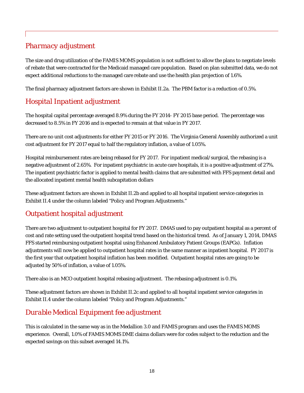# *Pharmacy adjustment*

The size and drug utilization of the FAMIS MOMS population is not sufficient to allow the plans to negotiate levels of rebate that were contracted for the Medicaid managed care population. Based on plan submitted data, we do not expect additional reductions to the managed care rebate and use the health plan projection of 1.6%.

The final pharmacy adjustment factors are shown in Exhibit II.2a. The PBM factor is a reduction of 0.5%.

# *Hospital Inpatient adjustment*

The hospital capital percentage averaged 8.9% during the FY 2014- FY 2015 base period. The percentage was decreased to 8.5% in FY 2016 and is expected to remain at that value in FY 2017.

There are no unit cost adjustments for either FY 2015 or FY 2016. The Virginia General Assembly authorized a unit cost adjustment for FY 2017 equal to half the regulatory inflation, a value of 1.05%.

Hospital reimbursement rates are being rebased for FY 2017. For inpatient medical/surgical, the rebasing is a negative adjustment of 2.65%. For inpatient psychiatric in acute care hospitals, it is a positive adjustment of 27%. The inpatient psychiatric factor is applied to mental health claims that are submitted with FFS payment detail and the allocated inpatient mental health subcapitation dollars

These adjustment factors are shown in Exhibit II.2b and applied to all hospital inpatient service categories in Exhibit II.4 under the column labeled "Policy and Program Adjustments."

# *Outpatient hospital adjustment*

There are two adjustment to outpatient hospital for FY 2017. DMAS used to pay outpatient hospital as a percent of cost and rate setting used the outpatient hospital trend based on the historical trend. As of January 1, 2014, DMAS FFS started reimbursing outpatient hospital using Enhanced Ambulatory Patient Groups (EAPGs). Inflation adjustments will now be applied to outpatient hospital rates in the same manner as inpatient hospital. FY 2017 is the first year that outpatient hospital inflation has been modified. Outpatient hospital rates are going to be adjusted by 50% of inflation, a value of 1.05%.

There also is an MCO outpatient hospital rebasing adjustment. The rebasing adjustment is 0.1%.

These adjustment factors are shown in Exhibit II.2c and applied to all hospital inpatient service categories in Exhibit II.4 under the column labeled "Policy and Program Adjustments."

# *Durable Medical Equipment fee adjustment*

This is calculated in the same way as in the Medallion 3.0 and FAMIS program and uses the FAMIS MOMS experience. Overall, 1.0% of FAMIS MOMS DME claims dollars were for codes subject to the reduction and the expected savings on this subset averaged 14.1%.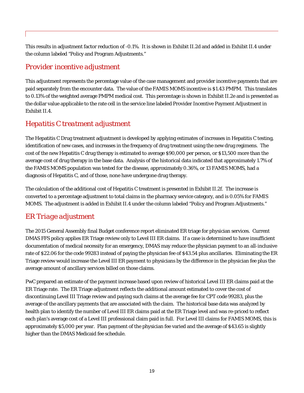This results in adjustment factor reduction of -0.1%. It is shown in Exhibit II.2d and added in Exhibit II.4 under the column labeled "Policy and Program Adjustments."

### *Provider incentive adjustment*

This adjustment represents the percentage value of the case management and provider incentive payments that are paid separately from the encounter data. The value of the FAMIS MOMS incentive is \$1.43 PMPM. This translates to 0.13% of the weighted average PMPM medical cost. This percentage is shown in Exhibit II.2e and is presented as the dollar value applicable to the rate cell in the service line labeled Provider Incentive Payment Adjustment in Exhibit II.4.

### *Hepatitis C treatment adjustment*

The Hepatitis C Drug treatment adjustment is developed by applying estimates of increases in Hepatitis C testing, identification of new cases, and increases in the frequency of drug treatment using the new drug regimens. The cost of the new Hepatitis C drug therapy is estimated to average \$90,000 per person, or \$13,500 more than the average cost of drug therapy in the base data. Analysis of the historical data indicated that approximately 1.7% of the FAMIS MOMS population was tested for the disease, approximately 0.36%, or 13 FAMIS MOMS, had a diagnosis of Hepatitis C, and of those, none have undergone drug therapy.

The calculation of the additional cost of Hepatitis C treatment is presented in Exhibit II.2f. The increase is converted to a percentage adjustment to total claims in the pharmacy service category, and is 0.05% for FAMIS MOMS. The adjustment is added in Exhibit II.4 under the column labeled "Policy and Program Adjustments."

### *ER Triage adjustment*

The 2015 General Assembly final Budget conference report eliminated ER triage for physician services. Current DMAS FFS policy applies ER Triage review only to Level III ER claims. If a case is determined to have insufficient documentation of medical necessity for an emergency, DMAS may reduce the physician payment to an all-inclusive rate of \$22.06 for the code 99283 instead of paying the physician fee of \$43.54 plus ancillaries. Eliminating the ER Triage review would increase the Level III ER payment to physicians by the difference in the physician fee plus the average amount of ancillary services billed on those claims.

PwC prepared an estimate of the payment increase based upon review of historical Level III ER claims paid at the ER Triage rate. The ER Triage adjustment reflects the additional amount estimated to cover the cost of discontinuing Level III Triage review and paying such claims at the average fee for CPT code 99283, plus the average of the ancillary payments that are associated with the claim. The historical base data was analyzed by health plan to identify the number of Level III ER claims paid at the ER Triage level and was re-priced to reflect each plan's average cost of a Level III professional claim paid in full. For Level III claims for FAMIS MOMS, this is approximately \$5,000 per year. Plan payment of the physician fee varied and the average of \$43.65 is slightly higher than the DMAS Medicaid fee schedule.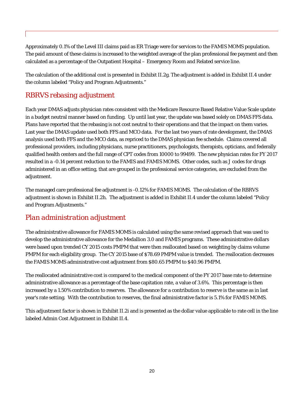Approximately 0.1% of the Level III claims paid as ER Triage were for services to the FAMIS MOMS population. The paid amount of these claims is increased to the weighted average of the plan professional fee payment and then calculated as a percentage of the Outpatient Hospital – Emergency Room and Related service line.

The calculation of the additional cost is presented in Exhibit II.2g. The adjustment is added in Exhibit II.4 under the column labeled "Policy and Program Adjustments."

## *RBRVS rebasing adjustment*

Each year DMAS adjusts physician rates consistent with the Medicare Resource Based Relative Value Scale update in a budget neutral manner based on funding. Up until last year, the update was based solely on DMAS FFS data. Plans have reported that the rebasing is not cost neutral to their operations and that the impact on them varies. Last year the DMAS update used both FFS and MCO data. For the last two years of rate development, the DMAS analysis used both FFS and the MCO data, as repriced to the DMAS physician fee schedule. Claims covered all professional providers, including physicians, nurse practitioners, psychologists, therapists, opticians, and federally qualified health centers and the full range of CPT codes from 10000 to 99499. The new physician rates for FY 2017 resulted in a -0.14 percent reduction to the FAMIS and FAMIS MOMS. Other codes, such as J codes for drugs administered in an office setting, that are grouped in the professional service categories, are excluded from the adjustment.

The managed care professional fee adjustment is -0.12% for FAMIS MOMS. The calculation of the RBRVS adjustment is shown in Exhibit II.2h.The adjustment is added in Exhibit II.4 under the column labeled "Policy and Program Adjustments."

#### *Plan administration adjustment*

The administrative allowance for FAMIS MOMS is calculated using the same revised approach that was used to develop the administrative allowance for the Medallion 3.0 and FAMIS programs. These administrative dollars were based upon trended CY 2015 costs PMPM that were then reallocated based on weighting by claims volume PMPM for each eligibility group. The CY 2015 base of \$78.69 PMPM value is trended. The reallocation decreases the FAMIS MOMS administrative cost adjustment from \$80.65 PMPM to \$40.96 PMPM.

The reallocated administrative cost is compared to the medical component of the FY 2017 base rate to determine administrative allowance as a percentage of the base capitation rate, a value of 3.6%. This percentage is then increased by a 1.50% contribution to reserves. The allowance for a contribution to reserve is the same as in last year's rate setting. With the contribution to reserves, the final administrative factor is 5.1% for FAMIS MOMS.

This adjustment factor is shown in Exhibit II.2i and is presented as the dollar value applicable to rate cell in the line labeled Admin Cost Adjustment in Exhibit II.4.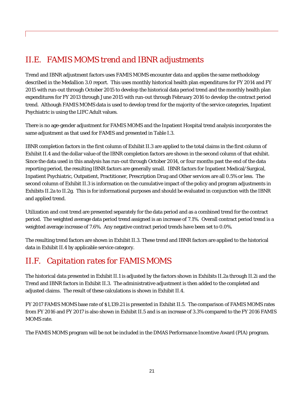# *II.E. FAMIS MOMS trend and IBNR adjustments*

Trend and IBNR adjustment factors uses FAMIS MOMS encounter data and applies the same methodology described in the Medallion 3.0 report. This uses monthly historical health plan expenditures for FY 2014 and FY 2015 with run-out through October 2015 to develop the historical data period trend and the monthly health plan expenditures for FY 2013 through June 2015 with run-out through February 2016 to develop the contract period trend. Although FAMIS MOMS data is used to develop trend for the majority of the service categories, Inpatient Psychiatric is using the LIFC Adult values.

There is no age-gender adjustment for FAMIS MOMS and the Inpatient Hospital trend analysis incorporates the same adjustment as that used for FAMIS and presented in Table I.3.

IBNR completion factors in the first column of Exhibit II.3 are applied to the total claims in the first column of Exhibit II.4 and the dollar value of the IBNR completion factors are shown in the second column of that exhibit. Since the data used in this analysis has run-out through October 2014, or four months past the end of the data reporting period, the resulting IBNR factors are generally small. IBNR factors for Inpatient Medical/Surgical, Inpatient Psychiatric, Outpatient, Practitioner, Prescription Drug and Other services are all 0.5% or less. The second column of Exhibit II.3 is information on the cumulative impact of the policy and program adjustments in Exhibits II.2a to II.2g. This is for informational purposes and should be evaluated in conjunction with the IBNR and applied trend.

Utilization and cost trend are presented separately for the data period and as a combined trend for the contract period. The weighted average data period trend assigned is an increase of 7.1%. Overall contract period trend is a weighted average increase of 7.6%. Any negative contract period trends have been set to 0.0%.

The resulting trend factors are shown in Exhibit II.3. These trend and IBNR factors are applied to the historical data in Exhibit II.4 by applicable service category.

# *II.F. Capitation rates for FAMIS MOMS*

The historical data presented in Exhibit II.1 is adjusted by the factors shown in Exhibits II.2a through II.2i and the Trend and IBNR factors in Exhibit II.3. The administrative adjustment is then added to the completed and adjusted claims. The result of these calculations is shown in Exhibit II.4.

FY 2017 FAMIS MOMS base rate of \$1,139.21 is presented in Exhibit II.5. The comparison of FAMIS MOMS rates from FY 2016 and FY 2017 is also shown in Exhibit II.5 and is an increase of 3.3% compared to the FY 2016 FAMIS MOMS rate.

The FAMIS MOMS program will be not be included in the DMAS Performance Incentive Award (PIA) program.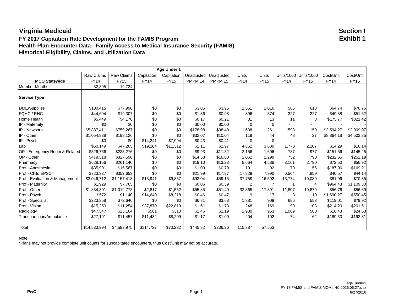#### **FY 2017 Capitation Rate Development for the FAMIS Program Exhibit 1 Health Plan Encounter Data - Family Access to Medical Insurance Security (FAMIS) Historical Eligibility, Claims, and Utilization Data**

| Age Under 1<br><b>Raw Claims</b><br><b>Raw Claims</b><br><b>Units</b><br>Capitation<br>Capitation<br>Unadjusted<br>Unadjusted<br><b>Units</b> |                       |             |             |             |          |                    |                |             |             |             |             |             |  |
|-----------------------------------------------------------------------------------------------------------------------------------------------|-----------------------|-------------|-------------|-------------|----------|--------------------|----------------|-------------|-------------|-------------|-------------|-------------|--|
|                                                                                                                                               | Units/1000 Units/1000 | Cost/Unit   | Cost/Unit   |             |          |                    |                |             |             |             |             |             |  |
| <b>MCO Statewide</b>                                                                                                                          | <b>FY14</b>           | <b>FY15</b> | <b>FY14</b> | <b>FY15</b> | PMPM 14  | PMPM <sub>15</sub> | <b>FY14</b>    | <b>FY15</b> | <b>FY14</b> | <b>FY15</b> | <b>FY14</b> | <b>FY15</b> |  |
| <b>Member Months</b>                                                                                                                          | 32,895                | 19,734      |             |             |          |                    |                |             |             |             |             |             |  |
| <b>Service Type</b>                                                                                                                           |                       |             |             |             |          |                    |                |             |             |             |             |             |  |
| DME/Supplies                                                                                                                                  | \$100,415             | \$77,990    | \$0         | \$0         | \$3.05   | \$3.95             | 1,551          | 1,016       | 566         | 618         | \$64.74     | \$76.76     |  |
| FQHC / RHC                                                                                                                                    | \$44,694              | \$19,307    | \$0         | \$0         | \$1.36   | \$0.98             | 896            | 374         | 327         | 227         | \$49.88     | \$51.62     |  |
| <b>Home Health</b>                                                                                                                            | \$5,449               | \$4,178     | \$0         | \$0         | \$0.17   | \$0.21             | 31             | 13          | 11          | 8           | \$175.77    | \$321.42    |  |
| IP - Maternity                                                                                                                                | \$0                   | \$0         | \$0         | \$0         | \$0.00   | \$0.00             | $\Omega$       | $\Omega$    |             | ۰           |             |             |  |
| IP - Newborn                                                                                                                                  | \$5,887,411           | \$759,267   | \$0         | \$0         | \$178.98 | \$38.48            | 1,638          | 261         | 598         | 159         | \$3,594.27  | \$2,909.07  |  |
| IP - Other                                                                                                                                    | \$1,054,838           | \$198,126   | \$0         | \$0         | \$32.07  | \$10.04            | 119            | 44          | 43          | 27          | \$8,864.18  | \$4,502.85  |  |
| IP - Psych                                                                                                                                    | \$0                   | \$0         | \$14,241    | \$7,994     | \$0.43   | \$0.41             | $\mathbf 0$    | $\Omega$    |             |             |             |             |  |
| Lab                                                                                                                                           | \$50,149              | \$47,265    | \$19,204    | \$11,312    | \$2.11   | \$2.97             | 4,852          | 3,630       | 1,770       | 2,207       | \$14.29     | \$16.14     |  |
| OP - Emergency Room & Related                                                                                                                 | \$326,766             | \$233,276   | \$0         | \$0         | \$9.93   | \$11.82            | 2,156          | 1,606       | 787         | 977         | \$151.56    | \$145.25    |  |
| OP - Other                                                                                                                                    | \$479,518             | \$327,590   | \$0         | \$0         | \$14.58  | \$16.60            | 2,062          | 1,299       | 752         | 790         | \$232.55    | \$252.19    |  |
| Pharmacy                                                                                                                                      | \$628,156             | \$261,140   | \$0         | \$0         | \$19.10  | \$13.23            | 8,664          | 4,588       | 3,161       | 2,790       | \$72.50     | \$56.92     |  |
| Prof - Anesthesia                                                                                                                             | \$35,901              | \$15,567    | \$0         | \$0         | \$1.09   | \$0.79             | 191            | 92          | 70          | 56          | \$187.96    | \$169.21    |  |
| Prof - Child EPSDT                                                                                                                            | \$723,337             | \$352,653   | \$0         | \$0         | \$21.99  | \$17.87            | 17,829         | 7,990       | 6,504       | 4,859       | \$40.57     | \$44.14     |  |
| Prof - Evaluation & Management                                                                                                                | \$3,046,712           | \$1,157,413 | \$13,941    | \$9,867     | \$93.04  | \$59.15            | 37,759         | 16,592      | 13,774      | 10,089      | \$81.06     | \$70.35     |  |
| Prof - Maternity                                                                                                                              | \$1,929               | \$7,765     | \$0         | \$0         | \$0.06   | \$0.39             | $\overline{2}$ |             |             | 4           | \$964.43    | \$1,109.30  |  |
| Prof - Other                                                                                                                                  | \$1,834,301           | \$1,012,778 | \$2,817     | \$1,552     | \$55.85  | \$51.40            | 32,365         | 17,891      | 11,807      | 10,879      | \$56.76     | \$56.69     |  |
| Prof - Psych                                                                                                                                  | \$572                 | \$1,140     | \$14,640    | \$8,218     | \$0.46   | \$0.47             | 9              | 17          | 3           | 10          | \$1,690.27  | \$550.45    |  |
| Prof - Specialist                                                                                                                             | \$223,858             | \$72,646    | \$0         | \$0         | \$6.81   | \$3.68             | 1,881          | 909         | 686         | 553         | \$119.01    | \$79.92     |  |
| Prof - Vision                                                                                                                                 | \$15,250              | \$11,254    | \$37,870    | \$22,819    | \$1.61   | \$1.73             | 248            | 169         | 90          | 103         | \$214.20    | \$201.61    |  |
| Radiology                                                                                                                                     | \$47,547              | \$23,164    | \$581       | \$310       | \$1.46   | \$1.19             | 2,930          | 953         | 1,069       | 580         | \$16.43     | \$24.63     |  |
| Transportation/Ambulance                                                                                                                      | \$27,191              | \$11,457    | \$11,432    | \$8,209     | \$1.17   | \$1.00             | 204            | 102         | 74          | 62          | \$189.33    | \$192.81    |  |
| Total                                                                                                                                         | \$14,533,994          | \$4,593,975 | \$114,727   | \$70,282    | \$445.32 | \$236.36           | 115,387        | 57,553      |             |             |             |             |  |

Note: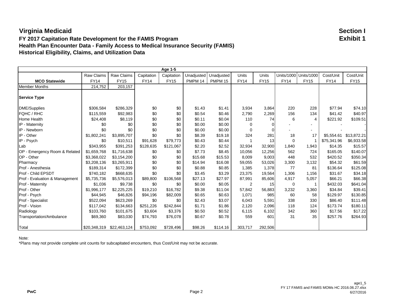#### **FY 2017 Capitation Rate Development for the FAMIS Program Exhibit 1 Health Plan Encounter Data - Family Access to Medical Insurance Security (FAMIS) Historical Eligibility, Claims, and Utilization Data**

| Age 1-5                        |             |                           |             |             |                |                    |             |             |             |                       |             |             |  |
|--------------------------------|-------------|---------------------------|-------------|-------------|----------------|--------------------|-------------|-------------|-------------|-----------------------|-------------|-------------|--|
|                                | Raw Claims  | Raw Claims                | Capitation  | Capitation  | Unadjusted     | Unadjusted         | Units       | Units       |             | Units/1000 Units/1000 | Cost/Unit   | Cost/Unit   |  |
| <b>MCO Statewide</b>           | <b>FY14</b> | <b>FY15</b>               | <b>FY14</b> | <b>FY15</b> | <b>PMPM 14</b> | PMPM <sub>15</sub> | <b>FY14</b> | <b>FY15</b> | <b>FY14</b> | <b>FY15</b>           | <b>FY14</b> | <b>FY15</b> |  |
| <b>Member Months</b>           | 214,752     | 203,157                   |             |             |                |                    |             |             |             |                       |             |             |  |
| <b>Service Type</b>            |             |                           |             |             |                |                    |             |             |             |                       |             |             |  |
| DME/Supplies                   | \$306,584   | \$286,329                 | \$0         | \$0         | \$1.43         | \$1.41             | 3,934       | 3,864       | 220         | 228                   | \$77.94     | \$74.10     |  |
| FQHC / RHC                     | \$115,559   | \$92,983                  | \$0         | \$0         | \$0.54         | \$0.46             | 2.790       | 2,269       | 156         | 134                   | \$41.42     | \$40.97     |  |
| <b>Home Health</b>             | \$24,408    | \$8,119                   | \$0         | \$0         | \$0.11         | \$0.04             | 110         | 74          | 6           | 4                     | \$221.92    | \$109.51    |  |
| IP - Maternity                 | \$0         | \$0                       | \$0         | \$0         | \$0.00         | \$0.00             | $\Omega$    | 0           |             |                       |             |             |  |
| IP - Newborn                   | \$0         | \$0                       | \$0         | \$0         | \$0.00         | \$0.00             | $\Omega$    | $\Omega$    |             | ۰                     |             |             |  |
| IP - Other                     | \$1,802,241 | \$3,895,707               | \$0         | \$0         | \$8.39         | \$19.18            | 324         | 281         | 18          | 17                    | \$5,554.61  | \$13,872.21 |  |
| IP - Psych                     | \$0         | \$10,511                  | \$91,628    | \$79,773    | \$0.43         | \$0.44             | -1          | 13          | 0           |                       | \$75,341.96 | \$6,933.58  |  |
| Lab                            | \$343,955   | \$391,253                 | \$128,635   | \$121,067   | \$2.20         | \$2.52             | 32,934      | 32,900      | 1,840       | 1,943                 | \$14.35     | \$15.57     |  |
| OP - Emergency Room & Related  | \$1,659,768 | \$1,716,638               | \$0         | \$0         | \$7.73         | \$8.45             | 10,056      | 12,256      | 562         | 724                   | \$165.05    | \$140.07    |  |
| OP - Other                     | \$3,368,022 | \$3,154,200               | \$0         | \$0         | \$15.68        | \$15.53            | 8,009       | 9,003       | 448         | 532                   | \$420.52    | \$350.34    |  |
| Pharmacy                       | \$3,208,136 | \$3,265,911               | \$0         | \$0         | \$14.94        | \$16.08            | 59,055      | 53,026      | 3,300       | 3,132                 | \$54.32     | \$61.59     |  |
| Prof - Anesthesia              | \$189,314   | \$172,399                 | \$0         | \$0         | \$0.88         | \$0.85             | 1,385       | 1,378       | 77          | 81                    | \$136.64    | \$125.08    |  |
| <b>Prof - Child EPSDT</b>      | \$740,182   | \$668,635                 | \$0         | \$0         | \$3.45         | \$3.29             | 23.375      | 19.564      | 1.306       | 1.156                 | \$31.67     | \$34.18     |  |
| Prof - Evaluation & Management | \$5,735,736 | \$5,576,013               | \$89,800    | \$106,568   | \$27.13        | \$27.97            | 87,991      | 85,606      | 4,917       | 5,057                 | \$66.21     | \$66.38     |  |
| Prof - Maternity               | \$1,036     | \$9,738                   | \$0         | \$0         | \$0.00         | \$0.05             | 2           | 15          | 0           | 1                     | \$432.03    | \$641.04    |  |
| Prof - Other                   | \$1,996,177 | \$2,225,225               | \$19,210    | \$16,782    | \$9.38         | \$11.04            | 57,842      | 56,883      | 3,232       | 3,360                 | \$34.84     | \$39.41     |  |
| Prof - Psych                   | \$44,945    | \$46,826                  | \$94,196    | \$82,009    | \$0.65         | \$0.63             | 1,071       | 985         | 60          | 58                    | \$129.97    | \$130.85    |  |
| Prof - Specialist              | \$522,094   | \$623,269                 | \$0         | \$0         | \$2.43         | \$3.07             | 6.043       | 5,591       | 338         | 330                   | \$86.40     | \$111.48    |  |
| Prof - Vision                  | \$117,042   | \$134,663                 | \$251,226   | \$242,844   | \$1.71         | \$1.86             | 2,120       | 2,096       | 118         | 124                   | \$173.74    | \$180.11    |  |
| Radiology                      | \$103,760   | \$101,675                 | \$3,604     | \$3,376     | \$0.50         | \$0.52             | 6,115       | 6,102       | 342         | 360                   | \$17.56     | \$17.22     |  |
| Transportation/Ambulance       | \$69,360    | \$83,030                  | \$74,793    | \$76,078    | \$0.67         | \$0.78             | 559         | 601         | 31          | 35                    | \$257.76    | \$264.93    |  |
| Total                          |             | \$20,348,319 \$22,463,124 | \$753,092   | \$728,496   | \$98.26        | \$114.16           | 303,717     | 292,506     |             |                       |             |             |  |

Note: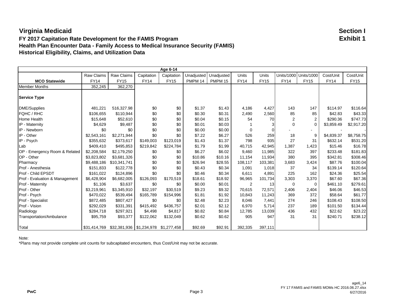#### **FY 2017 Capitation Rate Development for the FAMIS Program Exhibit 1 Health Plan Encounter Data - Family Access to Medical Insurance Security (FAMIS) Historical Eligibility, Claims, and Utilization Data**

| Age 6-14                       |             |                                                     |             |             |            |            |              |             |                |                       |             |             |  |
|--------------------------------|-------------|-----------------------------------------------------|-------------|-------------|------------|------------|--------------|-------------|----------------|-----------------------|-------------|-------------|--|
|                                | Raw Claims  | <b>Raw Claims</b>                                   | Capitation  | Capitation  | Unadjusted | Unadjusted | <b>Units</b> | Units       |                | Units/1000 Units/1000 | Cost/Unit   | Cost/Unit   |  |
| <b>MCO Statewide</b>           | <b>FY14</b> | <b>FY15</b>                                         | <b>FY14</b> | <b>FY15</b> | PMPM 14    | PMPM 15    | <b>FY14</b>  | <b>FY15</b> | <b>FY14</b>    | <b>FY15</b>           | <b>FY14</b> | <b>FY15</b> |  |
| <b>Member Months</b>           | 352,245     | 362,270                                             |             |             |            |            |              |             |                |                       |             |             |  |
| <b>Service Type</b>            |             |                                                     |             |             |            |            |              |             |                |                       |             |             |  |
| DME/Supplies                   | 481,221     | 516,327.98                                          | \$0         | \$0         | \$1.37     | \$1.43     | 4,186        | 4,427       | 143            | 147                   | \$114.97    | \$116.64    |  |
| FQHC / RHC                     | \$106,655   | \$110.944                                           | \$0         | \$0         | \$0.30     | \$0.31     | 2,490        | 2,560       | 85             | 85                    | \$42.83     | \$43.33     |  |
| Home Health                    | \$15,648    | \$52,610                                            | \$0         | \$0         | \$0.04     | \$0.15     | 54           | 70          | $\overline{2}$ | 2                     | \$290.36    | \$747.73    |  |
| IP - Maternity                 | \$4,629     | \$9,487                                             | \$0         | \$0         | \$0.01     | \$0.03     |              |             | $\mathbf 0$    | $\mathbf 0$           | \$3,859.49  | \$2,917.20  |  |
| IP - Newborn                   | \$0         | \$0                                                 | \$0         | \$0         | \$0.00     | \$0.00     | 0            | $\Omega$    |                | $\sim$                |             |             |  |
| IP - Other                     | \$2,543,161 | \$2,271,944                                         | \$0         | \$0         | \$7.22     | \$6.27     | 526          | 259         | 18             | 9                     | \$4,839.37  | \$8,758.75  |  |
| IP - Psych                     | \$355,632   | \$373,617                                           | \$149,003   | \$123,019   | \$1.43     | \$1.37     | 798          | 935         | 27             | 31                    | \$632.14    | \$531.20    |  |
| <b>Lab</b>                     | \$409,410   | \$495,853                                           | \$219,842   | \$224,784   | \$1.79     | \$1.99     | 40,715       | 42,945      | 1,387          | 1,423                 | \$15.46     | \$16.78     |  |
| OP - Emergency Room & Related  | \$2,208,584 | \$2,179,250                                         | \$0         | \$0         | \$6.27     | \$6.02     | 9.460        | 11,985      | 322            | 397                   | \$233.48    | \$181.83    |  |
| OP - Other                     | \$3,823,802 | \$3,681,326                                         | \$0         | \$0         | \$10.86    | \$10.16    | 11,154       | 11,934      | 380            | 395                   | \$342.81    | \$308.46    |  |
| Pharmacy                       | \$9,488,186 | \$10,341,741                                        | \$0         | \$0         | \$26.94    | \$28.55    | 108,117      | 103,381     | 3,683          | 3,424                 | \$87.76     | \$100.04    |  |
| Prof - Anesthesia              | \$151,833   | \$122,778                                           | \$0         | \$0         | \$0.43     | \$0.34     | 1,091        | 1,018       | 37             | 34                    | \$139.14    | \$120.64    |  |
| <b>Prof - Child EPSDT</b>      | \$161,022   | \$124,896                                           | \$0         | \$0         | \$0.46     | \$0.34     | 6.611        | 4,891       | 225            | 162                   | \$24.36     | \$25.54     |  |
| Prof - Evaluation & Management | \$6,428,904 | \$6,682,005                                         | \$126,093   | \$170,519   | \$18.61    | \$18.92    | 96,965       | 101,734     | 3,303          | 3,370                 | \$67.60     | \$67.36     |  |
| Prof - Maternity               | \$1,106     | \$3,637                                             | \$0         | \$0         | \$0.00     | \$0.01     | 2            | 13          | 0              | 0                     | \$461.10    | \$279.61    |  |
| <b>Prof</b> - Other            | \$3,219,961 | \$3,345,910                                         | \$32,197    | \$30,519    | \$9.23     | \$9.32     | 70,615       | 72,571      | 2,406          | 2,404                 | \$46.06     | \$46.53     |  |
| Prof - Psych                   | \$470,022   | \$539,494                                           | \$165,789   | \$154,996   | \$1.81     | \$1.92     | 10.843       | 11,243      | 369            | 372                   | \$58.64     | \$61.77     |  |
| Prof - Specialist              | \$872,485   | \$807,427                                           | \$0         | \$0         | \$2.48     | \$2.23     | 8,046        | 7,441       | 274            | 246                   | \$108.43    | \$108.50    |  |
| Prof - Vision                  | \$292,029   | \$331,391                                           | \$415,492   | \$436,757   | \$2.01     | \$2.12     | 6,970        | 5,714       | 237            | 189                   | \$101.50    | \$134.44    |  |
| Radiology                      | \$284,718   | \$297,921                                           | \$4,498     | \$4,817     | \$0.82     | \$0.84     | 12,785       | 13,039      | 436            | 432                   | \$22.62     | \$23.22     |  |
| Transportation/Ambulance       | \$95,759    | \$93,377                                            | \$122,062   | \$132,049   | \$0.62     | \$0.62     | 905          | 947         | 31             | 31                    | \$240.71    | \$238.12    |  |
| Total                          |             | \$31,414,769 \$32,381,936   \$1,234,978 \$1,277,458 |             |             | \$92.69    | \$92.91    | 392,335      | 397,111     |                |                       |             |             |  |

#### Note: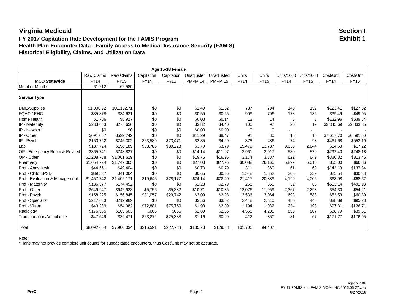#### **FY 2017 Capitation Rate Development for the FAMIS Program Exhibit 1 Health Plan Encounter Data - Family Access to Medical Insurance Security (FAMIS) Historical Eligibility, Claims, and Utilization Data**

| Age 15-18 Female<br>Cost/Unit<br>Cost/Unit                                                                                                       |             |             |             |             |          |                    |             |                |             |             |             |             |  |
|--------------------------------------------------------------------------------------------------------------------------------------------------|-------------|-------------|-------------|-------------|----------|--------------------|-------------|----------------|-------------|-------------|-------------|-------------|--|
| <b>Raw Claims</b><br><b>Raw Claims</b><br>Capitation<br>Unadjusted<br><b>Units</b><br>Units<br>Units/1000 Units/1000<br>Capitation<br>Unadjusted |             |             |             |             |          |                    |             |                |             |             |             |             |  |
| <b>MCO Statewide</b>                                                                                                                             | <b>FY14</b> | <b>FY15</b> | <b>FY14</b> | <b>FY15</b> | PMPM 14  | PMPM <sub>15</sub> | <b>FY14</b> | <b>FY15</b>    | <b>FY14</b> | <b>FY15</b> | <b>FY14</b> | <b>FY15</b> |  |
| Member Months                                                                                                                                    | 61,212      | 62,580      |             |             |          |                    |             |                |             |             |             |             |  |
| <b>Service Type</b>                                                                                                                              |             |             |             |             |          |                    |             |                |             |             |             |             |  |
| <b>DME/Supplies</b>                                                                                                                              | 91,006.92   | 101,152.71  | \$0         | \$0         | \$1.49   | \$1.62             | 737         | 794            | 145         | 152         | \$123.41    | \$127.32    |  |
| FQHC / RHC                                                                                                                                       | \$35,878    | \$34,631    | \$0         | \$0         | \$0.59   | \$0.55             | 909         | 706            | 178         | 135         | \$39.49     | \$49.05     |  |
| Home Health                                                                                                                                      | \$1,706     | \$8,927     | \$0         | \$0         | \$0.03   | \$0.14             | 13          | 14             | 3           | 3           | \$132.96    | \$639.84    |  |
| IP - Maternity                                                                                                                                   | \$233,683   | \$275,656   | \$0         | \$0         | \$3.82   | \$4.40             | 100         | 97             | 20          | 19          | \$2,345.69  | \$2,833.85  |  |
| IP - Newborn                                                                                                                                     | \$0         | \$0         | \$0         | \$0         | \$0.00   | \$0.00             | 0           | $\overline{0}$ |             | ۰.          |             |             |  |
| IP - Other                                                                                                                                       | \$691.087   | \$529,742   | \$0         | \$0         | \$11.29  | \$8.47             | 91          | 80             | 18          | 15          | \$7,617.70  | \$6,591.50  |  |
| IP - Psych                                                                                                                                       | \$150,762   | \$245,302   | \$23,589    | \$23,471    | \$2.85   | \$4.29             | 378         | 486            | 74          | 93          | \$461.68    | \$553.19    |  |
| Lab                                                                                                                                              | \$187,724   | \$198,189   | \$38,786    | \$39,223    | \$3.70   | \$3.79             | 15,479      | 13.787         | 3,035       | 2,644       | \$14.63     | \$17.22     |  |
| OP - Emergency Room & Related                                                                                                                    | \$865,741   | \$748,837   | \$0         | \$0         | \$14.14  | \$11.97            | 2,961       | 3,017          | 580         | 579         | \$292.40    | \$248.18    |  |
| OP - Other                                                                                                                                       | \$1,208,738 | \$1,061,629 | \$0         | \$0         | \$19.75  | \$16.96            | 3,174       | 3,387          | 622         | 649         | \$380.82    | \$313.45    |  |
| Pharmacy                                                                                                                                         | \$1,654,724 | \$1,749,065 | \$0         | \$0         | \$27.03  | \$27.95            | 30,088      | 26,160         | 5,899       | 5,016       | \$55.00     | \$66.86     |  |
| Prof - Anesthesia                                                                                                                                | \$44,561    | \$49,404    | \$0         | \$0         | \$0.73   | \$0.79             | 311         | 360            | 61          | 69          | \$143.13    | \$137.34    |  |
| Prof - Child EPSDT                                                                                                                               | \$39,537    | \$41,064    | \$0         | \$0         | \$0.65   | \$0.66             | 1,548       | 1,352          | 303         | 259         | \$25.54     | \$30.38     |  |
| Prof - Evaluation & Management                                                                                                                   | \$1,457,742 | \$1,405,171 | \$19,645    | \$28,177    | \$24.14  | \$22.90            | 21,417      | 20,889         | 4,199       | 4,006       | \$68.98     | \$68.62     |  |
| Prof - Maternity                                                                                                                                 | \$136,577   | \$174,452   | \$0         | \$0         | \$2.23   | \$2.79             | 266         | 355            | 52          | 68          | \$513.14    | \$491.98    |  |
| Prof - Other                                                                                                                                     | \$649,947   | \$642,923   | \$5,756     | \$5,382     | \$10.71  | \$10.36            | 12,076      | 11,959         | 2,367       | 2,293       | \$54.30     | \$54.21     |  |
| Prof - Psych                                                                                                                                     | \$158,225   | \$156,845   | \$31,057    | \$29,742    | \$3.09   | \$2.98             | 3,536       | 3,064          | 693         | 588         | \$53.53     | \$60.89     |  |
| Prof - Specialist                                                                                                                                | \$217,633   | \$219,989   | \$0         | \$0         | \$3.56   | \$3.52             | 2,448       | 2,310          | 480         | 443         | \$88.89     | \$95.23     |  |
| Prof - Vision                                                                                                                                    | \$43,289    | \$54,982    | \$72,881    | \$75,750    | \$1.90   | \$2.09             | 1,194       | 1,032          | 234         | 198         | \$97.31     | \$126.71    |  |
| Radiology                                                                                                                                        | \$176,555   | \$165,603   | \$605       | \$656       | \$2.89   | \$2.66             | 4,568       | 4,208          | 895         | 807         | \$38.79     | \$39.51     |  |
| Transportation/Ambulance                                                                                                                         | \$47,549    | \$36,471    | \$23,272    | \$25,383    | \$1.16   | \$0.99             | 412         | 350            | 81          | 67          | \$171.77    | \$176.95    |  |
| <b>Total</b>                                                                                                                                     | \$8,092,664 | \$7,900,034 | \$215,591   | \$227,783   | \$135.73 | \$129.88           | 101,705     | 94,407         |             |             |             |             |  |

Note: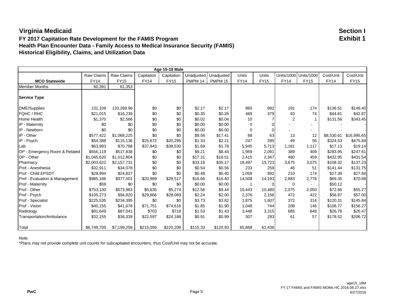#### **FY 2017 Capitation Rate Development for the FAMIS Program Exhibit 1 Health Plan Encounter Data - Family Access to Medical Insurance Security (FAMIS) Historical Eligibility, Claims, and Utilization Data**

| <b>Age 15-18 Male</b><br><b>Raw Claims</b><br><b>Raw Claims</b><br>Capitation<br>Capitation<br>Unadjusted<br>Unadjusted<br><b>Units</b><br>Units |                       |             |             |             |          |                    |             |             |                |                          |             |             |  |
|--------------------------------------------------------------------------------------------------------------------------------------------------|-----------------------|-------------|-------------|-------------|----------|--------------------|-------------|-------------|----------------|--------------------------|-------------|-------------|--|
|                                                                                                                                                  | Units/1000 Units/1000 | Cost/Unit   | Cost/Unit   |             |          |                    |             |             |                |                          |             |             |  |
| <b>MCO Statewide</b>                                                                                                                             | <b>FY14</b>           | <b>FY15</b> | <b>FY14</b> | <b>FY15</b> | PMPM 14  | PMPM <sub>15</sub> | <b>FY14</b> | <b>FY15</b> | <b>FY14</b>    | <b>FY15</b>              | <b>FY14</b> | <b>FY15</b> |  |
| <b>Member Months</b>                                                                                                                             | 60,391                | 61,353      |             |             |          |                    |             |             |                |                          |             |             |  |
| <b>Service Type</b>                                                                                                                              |                       |             |             |             |          |                    |             |             |                |                          |             |             |  |
| DME/Supplies                                                                                                                                     | 131,109               | 133,269.96  | \$0         | \$0         | \$2.17   | \$2.17             | 960         | 892         | 191            | 174                      | \$136.51    | \$149.40    |  |
| FQHC / RHC                                                                                                                                       | \$21,015              | \$16,239    | \$0         | \$0         | \$0.35   | \$0.26             | 469         | 379         | 93             | 74                       | \$44.81     | \$42.87     |  |
| Home Health                                                                                                                                      | \$1,370               | \$2,566     | \$0         | \$0         | \$0.02   | \$0.04             | 10          |             | $\overline{2}$ | 1                        | \$131.56    | \$343.45    |  |
| IP - Maternity                                                                                                                                   | \$0                   | \$0         | \$0         | \$0         | \$0.00   | \$0.00             | $\Omega$    |             |                |                          |             |             |  |
| IP - Newborn                                                                                                                                     | \$0                   | \$0         | \$0         | \$0         | \$0.00   | \$0.00             | 0           | $\Omega$    |                | ۰                        |             |             |  |
| IP - Other                                                                                                                                       | \$577,422             | \$1,068,225 | \$0         | \$0         | \$9.56   | \$17.41            | 68          | 63          | 13             | 12                       | \$8,530.61  | \$16,995.65 |  |
| IP - Psych                                                                                                                                       | \$54,388              | \$115,136   | \$25,672    | \$20,295    | \$1.33   | \$2.21             | 247         | 285         | 49             | 56                       | \$324.53    | \$475.84    |  |
| Lab                                                                                                                                              | \$63,993              | \$70,788    | \$37,843    | \$38,530    | \$1.69   | \$1.78             | 5,945       | 5,713       | 1,181          | 1.117                    | \$17.13     | \$19.14     |  |
| OP - Emergency Room & Related                                                                                                                    | \$556,119             | \$517,838   | \$0         | \$0         | \$9.21   | \$8.44             | 1,959       | 2,091       | 389            | 409                      | \$283.95    | \$247.61    |  |
| OP - Other                                                                                                                                       | \$1,045,620           | \$1,012,804 | \$0         | \$0         | \$17.31  | \$16.51            | 2,415       | 2,347       | 480            | 459                      | \$432.95    | \$431.54    |  |
| Pharmacy                                                                                                                                         | \$2,003,622           | \$2,157,731 | \$0         | \$0         | \$33.18  | \$35.17            | 18,497      | 15,723      | 3,675          | 3,075                    | \$108.32    | \$137.23    |  |
| Prof - Anesthesia                                                                                                                                | \$32,911              | \$34,078    | \$0         | \$0         | \$0.54   | \$0.56             | 233         | 259         | 46             | 51                       | \$141.44    | \$131.75    |  |
| Prof - Child EPSDT                                                                                                                               | \$28,994              | \$24,827    | \$0         | \$0         | \$0.48   | \$0.40             | 1,059       | 892         | 210            | 174                      | \$27.39     | \$27.84     |  |
| Prof - Evaluation & Management                                                                                                                   | \$985,186             | \$977,501   | \$20,989    | \$28,517    | \$16.66  | \$16.40            | 14,508      | 14,193      | 2,883          | 2,776                    | \$69.35     | \$70.88     |  |
| Prof - Maternity                                                                                                                                 | \$59                  | \$0         | \$0         | \$0         | \$0.00   | \$0.00             | -1          | $\Omega$    | 0              | $\overline{\phantom{a}}$ | \$50.12     |             |  |
| Prof - Other                                                                                                                                     | \$753,130             | \$573,983   | \$5,635     | \$5,274     | \$12.56  | \$9.44             | 10,443      | 10,480      | 2,075          | 2,050                    | \$72.66     | \$55.27     |  |
| Prof - Psych                                                                                                                                     | \$105,273             | \$94,820    | \$29,866    | \$28,069    | \$2.24   | \$2.00             | 2,376       | 2,156       | 472            | 422                      | \$56.87     | \$57.00     |  |
| Prof - Specialist                                                                                                                                | \$225,535             | \$234,395   | \$0         | \$0         | \$3.73   | \$3.82             | 1,875       | 1,607       | 372            | 314                      | \$120.31    | \$145.84    |  |
| Prof - Vision                                                                                                                                    | \$40,155              | \$41,678    | \$71,751    | \$74,616    | \$1.85   | \$1.90             | 1,048       | 744         | 208            | 146                      | \$106.77    | \$156.27    |  |
| Radiology                                                                                                                                        | \$91,649              | \$87,041    | \$703       | \$718       | \$1.53   | \$1.43             | 3,448       | 3,315       | 685            | 648                      | \$26.78     | \$26.47     |  |
| Transportation/Ambulance                                                                                                                         | \$32,155              | \$36,339    | \$22,597    | \$24,188    | \$0.91   | \$0.99             | 307         | 293         | 61             | 57                       | \$178.52    | \$206.72    |  |
| <b>Total</b>                                                                                                                                     | \$6,749,705           | \$7,199,258 | \$215,056   | \$220,208   | \$115.33 | \$120.93           | 65,868      | 61,438      |                |                          |             |             |  |

Note: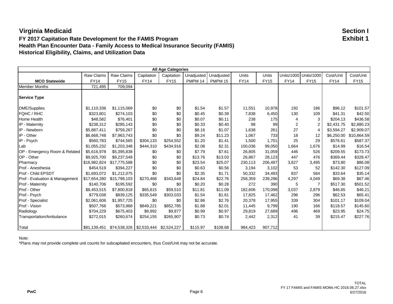#### **FY 2017 Capitation Rate Development for the FAMIS Program Exhibit 1 Health Plan Encounter Data - Family Access to Medical Insurance Security (FAMIS) Historical Eligibility, Claims, and Utilization Data**

| All Age Categories             |              |                                        |             |             |            |                    |             |             |                |                       |             |             |  |
|--------------------------------|--------------|----------------------------------------|-------------|-------------|------------|--------------------|-------------|-------------|----------------|-----------------------|-------------|-------------|--|
|                                | Raw Claims   | <b>Raw Claims</b>                      | Capitation  | Capitation  | Unadjusted | Unadjusted         | Units       | Units       |                | Units/1000 Units/1000 | Cost/Unit   | Cost/Unit   |  |
| <b>MCO Statewide</b>           | <b>FY14</b>  | <b>FY15</b>                            | <b>FY14</b> | <b>FY15</b> | PMPM 14    | PMPM <sub>15</sub> | <b>FY14</b> | <b>FY15</b> | <b>FY14</b>    | <b>FY15</b>           | <b>FY14</b> | <b>FY15</b> |  |
| <b>Member Months</b>           | 721,495      | 709,094                                |             |             |            |                    |             |             |                |                       |             |             |  |
| <b>Service Type</b>            |              |                                        |             |             |            |                    |             |             |                |                       |             |             |  |
| <b>DME/Supplies</b>            | \$1,110,336  | \$1,115,069                            | \$0         | \$0         | \$1.54     | \$1.57             | 11,551      | 10,978      | 192            | 186                   | \$96.12     | \$101.57    |  |
| FQHC / RHC                     | \$323,801    | \$274,103                              | \$0         | \$0         | \$0.45     | \$0.39             | 7,838       | 6,450       | 130            | 109                   | \$41.31     | \$42.50     |  |
| <b>Home Health</b>             | \$48,582     | \$76,401                               | \$0         | \$0         | \$0.07     | \$0.11             | 238         | 175         | 4              | 3                     | \$204.13    | \$436.58    |  |
| IP - Maternity                 | \$238,312    | \$285,143                              | \$0         | \$0         | \$0.33     | \$0.40             | 98          | 99          | $\overline{c}$ | $\overline{2}$        | \$2,431.75  | \$2,880.23  |  |
| IP - Newborn                   | \$5,887,411  | \$759,267                              | \$0         | \$0         | \$8.16     | \$1.07             | 1,638       | 261         | 27             | $\boldsymbol{\Delta}$ | \$3,594.27  | \$2,909.07  |  |
| IP - Other                     | \$6,668,748  | \$7,963,743                            | \$0         | \$0         | \$9.24     | \$11.23            | 1,067       | 733         | 18             | 12                    | \$6,250.00  | \$10,864.59 |  |
| IP - Psych                     | \$560,783    | \$744,565                              | \$304,133   | \$254,552   | \$1.20     | \$1.41             | 1,500       | 1,701       | 25             | 29                    | \$576.61    | \$587.37    |  |
| Lab                            | \$1,055,232  | \$1,203,348                            | \$444,310   | \$434,916   | \$2.08     | \$2.31             | 100,036     | 99,050      | 1,664          | 1,676                 | \$14.99     | \$16.54     |  |
| OP - Emergency Room & Related  | \$5,616,978  | \$5,395,838                            | \$0         | \$0         | \$7.79     | \$7.61             | 26,805      | 31.059      | 446            | 526                   | \$209.55    | \$173.73    |  |
| OP - Other                     | \$9,925,700  | \$9,237,549                            | \$0         | \$0         | \$13.76    | \$13.03            | 26,867      | 28,123      | 447            | 476                   | \$369.44    | \$328.47    |  |
| Pharmacy                       | \$16,982,824 | \$17,775,588                           | \$0         | \$0         | \$23.54    | \$25.07            | 230,113     | 206,497     | 3,827          | 3,495                 | \$73.80     | \$86.08     |  |
| Prof - Anesthesia              | \$454,519    | \$394,227                              | \$0         | \$0         | \$0.63     | \$0.56             | 3,194       | 3,102       | 53             | 52                    | \$142.30    | \$127.09    |  |
| <b>Prof - Child EPSDT</b>      | \$1,693,072  | \$1,212,075                            | \$0         | \$0         | \$2.35     | \$1.71             | 50,332      | 34,493      | 837            | 584                   | \$33.64     | \$35.14     |  |
| Prof - Evaluation & Management | \$17,654,280 | \$15,798,103                           | \$270,468   | \$343,648   | \$24.84    | \$22.76            | 258,359     | 239,286     | 4,297          | 4,049                 | \$69.38     | \$67.46     |  |
| Prof - Maternity               | \$140,706    | \$195,592                              | \$0         | \$0         | \$0.20     | \$0.28             | 272         | 390         | 5              | $\overline{7}$        | \$517.30    | \$501.52    |  |
| Prof - Other                   | \$8,453,515  | \$7,800,818                            | \$65,615    | \$59,510    | \$11.81    | \$11.09            | 182,606     | 170,098     | 3,037          | 2,879                 | \$46.65     | \$46.21     |  |
| Prof - Psych                   | \$779,038    | \$839,125                              | \$335,549   | \$303,033   | \$1.54     | \$1.61             | 17,825      | 17,462      | 296            | 296                   | \$62.53     | \$65.41     |  |
| Prof - Specialist              | \$2,061,606  | \$1,957,725                            | \$0         | \$0         | \$2.86     | \$2.76             | 20,378      | 17,955      | 339            | 304                   | \$101.17    | \$109.04    |  |
| Prof - Vision                  | \$507,766    | \$573,968                              | \$849,221   | \$852,785   | \$1.88     | \$2.01             | 11,445      | 9,799       | 190            | 166                   | \$118.57    | \$145.60    |  |
| Radiology                      | \$704,229    | \$675,403                              | \$9,992     | \$9,877     | \$0.99     | \$0.97             | 29,819      | 27,689      | 496            | 469                   | \$23.95     | \$24.75     |  |
| Transportation/Ambulance       | \$272,015    | \$260,674                              | \$254,155   | \$265,907   | \$0.73     | \$0.74             | 2,442       | 2,312       | 41             | 39                    | \$215.47    | \$227.76    |  |
| Total                          | \$81,139,451 | \$74,538,326   \$2,533,444 \$2,524,227 |             |             | \$115.97   | \$108.68           | 984,423     | 907,712     |                |                       |             |             |  |

#### Note: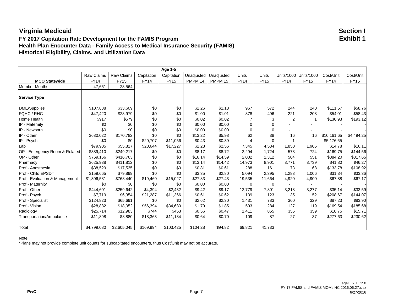#### **FY 2017 Capitation Rate Development for the FAMIS Program Exhibit 1 Health Plan Encounter Data - Family Access to Medical Insurance Security (FAMIS) Historical Eligibility, Claims, and Utilization Data**

| Age 1-5                        |             |             |             |             |            |                    |             |                |             |                   |             |             |
|--------------------------------|-------------|-------------|-------------|-------------|------------|--------------------|-------------|----------------|-------------|-------------------|-------------|-------------|
|                                | Raw Claims  | Raw Claims  | Capitation  | Capitation  | Unadjusted | Unadjusted         | Units       | Units          | Units/1000  | <b>Units/1000</b> | Cost/Unit   | Cost/Unit   |
| <b>MCO Statewide</b>           | <b>FY14</b> | <b>FY15</b> | <b>FY14</b> | <b>FY15</b> | PMPM 14    | PMPM <sub>15</sub> | <b>FY14</b> | <b>FY15</b>    | <b>FY14</b> | <b>FY15</b>       | <b>FY14</b> | <b>FY15</b> |
| <b>Member Months</b>           | 47,651      | 28,564      |             |             |            |                    |             |                |             |                   |             |             |
| <b>Service Type</b>            |             |             |             |             |            |                    |             |                |             |                   |             |             |
| <b>DME/Supplies</b>            | \$107,888   | \$33,609    | \$0         | \$0         | \$2.26     | \$1.18             | 967         | 572            | 244         | 240               | \$111.57    | \$58.76     |
| FQHC / RHC                     | \$47,420    | \$28,979    | \$0         | \$0         | \$1.00     | \$1.01             | 878         | 496            | 221         | 208               | \$54.01     | \$58.43     |
| Home Health                    | \$917       | \$579       | \$0         | \$0         | \$0.02     | \$0.02             |             | 31             | 2           | 1                 | \$130.93    | \$193.12    |
| IP - Maternity                 | \$0         | \$0         | \$0         | \$0         | \$0.00     | \$0.00             | $\mathbf 0$ |                |             |                   |             |             |
| IP - Newborn                   | \$0         | \$0         | \$0         | \$0         | \$0.00     | \$0.00             | $\Omega$    | $\Omega$       |             |                   |             |             |
| IP - Other                     | \$630,022   | \$170,782   | \$0         | \$0         | \$13.22    | \$5.98             | 62          | 38             | 16          | 16                | \$10,161.65 | \$4,494.25  |
| IP - Psych                     | \$0         | \$0         | \$20,707    | \$11.056    | \$0.43     | \$0.39             | 4           | $\Omega$       |             |                   | \$5,176.65  |             |
| Lab                            | \$79,905    | \$55,827    | \$28,644    | \$17,227    | \$2.28     | \$2.56             | 7,345       | 4,534          | 1,850       | 1,905             | \$14.78     | \$16.11     |
| OP - Emergency Room & Related  | \$389,410   | \$249,217   | \$0         | \$0         | \$8.17     | \$8.72             | 2,294       | 1,724          | 578         | 724               | \$169.75    | \$144.56    |
| OP - Other                     | \$769,166   | \$416,763   | \$0         | \$0         | \$16.14    | \$14.59            | 2,002       | 1,312          | 504         | 551               | \$384.20    | \$317.65    |
| Pharmacy                       | \$625,938   | \$411,812   | \$0         | \$0         | \$13.14    | \$14.42            | 14,973      | 8,901          | 3,771       | 3,739             | \$41.80     | \$46.27     |
| Prof - Anesthesia              | \$38,529    | \$17,535    | \$0         | \$0         | \$0.81     | \$0.61             | 288         | 161            | 73          | 68                | \$133.78    | \$108.92    |
| Prof - Child EPSDT             | \$159.665   | \$79,899    | \$0         | \$0         | \$3.35     | \$2.80             | 5.094       | 2.395          | 1,283       | 1,006             | \$31.34     | \$33.36     |
| Prof - Evaluation & Management | \$1,306,581 | \$768,440   | \$19,460    | \$15,027    | \$27.83    | \$27.43            | 19,535      | 11,664         | 4,920       | 4,900             | \$67.88     | \$67.17     |
| Prof - Maternity               | \$0         | \$0         | \$0         | \$0         | \$0.00     | \$0.00             | $\mathbf 0$ | $\overline{0}$ |             | $\blacksquare$    |             |             |
| Prof - Other                   | \$444,601   | \$259,642   | \$4,394     | \$2,432     | \$9.42     | \$9.17             | 12,779      | 7,801          | 3,218       | 3,277             | \$35.14     | \$33.59     |
| Prof - Psych                   | \$7,719     | \$6,354     | \$21,287    | \$11,366    | \$0.61     | \$0.62             | 139         | 123            | 35          | 52                | \$208.67    | \$144.07    |
| Prof - Specialist              | \$124,823   | \$65,691    | \$0         | \$0         | \$2.62     | \$2.30             | 1,431       | 783            | 360         | 329               | \$87.23     | \$83.90     |
| Prof - Vision                  | \$28,882    | \$18,052    | \$56,394    | \$34,680    | \$1.79     | \$1.85             | 503         | 284            | 127         | 119               | \$169.54    | \$185.68    |
| Radiology                      | \$25,714    | \$12,983    | \$744       | \$453       | \$0.56     | \$0.47             | 1,411       | 855            | 355         | 359               | \$18.75     | \$15.71     |
| Transportation/Ambulance       | \$11,898    | \$8,880     | \$18,363    | \$11,184    | \$0.64     | \$0.70             | 109         | 87             | 27          | 37                | \$277.63    | \$230.62    |
| <b>Total</b>                   | \$4,799,080 | \$2,605,045 | \$169,994   | \$103,425   | \$104.28   | \$94.82            | 69,821      | 41,733         |             |                   |             |             |

Note: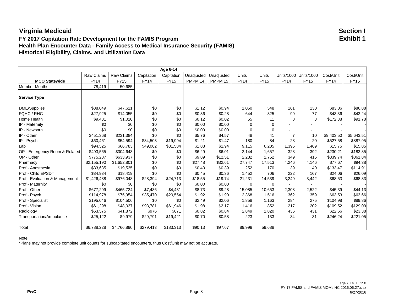#### **FY 2017 Capitation Rate Development for the FAMIS Program Exhibit 1 Health Plan Encounter Data - Family Access to Medical Insurance Security (FAMIS) Historical Eligibility, Claims, and Utilization Data**

| Age 6-14                       |                   |             |             |             |            |                    |              |             |                |                       |             |             |
|--------------------------------|-------------------|-------------|-------------|-------------|------------|--------------------|--------------|-------------|----------------|-----------------------|-------------|-------------|
|                                | <b>Raw Claims</b> | Raw Claims  | Capitation  | Capitation  | Unadjusted | Unadjusted         | <b>Units</b> | Units       |                | Units/1000 Units/1000 | Cost/Unit   | Cost/Unit   |
| <b>MCO Statewide</b>           | <b>FY14</b>       | <b>FY15</b> | <b>FY14</b> | <b>FY15</b> | PMPM 14    | PMPM <sub>15</sub> | <b>FY14</b>  | <b>FY15</b> | <b>FY14</b>    | <b>FY15</b>           | <b>FY14</b> | <b>FY15</b> |
| <b>Member Months</b>           | 78,419            | 50,685      |             |             |            |                    |              |             |                |                       |             |             |
| <b>Service Type</b>            |                   |             |             |             |            |                    |              |             |                |                       |             |             |
| DME/Supplies                   | \$88,049          | \$47,611    | \$0         | \$0         | \$1.12     | \$0.94             | 1,050        | 548         | 161            | 130                   | \$83.86     | \$86.88     |
| FQHC / RHC                     | \$27,925          | \$14,055    | \$0         | \$0         | \$0.36     | \$0.28             | 644          | 325         | 99             | 77                    | \$43.36     | \$43.24     |
| <b>Home Health</b>             | \$9,481           | \$1,010     | \$0         | \$0         | \$0.12     | \$0.02             | 55           | 11          | 8              | 3                     | \$172.38    | \$91.78     |
| IP - Maternity                 | \$0               | \$0         | \$0         | \$0         | \$0.00     | \$0.00             | $\Omega$     | $\Omega$    |                |                       |             |             |
| IP - Newborn                   | \$0               | \$0         | \$0         | \$0         | \$0.00     | \$0.00             | $\Omega$     | $\Omega$    |                |                       |             |             |
| IP - Other                     | \$451,368         | \$231,384   | \$0         | \$0         | \$5.76     | \$4.57             | 48           | 41          | $\overline{7}$ | 10                    | \$9,403.50  | \$5,643.51  |
| IP - Psych                     | \$60,461          | \$54,594    | \$34,503    | \$19,994    | \$1.21     | \$1.47             | 180          | 84          | 28             | 20                    | \$527.58    | \$887.95    |
| Lab                            | \$94,525          | \$66,783    | \$49,062    | \$31,584    | \$1.83     | \$1.94             | 9.115        | 6,205       | 1,395          | 1,469                 | \$15.75     | \$15.85     |
| OP - Emergency Room & Related  | \$493,565         | \$304,643   | \$0         | \$0         | \$6.29     | \$6.01             | 2,144        | 1,657       | 328            | 392                   | \$230.21    | \$183.85    |
| OP - Other                     | \$775,287         | \$633,937   | \$0         | \$0         | \$9.89     | \$12.51            | 2,282        | 1,752       | 349            | 415                   | \$339.74    | \$361.84    |
| Pharmacy                       | \$2,155,190       | \$1,652,801 | \$0         | \$0         | \$27.48    | \$32.61            | 27,747       | 17,513      | 4,246          | 4,146                 | \$77.67     | \$94.38     |
| Prof - Anesthesia              | \$33,635          | \$19,535    | \$0         | \$0         | \$0.43     | \$0.39             | 252          | 170         | 39             | 40                    | \$133.47    | \$114.91    |
| Prof - Child EPSDT             | \$34,934          | \$18,419    | \$0         | \$0         | \$0.45     | \$0.36             | 1,452        | 706         | 222            | 167                   | \$24.06     | \$26.09     |
| Prof - Evaluation & Management | \$1,426,488       | \$976,048   | \$28,394    | \$24,713    | \$18.55    | \$19.74            | 21,231       | 14,539      | 3,249          | 3,442                 | \$68.53     | \$68.83     |
| Prof - Maternity               | \$0               | \$0         | \$0         | \$0         | \$0.00     | \$0.00             | $\mathbf 0$  | $\Omega$    |                |                       |             |             |
| Prof - Other                   | \$677,299         | \$465,724   | \$7,436     | \$4,431     | \$8.73     | \$9.28             | 15,085       | 10,653      | 2,308          | 2,522                 | \$45.39     | \$44.13     |
| Prof - Psych                   | \$114,978         | \$75,954    | \$35,470    | \$20,554    | \$1.92     | \$1.90             | 2,368        | 1,516       | 362            | 359                   | \$63.53     | \$63.66     |
| Prof - Specialist              | \$195,046         | \$104,506   | \$0         | \$0         | \$2.49     | \$2.06             | 1,858        | 1,163       | 284            | 275                   | \$104.98    | \$89.86     |
| Prof - Vision                  | \$61,298          | \$48,037    | \$93,781    | \$61,946    | \$1.98     | \$2.17             | 1,416        | 852         | 217            | 202                   | \$109.52    | \$129.09    |
| Radiology                      | \$63,575          | \$41,872    | \$976       | \$671       | \$0.82     | \$0.84             | 2,849        | 1,820       | 436            | 431                   | \$22.66     | \$23.38     |
| Transportation/Ambulance       | \$25,122          | \$9,979     | \$29,791    | \$19,421    | \$0.70     | \$0.58             | 223          | 133         | 34             | 31                    | \$246.24    | \$221.05    |
| <b>Total</b>                   | \$6,788,228       | \$4,766,890 | \$279,413   | \$183,313   | \$90.13    | \$97.67            | 89,999       | 59,688      |                |                       |             |             |

#### Note: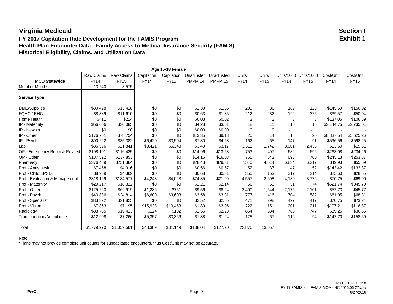#### **FY 2017 Capitation Rate Development for the FAMIS Program Exhibit 1 Health Plan Encounter Data - Family Access to Medical Insurance Security (FAMIS) Historical Eligibility, Claims, and Utilization Data**

| Age 15-18 Female               |                   |                   |             |             |            |            |             |                |             |                       |             |             |
|--------------------------------|-------------------|-------------------|-------------|-------------|------------|------------|-------------|----------------|-------------|-----------------------|-------------|-------------|
|                                | <b>Raw Claims</b> | <b>Raw Claims</b> | Capitation  | Capitation  | Unadjusted | Unadjusted | Units       | <b>Units</b>   |             | Units/1000 Units/1000 | Cost/Unit   | Cost/Unit   |
| <b>MCO Statewide</b>           | <b>FY14</b>       | <b>FY15</b>       | <b>FY14</b> | <b>FY15</b> | PMPM 14    | PMPM 15    | <b>FY14</b> | <b>FY15</b>    | <b>FY14</b> | <b>FY15</b>           | <b>FY14</b> | <b>FY15</b> |
| <b>Member Months</b>           | 13,240            | 8,575             |             |             |            |            |             |                |             |                       |             |             |
| <b>Service Type</b>            |                   |                   |             |             |            |            |             |                |             |                       |             |             |
| <b>DME/Supplies</b>            | \$30,428          | \$13,418          | \$0         | \$0         | \$2.30     | \$1.56     | 209         | 86             | 189         | 120                   | \$145.59    | \$156.02    |
| FQHC / RHC                     | \$8,389           | \$11,610          | \$0         | \$0         | \$0.63     | \$1.35     | 212         | 232            | 192         | 325                   | \$39.57     | \$50.04     |
| Home Health                    | \$411             | \$214             | \$0         | \$0         | \$0.03     | \$0.02     | 3           | $\overline{2}$ | 3           | 3                     | \$137.05    | \$106.89    |
| IP - Maternity                 | \$56,606          | \$30,085          | \$0         | \$0         | \$4.28     | \$3.51     | 18          | 11             | 16          | 15                    | \$3,144.75  | \$2,735.01  |
| IP - Newborn                   | \$0               | \$0               | \$0         | \$0         | \$0.00     | \$0.00     | $\mathbf 0$ | $\overline{0}$ |             | ۰.                    |             |             |
| IP - Other                     | \$176,751         | \$78,754          | \$0         | \$0         | \$13.35    | \$9.18     | 20          | 14             | 18          | 20                    | \$8,837.54  | \$5,625.26  |
| IP - Psych                     | \$90,222          | \$35,382          | \$6,420     | \$3,504     | \$7.30     | \$4.53     | 162         | 65             | 147         | 91                    | \$596.56    | \$598.25    |
| Lab                            | \$36,596          | \$21,841          | \$8,421     | \$5,348     | \$3.40     | \$3.17     | 3,311       | 1,742          | 3,001       | 2,438                 | \$13.60     | \$15.61     |
| OP - Emergency Room & Related  | \$198,101         | \$116,425         | \$0         | \$0         | \$14.96    | \$13.58    | 753         | 497            | 682         | 696                   | \$263.08    | \$234.26    |
| OP - Other                     | \$187,522         | \$137,853         | \$0         | \$0         | \$14.16    | \$16.08    | 765         | 543            | 693         | 760                   | \$245.13    | \$253.87    |
| Pharmacy                       | \$376,469         | \$251,364         | \$0         | \$0         | \$28.43    | \$29.31    | 7,540       | 4,514          | 6,834       | 6,317                 | \$49.93     | \$55.69     |
| Prof - Anesthesia              | \$7,458           | \$4,916           | \$0         | \$0         | \$0.56     | \$0.57     | 52          | 37             | 47          | 52                    | \$143.42    | \$132.87    |
| Prof - Child EPSDT             | \$8,959           | \$4,369           | \$0         | \$0         | \$0.68     | \$0.51     | 350         | 153            | 317         | 214                   | \$25.60     | \$28.55     |
| Prof - Evaluation & Management | \$318,169         | \$184,577         | \$4,243     | \$4,023     | \$24.35    | \$21.99    | 4,557       | 2,698          | 4,130       | 3,776                 | \$70.75     | \$69.90     |
| Prof - Maternity               | \$29,217          | \$18,322          | \$0         | \$0         | \$2.21     | \$2.14     | 56          | 53             | 51          | 74                    | \$521.74    | \$345.70    |
| Prof - Other                   | \$125,260         | \$69,919          | \$1,286     | \$751       | \$9.56     | \$8.24     | 2,400       | 1,544          | 2.175       | 2,161                 | \$52.73     | \$45.77     |
| Prof - Psych                   | \$40,836          | \$24,814          | \$6,600     | \$3,603     | \$3.58     | \$3.31     | 777         | 416            | 704         | 582                   | \$61.05     | \$68.31     |
| Prof - Specialist              | \$33,322          | \$21,825          | \$0         | \$0         | \$2.52     | \$2.55     | 471         | 298            | 427         | 417                   | \$70.75     | \$73.24     |
| Prof - Vision                  | \$7,863           | \$7,195           | \$15,938    | \$10,453    | \$1.80     | \$2.06     | 222         | 151            | 201         | 211                   | \$107.21    | \$116.87    |
| Radiology                      | \$33,785          | \$19,413          | \$124       | \$102       | \$2.56     | \$2.28     | 864         | 534            | 783         | 747                   | \$39.25     | \$36.55     |
| Transportation/Ambulance       | \$12,908          | \$7,266           | \$5,357     | \$3,366     | \$1.38     | \$1.24     | 128         | 67             | 116         | 94                    | \$142.70    | \$158.69    |
| <b>Total</b>                   | \$1,779,270       | \$1,059,561       | \$48,389    | \$31,149    | \$138.04   | \$127.20   | 22,870      | 13,657         |             |                       |             |             |

Note: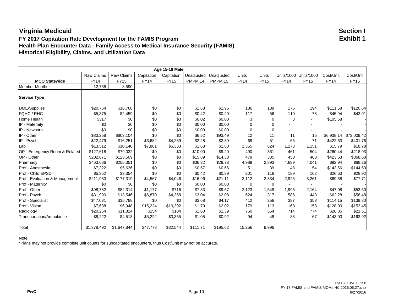#### **FY 2017 Capitation Rate Development for the FAMIS Program Exhibit 1 Health Plan Encounter Data - Family Access to Medical Insurance Security (FAMIS) Historical Eligibility, Claims, and Utilization Data**

| <b>Age 15-18 Male</b>          |                   |                   |             |             |            |                    |              |              |             |                          |             |                        |
|--------------------------------|-------------------|-------------------|-------------|-------------|------------|--------------------|--------------|--------------|-------------|--------------------------|-------------|------------------------|
|                                | <b>Raw Claims</b> | <b>Raw Claims</b> | Capitation  | Capitation  | Unadjusted | Unadjusted         | <b>Units</b> | <b>Units</b> |             | Units/1000 Units/1000    | Cost/Unit   | Cost/Unit              |
| <b>MCO Statewide</b>           | <b>FY14</b>       | <b>FY15</b>       | <b>FY14</b> | <b>FY15</b> | PMPM 14    | PMPM <sub>15</sub> | <b>FY14</b>  | <b>FY15</b>  | <b>FY14</b> | <b>FY15</b>              | <b>FY14</b> | <b>FY15</b>            |
| <b>Member Months</b>           | 12,768            | 8,590             |             |             |            |                    |              |              |             |                          |             |                        |
| <b>Service Type</b>            |                   |                   |             |             |            |                    |              |              |             |                          |             |                        |
| DME/Supplies                   | \$20,754          | \$16,768          | \$0         | \$0         | \$1.63     | \$1.95             | 186          | 139          | 175         | 194                      | \$111.58    | \$120.64               |
| FQHC / RHC                     | \$5,375           | \$2,459           | \$0         | \$0         | \$0.42     | \$0.29             | 117          | 56           | 110         | 78                       | \$45.94     | \$43.91                |
| Home Health                    | \$317             | \$0               | \$0         | \$0         | \$0.02     | \$0.00             | 3            | $\Omega$     | 3           | $\overline{\phantom{a}}$ | \$105.58    |                        |
| IP - Maternity                 | \$0               | \$0               | \$0         | \$0         | \$0.00     | \$0.00             | 0            |              |             | ۰                        |             |                        |
| IP - Newborn                   | \$0               | \$0               | \$0         | \$0         | \$0.00     | \$0.00             | 0            |              |             | -                        |             |                        |
| IP - Other                     | \$83,258          | \$803,104         | \$0         | \$0         | \$6.52     | \$93.49            | 12           | 11           | 11          | 15                       |             | \$6,938.14 \$73,009.42 |
| IP - Psych                     | \$22,479          | \$16,251          | \$6,682     | \$4,239     | \$2.28     | \$2.39             | 69           | 51           | 65          | 71                       | \$422.63    | \$401.76               |
| <b>Lab</b>                     | \$13,512          | \$10,140          | \$7,881     | \$5,333     | \$1.68     | \$1.80             | 1,355        | 824          | 1,273       | 1,151                    | \$15.79     | \$18.78                |
| OP - Emergency Room & Related  | \$127,618         | \$79,032          | \$0         | \$0         | \$10.00    | \$9.20             | 490          | 361          | 461         | 504                      | \$260.44    | \$218.93               |
| OP - Other                     | \$202,871         | \$123,509         | \$0         | \$0         | \$15.89    | \$14.38            | 479          | 335          | 450         | 468                      | \$423.53    | \$368.68               |
| Pharmacy                       | \$463,686         | \$255,351         | \$0         | \$0         | \$36.32    | \$29.73            | 4,989        | 2,893        | 4,689       | 4,041                    | \$92.94     | \$88.26                |
| Prof - Anesthesia              | \$7,322           | \$5,636           | \$0         | \$0         | \$0.57     | \$0.66             | 51           | 39           | 48          | 54                       | \$143.56    | \$144.50               |
| <b>Prof - Child EPSDT</b>      | \$5,352           | \$3,354           | \$0         | \$0         | \$0.42     | \$0.39             | 201          | 116          | 189         | 162                      | \$26.63     | \$28.92                |
| Prof - Evaluation & Management | \$211,980         | \$177,319         | \$4,567     | \$4,046     | \$16.96    | \$21.11            | 3,112        | 2,334        | 2,925       | 3,261                    | \$69.58     | \$77.71                |
| Prof - Maternity               | \$0               | \$0               | \$0         | \$0         | \$0.00     | \$0.00             | 0            | $\Omega$     |             | $\overline{\phantom{a}}$ |             |                        |
| Prof - Other                   | \$98,782          | \$82,314          | \$1.177     | \$716       | \$7.83     | \$9.67             | 2,123        | 1,549        | 1,995       | 2,164                    | \$47.08     | \$53.60                |
| Prof - Psych                   | \$31,990          | \$13,546          | \$6,870     | \$4,358     | \$3.04     | \$2.08             | 624          | 317          | 586         | 443                      | \$62.28     | \$56.48                |
| Prof - Specialist              | \$47,031          | \$35,788          | \$0         | \$0         | \$3.68     | \$4.17             | 412          | 256          | 387         | 358                      | \$114.15    | \$139.80               |
| Prof - Vision                  | \$7,688           | \$6,948           | \$15,224    | \$10,392    | \$1.79     | \$2.02             | 179          | 113          | 168         | 158                      | \$128.00    | \$153.45               |
| Radiology                      | \$20,254          | \$11,814          | \$154       | \$104       | \$1.60     | \$1.39             | 760          | 554          | 714         | 774                      | \$26.85     | \$21.51                |
| Transportation/Ambulance       | \$8,222           | \$4,513           | \$5,222     | \$3,355     | \$1.05     | \$0.92             | 94           | 48           | 88          | 67                       | \$143.03    | \$163.92               |
| Total                          | \$1,378,492       | \$1,647,844       | \$47,778    | \$32,544    | \$111.71   | \$195.62           | 15,256       | 9,996        |             |                          |             |                        |

Note: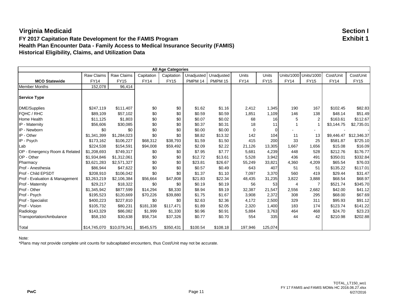#### **FY 2017 Capitation Rate Development for the FAMIS Program Exhibit 1 Health Plan Encounter Data - Family Access to Medical Insurance Security (FAMIS) Historical Eligibility, Claims, and Utilization Data**

|                                |                           |                   |             | <b>All Age Categories</b> |            |            |             |             |             |                   |             |             |
|--------------------------------|---------------------------|-------------------|-------------|---------------------------|------------|------------|-------------|-------------|-------------|-------------------|-------------|-------------|
|                                | <b>Raw Claims</b>         | <b>Raw Claims</b> | Capitation  | Capitation                | Unadjusted | Unadjusted | Units       | Units       | Units/1000  | <b>Units/1000</b> | Cost/Unit   | Cost/Unit   |
| <b>MCO Statewide</b>           | <b>FY14</b>               | <b>FY15</b>       | <b>FY14</b> | <b>FY15</b>               | PMPM 14    | PMPM 15    | <b>FY14</b> | <b>FY15</b> | <b>FY14</b> | <b>FY15</b>       | <b>FY14</b> | <b>FY15</b> |
| <b>Member Months</b>           | 152,078                   | 96,414            |             |                           |            |            |             |             |             |                   |             |             |
| <b>Service Type</b>            |                           |                   |             |                           |            |            |             |             |             |                   |             |             |
| <b>DME/Supplies</b>            | \$247.119                 | \$111,407         | \$0         | \$0                       | \$1.62     | \$1.16     | 2,412       | 1,345       | 190         | 167               | \$102.45    | \$82.83     |
| FQHC / RHC                     | \$89,109                  | \$57,102          | \$0         | \$0                       | \$0.59     | \$0.59     | 1,851       | 1,109       | 146         | 138               | \$48.14     | \$51.49     |
| Home Health                    | \$11,125                  | \$1,803           | \$0         | \$0                       | \$0.07     | \$0.02     | 68          | 16          | 5           | 2                 | \$163.61    | \$112.67    |
| IP - Maternity                 | \$56,606                  | \$30,085          | \$0         | \$0                       | \$0.37     | \$0.31     | 18          | 11          |             |                   | \$3,144.75  | \$2,735.01  |
| IP - Newborn                   | \$0                       | \$0               | \$0         | \$0                       | \$0.00     | \$0.00     | 0           | $\mathbf 0$ |             |                   |             |             |
| IP - Other                     | \$1,341,399               | \$1,284,023       | \$0         | \$0                       | \$8.82     | \$13.32    | 142         | 104         | 11          | 13                | \$9,446.47  | \$12,346.37 |
| IP - Psych                     | \$173,162                 | \$106,227         | \$68,312    | \$38,793                  | \$1.59     | \$1.50     | 415         | 200         | 33          | 25                | \$581.87    | \$725.10    |
| Lab                            | \$224,538                 | \$154,591         | \$94,008    | \$59,492                  | \$2.09     | \$2.22     | 21,126      | 13,305      | 1,667       | 1,656             | \$15.08     | \$16.09     |
| OP - Emergency Room & Related  | \$1,208,693               | \$749,317         | \$0         | \$0                       | \$7.95     | \$7.77     | 5,681       | 4,239       | 448         | 528               | \$212.76    | \$176.77    |
| OP - Other                     | \$1,934,846               | \$1,312,061       | \$0         | \$0                       | \$12.72    | \$13.61    | 5,528       | 3,942       | 436         | 491               | \$350.01    | \$332.84    |
| Pharmacy                       | \$3,621,283               | \$2,571,327       | \$0         | \$0                       | \$23.81    | \$26.67    | 55,249      | 33,821      | 4,360       | 4,209             | \$65.54     | \$76.03     |
| Prof - Anesthesia              | \$86,944                  | \$47,622          | \$0         | \$0                       | \$0.57     | \$0.49     | 643         | 407         | 51          | 51                | \$135.22    | \$117.01    |
| Prof - Child EPSDT             | \$208,910                 | \$106,042         | \$0         | \$0                       | \$1.37     | \$1.10     | 7,097       | 3,370       | 560         | 419               | \$29.44     | \$31.47     |
| Prof - Evaluation & Management | \$3,263,219               | \$2,106,384       | \$56,664    | \$47,808                  | \$21.83    | \$22.34    | 48,435      | 31,235      | 3,822       | 3,888             | \$68.54     | \$68.97     |
| Prof - Maternity               | \$29,217                  | \$18,322          | \$0         | \$0                       | \$0.19     | \$0.19     | 56          | 53          | 4           | $\overline{7}$    | \$521.74    | \$345.70    |
| Prof - Other                   | \$1,345,942               | \$877,599         | \$14,294    | \$8,330                   | \$8.94     | \$9.19     | 32,387      | 21,547      | 2,556       | 2,682             | \$42.00     | \$41.12     |
| Prof - Psych                   | \$195,523                 | \$120,669         | \$70,226    | \$39,880                  | \$1.75     | \$1.67     | 3,908       | 2,372       | 308         | 295               | \$68.00     | \$67.69     |
| Prof - Specialist              | \$400,223                 | \$227,810         | \$0         | \$0                       | \$2.63     | \$2.36     | 4.172       | 2,500       | 329         | 311               | \$95.93     | \$91.12     |
| Prof - Vision                  | \$105,732                 | \$80,231          | \$181,338   | \$117.471                 | \$1.89     | \$2.05     | 2,320       | 1.400       | 183         | 174               | \$123.74    | \$141.22    |
| Radiology                      | \$143,329                 | \$86,082          | \$1,999     | \$1,330                   | \$0.96     | \$0.91     | 5,884       | 3,763       | 464         | 468               | \$24.70     | \$23.23     |
| Transportation/Ambulance       | \$58,150                  | \$30,638          | \$58,734    | \$37,326                  | \$0.77     | \$0.70     | 554         | 335         | 44          | 42                | \$210.98    | \$202.88    |
| Total                          | \$14,745,070 \$10,079,341 |                   | \$545,575   | \$350,431                 | \$100.54   | \$108.18   | 197,946     | 125,074     |             |                   |             |             |

Note: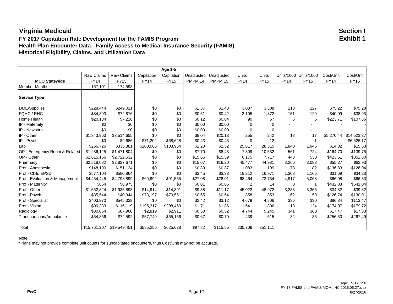#### **FY 2017 Capitation Rate Development for the FAMIS Program Exhibit 1 Health Plan Encounter Data - Family Access to Medical Insurance Security (FAMIS) Historical Eligibility, Claims, and Utilization Data**

|                                | Age 1-5                   |             |             |             |            |                    |             |             |             |                   |             |                        |
|--------------------------------|---------------------------|-------------|-------------|-------------|------------|--------------------|-------------|-------------|-------------|-------------------|-------------|------------------------|
|                                | Raw Claims                | Raw Claims  | Capitation  | Capitation  | Unadjusted | Unadjusted         | Units       | Units       | Units/1000  | <b>Units/1000</b> | Cost/Unit   | Cost/Unit              |
| <b>MCO Statewide</b>           | <b>FY14</b>               | <b>FY15</b> | <b>FY14</b> | <b>FY15</b> | PMPM 14    | PMPM <sub>15</sub> | <b>FY14</b> | <b>FY15</b> | <b>FY14</b> | <b>FY15</b>       | <b>FY14</b> | <b>FY15</b>            |
| <b>Member Months</b>           | 167,101                   | 174,593     |             |             |            |                    |             |             |             |                   |             |                        |
| <b>Service Type</b>            |                           |             |             |             |            |                    |             |             |             |                   |             |                        |
| <b>DME/Supplies</b>            | \$228,444                 | \$249,011   | \$0         | \$0         | \$1.37     | \$1.43             | 3,037       | 3,308       | 218         | 227               | \$75.22     | \$75.28                |
| FQHC / RHC                     | \$84.393                  | \$72,876    | \$0         | \$0         | \$0.51     | \$0.42             | 2,105       | 1,872       | 151         | 129               | \$40.09     | \$38.93                |
| Home Health                    | \$20,134                  | \$7,226     | \$0         | \$0         | \$0.12     | \$0.04             | 90          | 67          | 6           | 5                 | \$223.71    | \$107.86               |
| IP - Maternity                 | \$0                       | \$0         | \$0         | \$0         | \$0.00     | \$0.00             | 0           |             |             |                   |             |                        |
| IP - Newborn                   | \$0                       | \$0         | \$0         | \$0         | \$0.00     | \$0.00             | $\Omega$    | $\Omega$    |             | ٠                 |             |                        |
| IP - Other                     | \$1,343,963               | \$3,514,655 | \$0         | \$0         | \$8.04     | \$20.13            | 255         | 242         | 18          | 17                |             | \$5,270.44 \$14,523.37 |
| IP - Psych                     | \$0                       | \$9,686     | \$71,202    | \$68,628    | \$0.43     | \$0.45             | $\Omega$    | 12          |             | 1                 |             | \$6,526.17             |
| Lab                            | \$266,726                 | \$335,881   | \$100,066   | \$103,954   | \$2.20     | \$2.52             | 25,617      | 28,315      | 1,840       | 1,946             | \$14.32     | \$15.53                |
| OP - Emergency Room & Related  | \$1,286,125               | \$1,471,804 | \$0         | \$0         | \$7.70     | \$8.43             | 7,809       | 10,532      | 561         | 724               | \$164.70    | \$139.75               |
| OP - Other                     | \$2,615,156               | \$2,722,532 | \$0         | \$0         | \$15.65    | \$15.59            | 6,175       | 7,717       | 443         | 530               | \$423.51    | \$352.80               |
| Pharmacy                       | \$2,518,082               | \$2,827,671 | \$0         | \$0         | \$15.07    | \$16.20            | 45,477      | 44,931      | 3,266       | 3,088             | \$55.37     | \$62.93                |
| Prof - Anesthesia              | \$148,190                 | \$151,124   | \$0         | \$0         | \$0.89     | \$0.87             | 1,083       | 1,199       | 78          | 82                | \$136.83    | \$126.04               |
| Prof - Child EPSDT             | \$577.104                 | \$580.864   | \$0         | \$0         | \$3.45     | \$3.33             | 18.212      | 16.971      | 1.308       | 1.166             | \$31.69     | \$34.23                |
| Prof - Evaluation & Management | \$4,454,445               | \$4,798,899 | \$69,992    | \$91,565    | \$27.08    | \$28.01            | 68,464      | 73,734      | 4,917       | 5,068             | \$66.08     | \$66.33                |
| Prof - Maternity               | \$864                     | \$8,975     | \$0         | \$0         | \$0.01     | \$0.05             | 2           | 14          | 0           | 1                 | \$432.03    | \$641.04               |
| Prof - Other                   | \$1,552,824               | \$1,935,893 | \$14,914    | \$14,391    | \$9.38     | \$11.17            | 45,022      | 48,972      | 3,233       | 3,366             | \$34.82     | \$39.82                |
| Prof - Psych                   | \$35,544                  | \$40,344    | \$73,197    | \$70,551    | \$0.65     | \$0.64             | 858         | 853         | 62          | 59                | \$126.74    | \$130.01               |
| Prof - Specialist              | \$403,970                 | \$545,339   | \$0         | \$0         | \$2.42     | \$3.12             | 4,679       | 4,806       | 336         | 330               | \$86.34     | \$113.47               |
| Prof - Vision                  | \$90,333                  | \$116,119   | \$195,317   | \$208,463   | \$1.71     | \$1.86             | 1,641       | 1.806       | 118         | 124               | \$174.07    | \$179.72               |
| Radiology                      | \$80,054                  | \$87,960    | \$2,819     | \$2,911     | \$0.50     | \$0.52             | 4,744       | 5,245       | 341         | 360               | \$17.47     | \$17.33                |
| Transportation/Ambulance       | \$54,856                  | \$72,592    | \$57,749    | \$65,166    | \$0.67     | \$0.79             | 439         | 515         | 32          | 35                | \$256.50    | \$267.49               |
| Total                          | \$15,761,207 \$19,549,451 |             | \$585,256   | \$625,628   | \$97.82    | \$115.55           | 235,709     | 251,111     |             |                   |             |                        |

Note: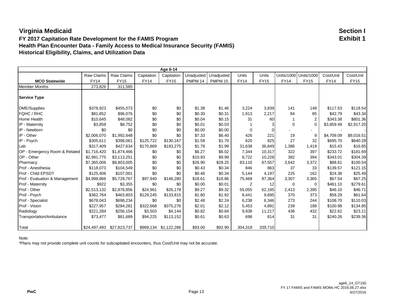#### **FY 2017 Capitation Rate Development for the FAMIS Program Exhibit 1 Health Plan Encounter Data - Family Access to Medical Insurance Security (FAMIS) Historical Eligibility, Claims, and Utilization Data**

|                                | Age 6-14                  |             |             |                       |                |            |             |             |             |                       |             |             |
|--------------------------------|---------------------------|-------------|-------------|-----------------------|----------------|------------|-------------|-------------|-------------|-----------------------|-------------|-------------|
|                                | Raw Claims                | Raw Claims  | Capitation  | Capitation            | Unadjusted     | Unadjusted | Units       | Units       |             | Units/1000 Units/1000 | Cost/Unit   | Cost/Unit   |
| <b>MCO Statewide</b>           | <b>FY14</b>               | <b>FY15</b> | <b>FY14</b> | <b>FY15</b>           | <b>PMPM 14</b> | PMPM 15    | <b>FY14</b> | <b>FY15</b> | <b>FY14</b> | <b>FY15</b>           | <b>FY14</b> | <b>FY15</b> |
| <b>Member Months</b>           | 273,826                   | 311,585     |             |                       |                |            |             |             |             |                       |             |             |
| <b>Service Type</b>            |                           |             |             |                       |                |            |             |             |             |                       |             |             |
| DME/Supplies                   | \$378,923                 | \$455,073   | \$0         | \$0                   | \$1.38         | \$1.46     | 3,224       | 3,839       | 141         | 148                   | \$117.53    | \$118.54    |
| FQHC / RHC                     | \$81.852                  | \$96,076    | \$0         | \$0                   | \$0.30         | \$0.31     | 1,913       | 2,217       | 84          | 85                    | \$42.79     | \$43.34     |
| <b>Home Health</b>             | \$10,645                  | \$48,082    | \$0         | \$0                   | \$0.04         | \$0.15     | 31          | 60          |             | 2                     | \$343.38    | \$801.36    |
| IP - Maternity                 | \$3,859                   | \$8,752     | \$0         | \$0                   | \$0.01         | \$0.03     |             |             | $\mathbf 0$ | $\mathbf 0$           | \$3,859.49  | \$2,917.20  |
| IP - Newborn                   | \$0                       | \$0         | \$0         | \$0                   | \$0.00         | \$0.00     | $\Omega$    | $\Omega$    |             | $\blacksquare$        |             |             |
| IP - Other                     | \$2,006,070               | \$1,992,648 | \$0         | \$0                   | \$7.33         | \$6.40     | 426         | 221         | 19          | 9                     | \$4,709.09  | \$9,016.51  |
| IP - Psych                     | \$305,611                 | \$398,061   | \$125,722   | \$130,167             | \$1.58         | \$1.70     | 620         | 825         | 27          | 32                    | \$695.70    | \$640.28    |
| Lab                            | \$317,409                 | \$427,634   | \$170,869   | \$193,275             | \$1.78         | \$1.99     | 31,638      | 36,849      | 1,386       | 1.419                 | \$15.43     | \$16.85     |
| OP - Emergency Room & Related  | \$1,716,420               | \$1,874,466 | \$0         | \$0                   | \$6.27         | \$6.02     | 7,344       | 10,317      | 322         | 397                   | \$233.72    | \$181.69    |
| OP - Other                     | \$2,991,775               | \$3,113,251 | \$0         | \$0                   | \$10.93        | \$9.99     | 8,722       | 10,228      | 382         | 394                   | \$343.01    | \$304.39    |
| Pharmacy                       | \$7,365,006               | \$8,803,005 | \$0         | \$0                   | \$26.90        | \$28.25    | 83,116      | 87,557      | 3,642       | 3,372                 | \$88.61     | \$100.54    |
| Prof - Anesthesia              | \$118,073                 | \$104,549   | \$0         | \$0                   | \$0.43         | \$0.34     | 846         | 863         | 37          | 33                    | \$139.57    | \$121.15    |
| <b>Prof - Child EPSDT</b>      | \$125,406                 | \$107.001   | \$0         | \$0                   | \$0.46         | \$0.34     | 5.144       | 4,197       | 225         | 162                   | \$24.38     | \$25.49     |
| Prof - Evaluation & Management | \$4,998,866               | \$5,728,767 | \$97,940    | \$146,280             | \$18.61        | \$18.86    | 75,468      | 87,364      | 3,307       | 3,365                 | \$67.54     | \$67.25     |
| Prof - Maternity               | \$922                     | \$3,355     | \$0         | \$0                   | \$0.00         | \$0.01     | 2           | 12          | 0           | 0                     | \$461.10    | \$279.61    |
| Prof - Other                   | \$2,513,132               | \$2,878,856 | \$24,961    | \$26,178              | \$9.27         | \$9.32     | 55,055      | 62,195      | 2,413       | 2,395                 | \$46.10     | \$46.71     |
| Prof - Psych                   | \$362,764                 | \$463,803   | \$129,245   | \$133,815             | \$1.80         | \$1.92     | 8,441       | 9,695       | 370         | 373                   | \$58.29     | \$61.64     |
| Prof - Specialist              | \$678,043                 | \$698,234   | \$0         | \$0                   | \$2.48         | \$2.24     | 6,238       | 6,346       | 273         | 244                   | \$108.70    | \$110.03    |
| Prof - Vision                  | \$227,957                 | \$284,281   | \$322,668   | \$375,276             | \$2.01         | \$2.12     | 5,453       | 4,891       | 239         | 188                   | \$100.98    | \$134.85    |
| Radiology                      | \$221,284                 | \$256,154   | \$3,503     | \$4,144               | \$0.82         | \$0.84     | 9,938       | 11,217      | 436         | 432                   | \$22.62     | \$23.21     |
| Transportation/Ambulance       | \$73,477                  | \$81,689    | \$94,225    | \$113,152             | \$0.61         | \$0.63     | 698         | 814         | 31          | 31                    | \$240.26    | \$239.36    |
| Total                          | \$24,497,493 \$27,823,737 |             |             | \$969,134 \$1,122,286 | \$93.00        | \$92.90    | 304,318     | 339,710     |             |                       |             |             |

Note: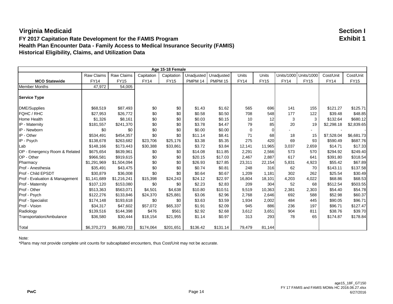#### **FY 2017 Capitation Rate Development for the FAMIS Program Exhibit 1 Health Plan Encounter Data - Family Access to Medical Insurance Security (FAMIS) Historical Eligibility, Claims, and Utilization Data**

|                                | Age 15-18 Female  |                   |             |             |            |            |              |              |             |                       |             |             |
|--------------------------------|-------------------|-------------------|-------------|-------------|------------|------------|--------------|--------------|-------------|-----------------------|-------------|-------------|
|                                | <b>Raw Claims</b> | <b>Raw Claims</b> | Capitation  | Capitation  | Unadjusted | Unadjusted | <b>Units</b> | <b>Units</b> |             | Units/1000 Units/1000 | Cost/Unit   | Cost/Unit   |
| <b>MCO Statewide</b>           | <b>FY14</b>       | <b>FY15</b>       | <b>FY14</b> | <b>FY15</b> | PMPM 14    | PMPM 15    | <b>FY14</b>  | <b>FY15</b>  | <b>FY14</b> | <b>FY15</b>           | <b>FY14</b> | <b>FY15</b> |
| <b>Member Months</b>           | 47,972            | 54,005            |             |             |            |            |              |              |             |                       |             |             |
| <b>Service Type</b>            |                   |                   |             |             |            |            |              |              |             |                       |             |             |
| DME/Supplies                   | \$68,519          | \$87,493          | \$0         | \$0         | \$1.43     | \$1.62     | 565          | 696          | 141         | 155                   | \$121.27    | \$125.71    |
| FQHC / RHC                     | \$27,953          | \$26,772          | \$0         | \$0         | \$0.58     | \$0.50     | 708          | 548          | 177         | 122                   | \$39.48     | \$48.85     |
| <b>Home Health</b>             | \$1,326           | \$8,161           | \$0         | \$0         | \$0.03     | \$0.15     | 10           | 12           | 3           | 3                     | \$132.64    | \$680.12    |
| IP - Maternity                 | \$181,557         | \$241,370         | \$0         | \$0         | \$3.78     | \$4.47     | 79           | 85           | 20          | 19                    | \$2,298.18  | \$2,839.65  |
| IP - Newborn                   | \$0               | \$0               | \$0         | \$0         | \$0.00     | \$0.00     | $\mathbf 0$  | $\Omega$     |             | ۰.                    |             |             |
| IP - Other                     | \$534,491         | \$454,357         | \$0         | \$0         | \$11.14    | \$8.41     | 71           | 68           | 18          | 15                    | \$7,528.04  | \$6,681.73  |
| IP - Psych                     | \$138,678         | \$263,682         | \$23,706    | \$25,176    | \$3.38     | \$5.35     | 275          | 420          | 69          | 93                    | \$590.49    | \$687.76    |
| <b>Lab</b>                     | \$148,166         | \$173,443         | \$30,388    | \$33,861    | \$3.72     | \$3.84     | 12,141       | 11,965       | 3,037       | 2,659                 | \$14.71     | \$17.33     |
| OP - Emergency Room & Related  | \$675,654         | \$639,961         | \$0         | \$0         | \$14.08    | \$11.85    | 2,291        | 2,566        | 573         | 570                   | \$294.92    | \$249.40    |
| OP - Other                     | \$966,581         | \$919,615         | \$0         | \$0         | \$20.15    | \$17.03    | 2,467        | 2,887        | 617         | 641                   | \$391.80    | \$318.54    |
| Pharmacy                       | \$1,291,969       | \$1,504,094       | \$0         | \$0         | \$26.93    | \$27.85    | 23,311       | 22,154       | 5,831       | 4,923                 | \$55.42     | \$67.89     |
| Prof - Anesthesia              | \$35,491          | \$43,475          | \$0         | \$0         | \$0.74     | \$0.81     | 248          | 316          | 62          | 70                    | \$143.11    | \$137.58    |
| <b>Prof - Child EPSDT</b>      | \$30,879          | \$36,008          | \$0         | \$0         | \$0.64     | \$0.67     | 1,209        | 1.181        | 302         | 262                   | \$25.54     | \$30.49     |
| Prof - Evaluation & Management | \$1,141,689       | \$1,216,241       | \$15,398    | \$24,243    | \$24.12    | \$22.97    | 16,804       | 18,101       | 4,203       | 4,022                 | \$68.86     | \$68.53     |
| Prof - Maternity               | \$107,120         | \$153,080         | \$0         | \$0         | \$2.23     | \$2.83     | 209          | 304          | 52          | 68                    | \$512.54    | \$503.55    |
| <b>Prof</b> - Other            | \$513,363         | \$563,071         | \$4,501     | \$4,638     | \$10.80    | \$10.51    | 9,519        | 10,363       | 2,381       | 2,303                 | \$54.40     | \$54.78     |
| Prof - Psych                   | \$122,276         | \$133,846         | \$24,370    | \$25,881    | \$3.06     | \$2.96     | 2,768        | 2,646        | 692         | 588                   | \$52.98     | \$60.37     |
| Prof - Specialist              | \$174,148         | \$193,618         | \$0         | \$0         | \$3.63     | \$3.59     | 1,934        | 2,002        | 484         | 445                   | \$90.05     | \$96.71     |
| Prof - Vision                  | \$34,317          | \$47,602          | \$57,072    | \$65,337    | \$1.91     | \$2.09     | 945          | 886          | 236         | 197                   | \$96.71     | \$127.47    |
| Radiology                      | \$139,516         | \$144,398         | \$476       | \$561       | \$2.92     | \$2.68     | 3,612        | 3,651        | 904         | 811                   | \$38.76     | \$39.70     |
| Transportation/Ambulance       | \$36,580          | \$30,444          | \$18,154    | \$21,955    | \$1.14     | \$0.97     | 313          | 293          | 78          | 65                    | \$174.87    | \$178.84    |
| <b>Total</b>                   | \$6,370,273       | \$6,880,733       | \$174,064   | \$201,651   | \$136.42   | \$131.14   | 79,479       | 81,144       |             |                       |             |             |

Note: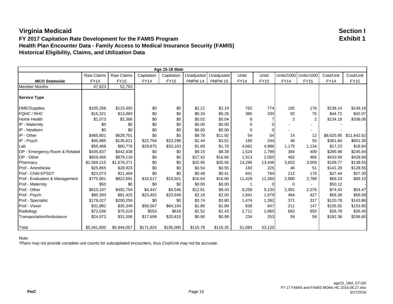#### **FY 2017 Capitation Rate Development for the FAMIS Program Exhibit 1 Health Plan Encounter Data - Family Access to Medical Insurance Security (FAMIS) Historical Eligibility, Claims, and Utilization Data**

|                                |                   |                   |             | <b>Age 15-18 Male</b> |            |            |              |              |                |                          |             |             |
|--------------------------------|-------------------|-------------------|-------------|-----------------------|------------|------------|--------------|--------------|----------------|--------------------------|-------------|-------------|
|                                | <b>Raw Claims</b> | <b>Raw Claims</b> | Capitation  | Capitation            | Unadjusted | Unadjusted | <b>Units</b> | <b>Units</b> |                | Units/1000 Units/1000    | Cost/Unit   | Cost/Unit   |
| <b>MCO Statewide</b>           | <b>FY14</b>       | <b>FY15</b>       | <b>FY14</b> | <b>FY15</b>           | PMPM 14    | PMPM 15    | <b>FY14</b>  | <b>FY15</b>  | <b>FY14</b>    | <b>FY15</b>              | <b>FY14</b> | <b>FY15</b> |
| <b>Member Months</b>           | 47,623            | 52,763            |             |                       |            |            |              |              |                |                          |             |             |
| <b>Service Type</b>            |                   |                   |             |                       |            |            |              |              |                |                          |             |             |
| DME/Supplies                   | \$105,266         | \$115,450         | \$0         | \$0                   | \$2.21     | \$2.19     | 762          | 774          | 192            | 176                      | \$138.14    | \$149.16    |
| FQHC / RHC                     | \$16,321          | \$13,883          | \$0         | \$0                   | \$0.34     | \$0.26     | 365          | 330          | 92             | 75                       | \$44.72     | \$42.07     |
| Home Health                    | \$1,073           | \$2,366           | \$0         | \$0                   | \$0.02     | \$0.04     | 8            |              | $\overline{2}$ | $\overline{2}$           | \$134.18    | \$338.06    |
| IP - Maternity                 | \$0               | \$0               | \$0         | \$0                   | \$0.00     | \$0.00     | $\Omega$     |              |                |                          |             |             |
| IP - Newborn                   | \$0               | \$0               | \$0         | \$0                   | \$0.00     | \$0.00     | 0            | $\Omega$     |                | ۰                        |             |             |
| IP - Other                     | \$465,801         | \$628,701         | \$0         | \$0                   | \$9.78     | \$11.92    | 54           | 54           | 14             | 12                       | \$8,625.95  | \$11,642.62 |
| IP - Psych                     | \$45,985          | \$135,621         | \$22,764    | \$23,296              | \$1.44     | \$3.01     | 190          | 244          | 48             | 55                       | \$361.84    | \$651.30    |
| <b>Lab</b>                     | \$50,468          | \$60,776          | \$29,875    | \$33,163              | \$1.69     | \$1.78     | 4,662        | 4,986        | 1,175          | 1,134                    | \$17.23     | \$18.84     |
| OP - Emergency Room & Related  | \$435,837         | \$442,438         | \$0         | \$0                   | \$9.15     | \$8.39     | 1,524        | 1,799        | 384            | 409                      | \$285.98    | \$245.94    |
| OP - Other                     | \$829,455         | \$879,118         | \$0         | \$0                   | \$17.42    | \$16.66    | 1,913        | 2,050        | 482            | 466                      | \$433.59    | \$428.84    |
| Pharmacy                       | \$1,569,215       | \$1,876,371       | \$0         | \$0                   | \$32.95    | \$35.56    | 14,296       | 13,446       | 3,602          | 3,058                    | \$109.77    | \$139.55    |
| Prof - Anesthesia              | \$25,855          | \$28,923          | \$0         | \$0                   | \$0.54     | \$0.55     | 183          | 225          | 46             | 51                       | \$141.28    | \$128.55    |
| <b>Prof - Child EPSDT</b>      | \$23,073          | \$21,404          | \$0         | \$0                   | \$0.48     | \$0.41     | 841          | 784          | 212            | 178                      | \$27.44     | \$27.30     |
| Prof - Evaluation & Management | \$775,901         | \$822,691         | \$16,517    | \$24,501              | \$16.64    | \$16.06    | 11,429       | 12,260       | 2,880          | 2,788                    | \$69.33     | \$69.10     |
| Prof - Maternity               | \$50              | \$0               | \$0         | \$0                   | \$0.00     | \$0.00     |              | $\Omega$     | 0              | $\overline{\phantom{a}}$ | \$50.12     |             |
| <b>Prof</b> - Other            | \$610,187         | \$492,754         | \$4,447     | \$4.546               | \$12.91    | \$9.43     | 8,258        | 9,130        | 2,081          | 2,076                    | \$74.43     | \$54.47     |
| Prof - Psych                   | \$80,393          | \$81,425          | \$23,402    | \$23,949              | \$2.18     | \$2.00     | 1,841        | 1,879        | 464            | 427                      | \$56.38     | \$56.08     |
| Prof - Specialist              | \$178,027         | \$200,259         | \$0         | \$0                   | \$3.74     | \$3.80     | 1,474        | 1,392        | 371            | 317                      | \$120.78    | \$143.86    |
| Prof - Vision                  | \$31,882          | \$35,349          | \$56,567    | \$64,194              | \$1.86     | \$1.89     | 838          | 647          | 211            | 147                      | \$105.55    | \$153.85    |
| Radiology                      | \$72,036          | \$75,019          | \$553       | \$616                 | \$1.52     | \$1.43     | 2,711        | 2,860        | 683            | 650                      | \$26.78     | \$26.45     |
| Transportation/Ambulance       | \$24,973          | \$31,506          | \$17,699    | \$20,815              | \$0.90     | \$0.99     | 234          | 253          | 59             | 58                       | \$182.36    | \$206.80    |
| Total                          | \$5,341,800       | \$5,944,057       | \$171,824   | \$195,080             | \$115.78   | \$116.35   | 51,584       | 53,120       |                |                          |             |             |

#### Note: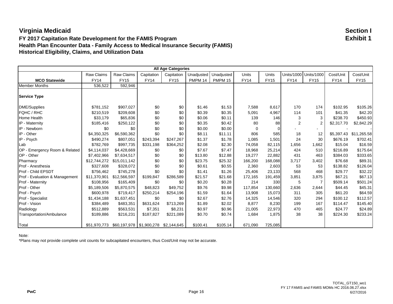#### **FY 2017 Capitation Rate Development for the FAMIS Program Exhibit 1 Health Plan Encounter Data - Family Access to Medical Insurance Security (FAMIS) Historical Eligibility, Claims, and Utilization Data**

|                                |                   |                   |             | <b>All Age Categories</b> |            |                |             |             |                |                   |             |                        |
|--------------------------------|-------------------|-------------------|-------------|---------------------------|------------|----------------|-------------|-------------|----------------|-------------------|-------------|------------------------|
|                                | <b>Raw Claims</b> | <b>Raw Claims</b> | Capitation  | Capitation                | Unadjusted | Unadjusted     | Units       | Units       | Units/1000     | <b>Units/1000</b> | Cost/Unit   | Cost/Unit              |
| <b>MCO Statewide</b>           | <b>FY14</b>       | <b>FY15</b>       | <b>FY14</b> | <b>FY15</b>               | PMPM 14    | <b>PMPM 15</b> | <b>FY14</b> | <b>FY15</b> | <b>FY14</b>    | <b>FY15</b>       | <b>FY14</b> | <b>FY15</b>            |
| <b>Member Months</b>           | 536,522           | 592,946           |             |                           |            |                |             |             |                |                   |             |                        |
| <b>Service Type</b>            |                   |                   |             |                           |            |                |             |             |                |                   |             |                        |
| <b>DME/Supplies</b>            | \$781.152         | \$907,027         | \$0         | \$0                       | \$1.46     | \$1.53         | 7,588       | 8,617       | 170            | 174               | \$102.95    | \$105.26               |
| FQHC / RHC                     | \$210,519         | \$209,608         | \$0         | \$0                       | \$0.39     | \$0.35         | 5,091       | 4,967       | 114            | 101               | \$41.35     | \$42.20                |
| <b>Home Health</b>             | \$33,179          | \$65,836          | \$0         | \$0                       | \$0.06     | \$0.11         | 139         | 146         | 3              | 3                 | \$238.70    | \$450.93               |
| IP - Maternity                 | \$185,416         | \$250,122         | \$0         | \$0                       | \$0.35     | \$0.42         | 80          | 88          | $\overline{2}$ | $\overline{2}$    | \$2,317.70  | \$2,842.29             |
| IP - Newborn                   | \$0               | \$0               | \$0         | \$0                       | \$0.00     | \$0.00         | 0           | $\Omega$    |                |                   |             |                        |
| IP - Other                     | \$4,350,325       | \$6,590,362       | \$0         | \$0                       | \$8.11     | \$11.11        | 806         | 585         | 18             | 12                |             | \$5,397.43 \$11,265.58 |
| IP - Psych                     | \$490,274         | \$807,051         | \$243,394   | \$247.267                 | \$1.37     | \$1.78         | 1,085       | 1,501       | 24             | 30                | \$676.19    | \$702.41               |
| Lab                            | \$782,769         | \$997,735         | \$331,198   | \$364,252                 | \$2.08     | \$2.30         | 74,058      | 82,115      | 1,656          | 1,662             | \$15.04     | \$16.59                |
| OP - Emergency Room & Related  | \$4,114,037       | \$4,428,669       | \$0         | \$0                       | \$7.67     | \$7.47         | 18,968      | 25,214      | 424            | 510               | \$216.89    | \$175.64               |
| OP - Other                     | \$7,402,966       | \$7,634,517       | \$0         | \$0                       | \$13.80    | \$12.88        | 19,277      | 22,882      | 431            | 463               | \$384.03    | \$333.65               |
| Pharmacy                       | \$12,744,272      | \$15,011,142      | \$0         | \$0                       | \$23.75    | \$25.32        | 166,200     | 168,088     | 3,717          | 3,402             | \$76.68     | \$89.31                |
| Prof - Anesthesia              | \$327,608         | \$328,072         | \$0         | \$0                       | \$0.61     | \$0.55         | 2,360       | 2,603       | 53             | 53                | \$138.82    | \$126.04               |
| Prof - Child EPSDT             | \$756,462         | \$745,278         | \$0         | \$0                       | \$1.41     | \$1.26         | 25,406      | 23,133      | 568            | 468               | \$29.77     | \$32.22                |
| Prof - Evaluation & Management | \$11,370,901      | \$12,566,597      | \$199,847   | \$286,589                 | \$21.57    | \$21.68        | 172,165     | 191,459     | 3,851          | 3,875             | \$67.21     | \$67.13                |
| Prof - Maternity               | \$108,956         | \$165,409         | \$0         | \$0                       | \$0.20     | \$0.28         | 214         | 330         | 5              | 7                 | \$509.14    | \$501.24               |
| Prof - Other                   | \$5,189,506       | \$5,870,575       | \$48,823    | \$49,752                  | \$9.76     | \$9.98         | 117,854     | 130,660     | 2,636          | 2,644             | \$44.45     | \$45.31                |
| Prof - Psych                   | \$600,978         | \$719,417         | \$250,214   | \$254,196                 | \$1.59     | \$1.64         | 13,908      | 15,073      | 311            | 305               | \$61.20     | \$64.59                |
| Prof - Specialist              | \$1,434,188       | \$1,637,451       | \$0         | \$0                       | \$2.67     | \$2.76         | 14,325      | 14,546      | 320            | 294               | \$100.12    | \$112.57               |
| Prof - Vision                  | \$384,489         | \$483,351         | \$631,624   | \$713,269                 | \$1.89     | \$2.02         | 8,877       | 8,230       | 199            | 167               | \$114.47    | \$145.40               |
| Radiology                      | \$512,889         | \$563,531         | \$7,351     | \$8,231                   | \$0.97     | \$0.96         | 21,005      | 22,973      | 470            | 465               | \$24.77     | \$24.89                |
| Transportation/Ambulance       | \$189,886         | \$216,231         | \$187,827   | \$221,089                 | \$0.70     | \$0.74         | 1,684       | 1,875       | 38             | 38                | \$224.30    | \$233.24               |
| Total                          | \$51,970,773      |                   |             |                           | \$100.41   | \$105.14       | 671,090     | 725,085     |                |                   |             |                        |

Note: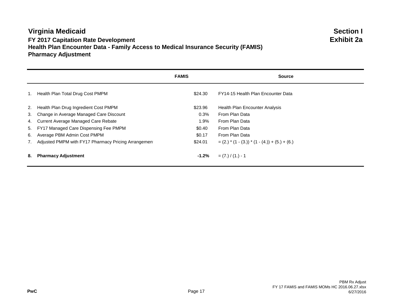### **Virginia Medicaid Section I FY 2017 Capitation Rate Development Exhibit 2a Health Plan Encounter Data - Family Access to Medical Insurance Security (FAMIS) Pharmacy Adjustment**

|    |                                                        | <b>FAMIS</b> | <b>Source</b>                                        |
|----|--------------------------------------------------------|--------------|------------------------------------------------------|
| 1. | Health Plan Total Drug Cost PMPM                       | \$24.30      | FY14-15 Health Plan Encounter Data                   |
| 2. | Health Plan Drug Ingredient Cost PMPM                  | \$23.96      | Health Plan Encounter Analysis                       |
| 3. | Change in Average Managed Care Discount                | 0.3%         | From Plan Data                                       |
| 4. | Current Average Managed Care Rebate                    | 1.9%         | From Plan Data                                       |
|    | 5. FY17 Managed Care Dispensing Fee PMPM               | \$0.40       | From Plan Data                                       |
| 6. | Average PBM Admin Cost PMPM                            | \$0.17       | From Plan Data                                       |
|    | 7. Adjusted PMPM with FY17 Pharmacy Pricing Arrangemen | \$24.01      | $= (2.)$ * $(1 - (3.))$ * $(1 - (4.)) + (5.) + (6.)$ |
| 8. | <b>Pharmacy Adjustment</b>                             | $-1.2%$      | $= (7.) / (1.) - 1$                                  |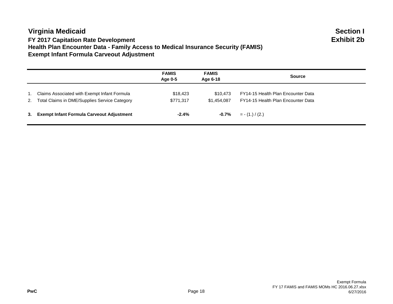### **Virginia Medicaid** Section I **FY 2017 Capitation Rate Development Exhibit 2b Health Plan Encounter Data - Family Access to Medical Insurance Security (FAMIS) Exempt Infant Formula Carveout Adjustment**

|                                                                                                  | <b>FAMIS</b><br>Age 0-5 | <b>FAMIS</b><br>Age 6-18 | <b>Source</b>                                                            |
|--------------------------------------------------------------------------------------------------|-------------------------|--------------------------|--------------------------------------------------------------------------|
| Claims Associated with Exempt Infant Formula<br>2. Total Claims in DME/Supplies Service Category | \$18,423<br>\$771.317   | \$10.473<br>\$1.454.087  | FY14-15 Health Plan Encounter Data<br>FY14-15 Health Plan Encounter Data |
| 3. Exempt Infant Formula Carveout Adjustment                                                     | $-2.4%$                 | -0.7%                    | $= - (1.) / (2.)$                                                        |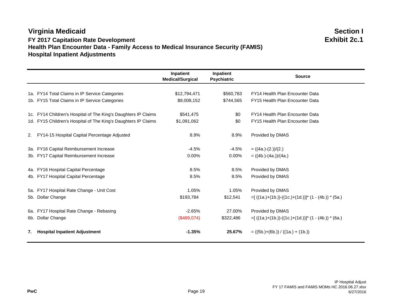### **Virginia Medicaid** Section I **FY 2017 Capitation Rate Development Exhibit 2c.1 Health Plan Encounter Data - Family Access to Medical Insurance Security (FAMIS) Hospital Inpatient Adjustments**

|    |                                                                | Inpatient<br><b>Medical/Surgical</b> | Inpatient<br><b>Psychiatric</b> | <b>Source</b>                                          |
|----|----------------------------------------------------------------|--------------------------------------|---------------------------------|--------------------------------------------------------|
|    | 1a. FY14 Total Claims in IP Service Categories                 | \$12,794,471                         | \$560,783                       | FY14 Health Plan Encounter Data                        |
|    | 1b. FY15 Total Claims in IP Service Categories                 | \$9,008,152                          | \$744,565                       | FY15 Health Plan Encounter Data                        |
|    | 1c. FY14 Children's Hospital of The King's Daughters IP Claims | \$541,475                            | \$0                             | FY14 Health Plan Encounter Data                        |
|    | 1d. FY15 Children's Hospital of The King's Daughters IP Claims | \$1,091,062                          | \$0                             | FY15 Health Plan Encounter Data                        |
|    | 2. FY14-15 Hospital Capital Percentage Adjusted                | 8.9%                                 | 8.9%                            | Provided by DMAS                                       |
|    | 3a. FY16 Capital Reimbursement Increase                        | $-4.5%$                              | $-4.5%$                         | $= ((4a.)-(2.))/(2.)$                                  |
|    | 3b. FY17 Capital Reimbursement Increase                        | 0.00%                                | $0.00\%$                        | $= ((4b.)-(4a.))/(4a.)$                                |
|    | 4a. FY16 Hospital Capital Percentage                           | 8.5%                                 | 8.5%                            | Provided by DMAS                                       |
|    | 4b. FY17 Hospital Capital Percentage                           | 8.5%                                 | 8.5%                            | Provided by DMAS                                       |
|    | 5a. FY17 Hospital Rate Change - Unit Cost                      | 1.05%                                | 1.05%                           | Provided by DMAS                                       |
|    | 5b. Dollar Change                                              | \$193,784                            | \$12,541                        | $=[((1a.)+(1b.))-((1c.)+(1d.))]$ * (1 - (4b.)) * (5a.) |
|    | 6a. FY17 Hospital Rate Change - Rebasing                       | $-2.65%$                             | 27.00%                          | Provided by DMAS                                       |
|    | 6b. Dollar Change                                              | (\$489,074)                          | \$322,486                       | $=[((1a.)+(1b.))-((1c.)+(1d.))]$ * (1 - (4b.)) * (6a.) |
| 7. | <b>Hospital Inpatient Adjustment</b>                           | $-1.35%$                             | 25.67%                          | $= ((5b.)+(6b.)) / ((1a.) + (1b.))$                    |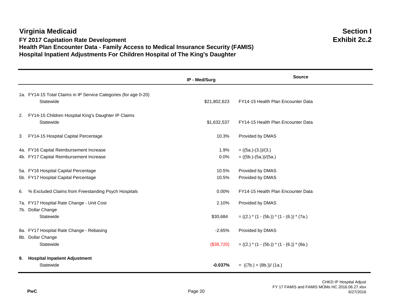#### **Virginia Medicaid Section I FY 2017 Capitation Rate Development Exhibit 2c.2 Health Plan Encounter Data - Family Access to Medical Insurance Security (FAMIS) Hospital Inpatient Adjustments For Children Hospital of The King's Daughter**

# **IP - Med/Surg Source** 1a. FY14-15 Total Claims in IP Service Categories (for age 0-20) Statewide \$21,802,623 FY14-15 Health Plan Encounter Data 2. FY14-15 Children Hospital King's Daughter IP Claims Statewide \$1,632,537 FY14-15 Health Plan Encounter Data 3. FY14-15 Hospital Capital Percentage 10.3% Provided by DMAS 4a. FY16 Capital Reimbursement Increase 1.9% = ((5a.)-(3.))/(3.) 4b. FY17 Capital Reimbursement Increase 0.0% = ((5b.)-(5a.))/(5a.) 5a. FY16 Hospital Capital Percentage 10.5% Provided by DMAS 5b. FY17 Hospital Capital Percentage 10.5% Provided by DMAS 6. % Excluded Claims from Freestanding Psych Hospitals 0.00% FY14-15 Health Plan Encounter Data 7a. FY17 Hospital Rate Change - Unit Cost 2.10% Provided by DMAS 7b. Dollar Change Statewide  $$30,684 = ((2.) * (1 - (5b.)) * (1 - (6.)) * (7a.)$ 8a. FY17 Hospital Rate Change - Rebasing  $\sim$  2.65% Provided by DMAS 8b. Dollar Change Statewide  $(338,720) = ((2.) * (1 - (5b.)) * (1 - (6.)) * (8a.)$ **9. Hospital Inpatient Adjustment**

Statewide **-0.037%** = ((7b.) + (8b.))/ (1a.)

CHKD IP Hospital Adjust FY 17 FAMIS and FAMIS MOMs HC 2016.06.27.xlsx

6/27/2016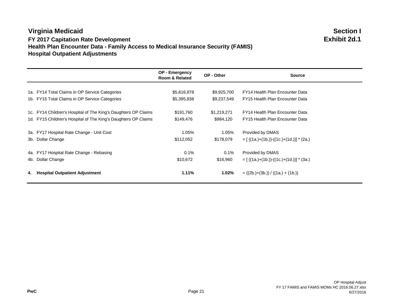#### **Virginia Medicaid Section I FY 2017 Capitation Rate Development Exhibit 2d.1 Health Plan Encounter Data - Family Access to Medical Insurance Security (FAMIS) Hospital Outpatient Adjustments**

**OP - Emergency Room & Related OP - Other Source Room & Related CP - Other Source** 1a. FY14 Total Claims in OP Service Categories **\$5,616,978** \$5,616,978 \$9,925,700 FY14 Health Plan Encounter Data 1b. FY15 Total Claims in OP Service Categories  $$5,395,838$   $$9,237,549$  FY15 Health Plan Encounter Data 1c. FY14 Children's Hospital of The King's Daughters OP Claims \$191,760 \$1,219,271 FY14 Health Plan Encounter Data 1d. FY15 Children's Hospital of The King's Daughters OP Claims  $$149,476$  \$984,120 FY15 Health Plan Encounter Data 3a. FY17 Hospital Rate Change - Unit Cost 1.05% 1.05% 1.05% Provided by DMAS 3b. Dollar Change  $$112,052$   $$178,079$   $= [(1a.)+(1b.))-(1c.)+(1d.))]$   $* (2a.)$ 4a. FY17 Hospital Rate Change - Rebasing 0.1% 0.1% Provided by DMAS 4b. Dollar Change \$10,672 \$16,960 = [ ((1a.)+(1b.))-((1c.)+(1d.))] \* (3a.)

**4. Hospital Outpatient Adjustment 1.11% 1.02%** = ((2b.)+(3b.)) / ((1a.) + (1b.))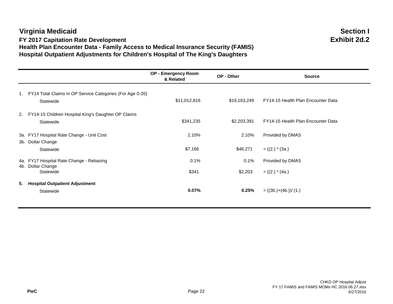### **Virginia Medicaid Section I FY 2017 Capitation Rate Development Exhibit 2d.2 Health Plan Encounter Data - Family Access to Medical Insurance Security (FAMIS) Hospital Outpatient Adjustments for Children's Hospital of The King's Daughters**

|    |                                                                           | <b>OP - Emergency Room</b><br>& Related | OP - Other   | <b>Source</b>                      |
|----|---------------------------------------------------------------------------|-----------------------------------------|--------------|------------------------------------|
|    | 1. FY14 Total Claims in OP Service Categories (For Age 0-20)<br>Statewide | \$11,012,816                            | \$19,163,249 | FY14-15 Health Plan Encounter Data |
| 2. | FY14-15 Children Hospital King's Daughter OP Claims<br>Statewide          | \$341,235                               | \$2,203,391  | FY14-15 Health Plan Encounter Data |
|    | 3a. FY17 Hospital Rate Change - Unit Cost                                 | 2.10%                                   | 2.10%        | Provided by DMAS                   |
|    | 3b. Dollar Change<br>Statewide                                            | \$7,166                                 | \$46,271     | $= ((2.) * (3a.)$                  |
|    | 4a. FY17 Hospital Rate Change - Rebasing                                  | 0.1%                                    | 0.1%         | Provided by DMAS                   |
|    | 4b. Dollar Change<br>Statewide                                            | \$341                                   | \$2,203      | $= ((2.) * (4a.)$                  |
|    | 5. Hospital Outpatient Adjustment<br>Statewide                            | $0.07\%$                                | 0.25%        | $= ((3b.)+(4b.))/(1.)$             |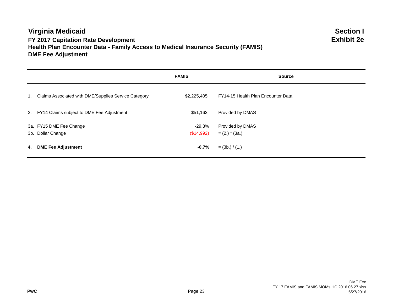### **Virginia Medicaid** Section I **FY 2017 Capitation Rate Development Exhibit 2e Health Plan Encounter Data - Family Access to Medical Insurance Security (FAMIS) DME Fee Adjustment**

|                                                         | <b>FAMIS</b>         | <b>Source</b>                        |
|---------------------------------------------------------|----------------------|--------------------------------------|
| 1. Claims Associated with DME/Supplies Service Category | \$2,225,405          | FY14-15 Health Plan Encounter Data   |
| 2. FY14 Claims subject to DME Fee Adjustment            | \$51,163             | Provided by DMAS                     |
| 3a. FY15 DME Fee Change<br>3b. Dollar Change            | -29.3%<br>(\$14,992) | Provided by DMAS<br>$= (2.) * (3a.)$ |
| 4. DME Fee Adjustment                                   | $-0.7%$              | $=$ (3b.) / (1.)                     |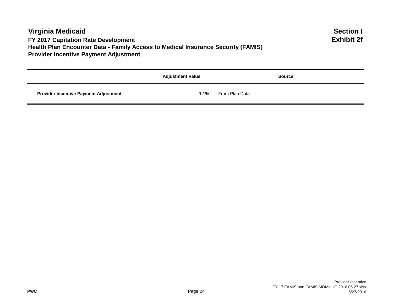### **Virginia Medicaid** Section I **FY 2017 Capitation Rate Development Exhibit 2f Health Plan Encounter Data - Family Access to Medical Insurance Security (FAMIS) Provider Incentive Payment Adjustment**

|                                              | <b>Adjustment Value</b> | <b>Source</b>  |
|----------------------------------------------|-------------------------|----------------|
| <b>Provider Incentive Payment Adjustment</b> | $1.1\%$                 | From Plan Data |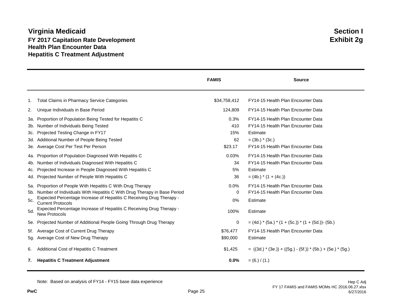### **Virginia Medicaid Section I FY 2017 Capitation Rate Development Health Plan Encounter Data Hepatitis C Treatment Adjustment**

|     |                                                                                                  | <b>FAMIS</b> | <b>Source</b>                                                 |
|-----|--------------------------------------------------------------------------------------------------|--------------|---------------------------------------------------------------|
| 1.  | <b>Total Claims in Pharmacy Service Categories</b>                                               | \$34,758,412 | FY14-15 Health Plan Encounter Data                            |
| 2.  | Unique Individuals in Base Period                                                                | 124,809      | FY14-15 Health Plan Encounter Data                            |
| 3а. | Proportion of Population Being Tested for Hepatitis C                                            | 0.3%         | FY14-15 Health Plan Encounter Data                            |
|     | 3b. Number of Individuals Being Tested                                                           | 410          | FY14-15 Health Plan Encounter Data                            |
| 3c. | Projected Testing Change in FY17                                                                 | 15%          | Estimate                                                      |
|     | 3d. Additional Number of People Being Tested                                                     | 62           | $=$ (3b.) $*$ (3c.)                                           |
|     | 3e. Average Cost Per Test Per Person                                                             | \$23.17      | FY14-15 Health Plan Encounter Data                            |
| 4a. | Proportion of Population Diagnosed With Hepatitis C                                              | 0.03%        | FY14-15 Health Plan Encounter Data                            |
| 4b. | Number of Individuals Diagnosed With Hepatitis C                                                 | 34           | FY14-15 Health Plan Encounter Data                            |
| 4c. | Projected Increase in People Diagnosed With Hepatitis C                                          | 5%           | Estimate                                                      |
| 4d. | Projected Number of People With Hepatitis C                                                      | 36           | $= (4b.)$ * $(1 + (4c.))$                                     |
|     | 5a. Proportion of People With Hepatitis C With Drug Therapy                                      | 0.0%         | FY14-15 Health Plan Encounter Data                            |
| 5b. | Number of Individuals With Hepatitis C With Drug Therapy in Base Period                          | $\Omega$     | FY14-15 Health Plan Encounter Data                            |
| 5c. | Expected Percentage Increase of Hepatitis C Receiving Drug Therapy -<br><b>Current Protocols</b> | $0\%$        | Estimate                                                      |
| 5d. | Expected Percentage Increase of Hepatitis C Receiving Drug Therapy -<br><b>New Protocols</b>     | 100%         | Estimate                                                      |
|     | 5e. Projected Number of Additional People Going Through Drug Therapy                             | 0            | $=$ (4d.) $*$ (5a.) $*$ (1 + (5c.)) $*$ (1 + (5d.))- (5b.)    |
| 5f. | Average Cost of Current Drug Therapy                                                             | \$76,477     | FY14-15 Health Plan Encounter Data                            |
| 5g. | Average Cost of New Drug Therapy                                                                 | \$90,000     | Estimate                                                      |
| 6.  | Additional Cost of Hepatitis C Treatment                                                         | \$1,425      | $= ((3d.) * (3e.)) + ((5g.) - (5f.)) * (5b.) + (5e.) * (5g.)$ |
| 7.  | <b>Hepatitis C Treatment Adjustment</b>                                                          | 0.0%         | $= (6.) / (1.)$                                               |

Note: Based on analysis of FY14 - FY15 base data experience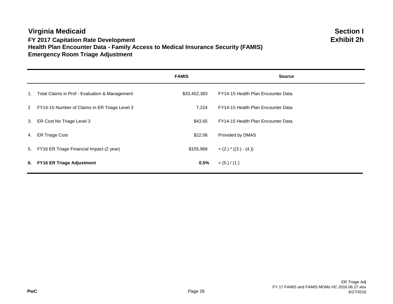### **Virginia Medicaid** Section I **FY 2017 Capitation Rate Development Exhibit 2h Health Plan Encounter Data - Family Access to Medical Insurance Security (FAMIS) Emergency Room Triage Adjustment**

|                                                   | <b>FAMIS</b> | <b>Source</b>                      |
|---------------------------------------------------|--------------|------------------------------------|
| 1. Total Claims in Prof - Evaluation & Management | \$33,452,383 | FY14-15 Health Plan Encounter Data |
| 2 FY14-15 Number of Claims in ER Triage Level 3   | 7,224        | FY14-15 Health Plan Encounter Data |
| 3. ER Cost No Triage Level 3                      | \$43.65      | FY14-15 Health Plan Encounter Data |
| 4. ER Triage Cost                                 | \$22.06      | Provided by DMAS                   |
| 5. FY16 ER Triage Financial Impact (2 year)       | \$155,968    | $= (2.) * ((3.) - (4.)$            |
| 6. FY16 ER Triage Adjustment                      | 0.5%         | $= (5.) / (1.)$                    |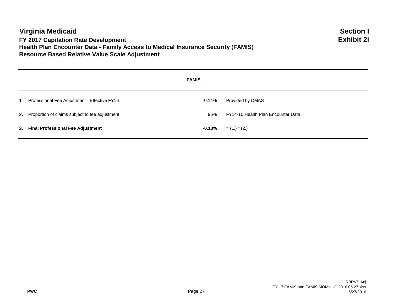### **Virginia Medicaid Section I FY 2017 Capitation Rate Development Exhibit 2i Health Plan Encounter Data - Family Access to Medical Insurance Security (FAMIS) Resource Based Relative Value Scale Adjustment**

|                                                   | <b>FAMIS</b> |                                    |
|---------------------------------------------------|--------------|------------------------------------|
| 1. Professional Fee Adjustment - Effective FY16   | -0.14%       | Provided by DMAS                   |
| 2. Proportion of claims subject to fee adjustment | 96%          | FY14-15 Health Plan Encounter Data |
| 3. Final Professional Fee Adjustment              | $-0.13%$     | $=$ (1.) $*$ (2.)                  |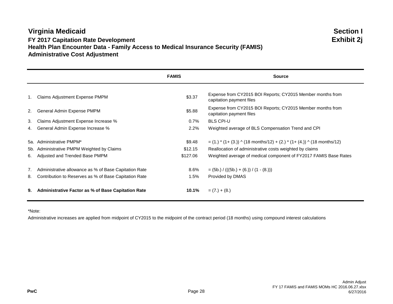### **Virginia Medicaid** Section I **FY 2017 Capitation Rate Development Exhibit 2j Health Plan Encounter Data - Family Access to Medical Insurance Security (FAMIS) Administrative Cost Adjustment**

|     |                                                           | <b>FAMIS</b> | <b>Source</b>                                                                          |
|-----|-----------------------------------------------------------|--------------|----------------------------------------------------------------------------------------|
| 1.  | <b>Claims Adjustment Expense PMPM</b>                     | \$3.37       | Expense from CY2015 BOI Reports; CY2015 Member months from<br>capitation payment files |
| 2.  | General Admin Expense PMPM                                | \$5.88       | Expense from CY2015 BOI Reports; CY2015 Member months from<br>capitation payment files |
| 3.  | Claims Adjustment Expense Increase %                      | 0.7%         | <b>BLS CPI-U</b>                                                                       |
| 4.  | General Admin Expense Increase %                          | 2.2%         | Weighted average of BLS Compensation Trend and CPI                                     |
|     | 5a. Administrative PMPM*                                  | \$9.48       |                                                                                        |
| 5b. | Administrative PMPM Weighted by Claims                    | \$12.15      | Reallocation of administrative costs weighted by claims                                |
| 6.  | Adjusted and Trended Base PMPM                            | \$127.06     | Weighted average of medical component of FY2017 FAMIS Base Rates                       |
| 7.  | Administrative allowance as % of Base Capitation Rate     | $8.6\%$      | $=$ (5b.) / (((5b.) + (6.)) / (1 - (8.)))                                              |
| 8.  | Contribution to Reserves as % of Base Capitation Rate     | 1.5%         | Provided by DMAS                                                                       |
| 9.  | <b>Administrative Factor as % of Base Capitation Rate</b> | 10.1%        | $= (7.) + (8.)$                                                                        |

\*Note:

Administrative increases are applied from midpoint of CY2015 to the midpoint of the contract period (18 months) using compound interest calculations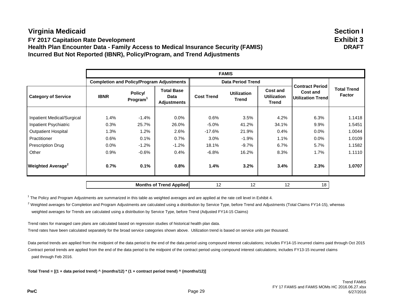|                                      |             |                                                  |                                                 |                   | <b>FAMIS</b>                       |                                                |                                                                        |                                     |
|--------------------------------------|-------------|--------------------------------------------------|-------------------------------------------------|-------------------|------------------------------------|------------------------------------------------|------------------------------------------------------------------------|-------------------------------------|
|                                      |             | <b>Completion and Policy/Program Adjustments</b> |                                                 |                   | <b>Data Period Trend</b>           |                                                |                                                                        |                                     |
| <b>Category of Service</b>           | <b>IBNR</b> | Policy/<br>Program <sup>1</sup>                  | <b>Total Base</b><br>Data<br><b>Adjustments</b> | <b>Cost Trend</b> | <b>Utilization</b><br><b>Trend</b> | <b>Cost and</b><br><b>Utilization</b><br>Trend | <b>Contract Period</b><br><b>Cost and</b><br><b>Utilization Trendl</b> | <b>Total Trend</b><br><b>Factor</b> |
|                                      |             |                                                  |                                                 |                   |                                    |                                                |                                                                        |                                     |
| Inpatient Medical/Surgical           | 1.4%        | $-1.4%$                                          | 0.0%                                            | 0.6%              | 3.5%                               | 4.2%                                           | 6.3%                                                                   | 1.1418                              |
| Inpatient Psychiatric                | 0.3%        | 25.7%                                            | 26.0%                                           | $-5.0%$           | 41.2%                              | 34.1%                                          | 9.9%                                                                   | 1.5451                              |
| <b>Outpatient Hospital</b>           | 1.3%        | 1.2%                                             | 2.6%                                            | $-17.6%$          | 21.9%                              | 0.4%                                           | $0.0\%$                                                                | 1.0044                              |
| Practitioner                         | 0.6%        | 0.1%                                             | 0.7%                                            | 3.0%              | $-1.9%$                            | 1.1%                                           | $0.0\%$                                                                | 1.0109                              |
| <b>Prescription Drug</b>             | $0.0\%$     | $-1.2%$                                          | $-1.2%$                                         | 18.1%             | $-9.7%$                            | 6.7%                                           | 5.7%                                                                   | 1.1582                              |
| Other                                | 0.9%        | $-0.6%$                                          | 0.4%                                            | $-6.8%$           | 16.2%                              | 8.3%                                           | 1.7%                                                                   | 1.1110                              |
| <b>Weighted Average</b> <sup>2</sup> | 0.7%        | 0.1%                                             | 0.8%                                            | 1.4%              | 3.2%                               | 3.4%                                           | 2.3%                                                                   | 1.0707                              |
|                                      |             |                                                  | <b>Months of Trend Applied</b>                  | 12                | 12                                 | 12                                             | 18                                                                     |                                     |

 $1$  The Policy and Program Adjustments are summarized in this table as weighted averages and are applied at the rate cell level in Exhibit 4.

 $2$  Weighted averages for Completion and Program Adjustments are calculated using a distribution by Service Type, before Trend and Adjustments (Total Claims FY14-15), whereas weighted averages for Trends are calculated using a distribution by Service Type, before Trend (Adjusted FY14-15 Claims)

Trend rates for managed care plans are calculated based on regression studies of historical health plan data.

Trend rates have been calculated separately for the broad service categories shown above. Utilization trend is based on service units per thousand.

Data period trends are applied from the midpoint of the data period to the end of the data period using compound interest calculations; includes FY14-15 incurred claims paid through Oct 2015. Contract period trends are applied from the end of the data period to the midpoint of the contract period using compound interest calculations; includes FY13-15 incurred claims paid through Feb 2016.

**Total Trend = [(1 + data period trend) ^ (months/12) \* (1 + contract period trend) ^ (months/12)]**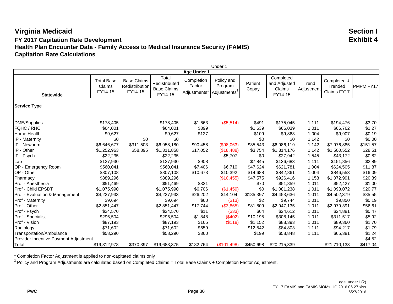Under 1 **Age Under 1 Statewide** Total Base Claims FY14-15 Base Claims **Redistribution** FY14-15 **Total** Redistributed Base Claims FY14-15 Completion Factor Adiustments<sup>1</sup> Policy and Program Adjustments<sup>2</sup> Patient Copay Completed and Adjusted Claims FY14-15 **Trend** Adjustment Completed & **Trended** Claims FY17 PMPM FY17 **Service Type** DME/Supplies \$178,405 \$178,405 \$1,663 (\$5,514) \$491 \$175,045 1.111 \$194,476 \$3.70 FQHC / RHC \$64,001 \$64,001 \$399 \$0 \$1,639 \$66,039 1.011 \$66,762 \$1.27 Home Health \$9,627 \$9,627 \$127 \$0 \$109 \$9,863 1.004 \$9,907 \$0.19 IP - Maternity \$0 \$0 \$0 \$0 \$0.00 \$0 \$0 1.142 \$0 \$0.00 IP - Newborn \$6,646,677 \$311,503 \$6,958,180 \$90,458 (\$98,063) \$35,543 \$6,986,119 1.142 \$7,976,885 \$151.57 IP - Other \$1,252,963 \$58,895 \$1,311,858 \$17,052 (\$18,488) \$3,754 \$1,314,176 1.142 \$1,500,552 \$28.51 IP - Psych \$22,235 \$22,235 \$5,707 \$0 \$27,942 1.545 \$43,172 \$0.82 Lab \$127,930 \$127,930 \$908 \$0 \$7,845 \$136,683 1.111 \$151,856 \$2.89 OP - Emergency Room \$560,041 \$560,041 \$7,406 \$6,710 \$47,624 \$621,781 1.004 \$624,505 \$11.87 OP - Other \$807,108 \$807,108 \$10,673 \$10,392 \$14,688 \$842,861 1.004 \$846,553 \$16.09 Pharmacy \$889,296 \$889,296 (\$10,455) \$47,575 \$926,416 1.158 \$1,072,991 \$20.39 Prof - Anesthesia \$51,469 \$51,469 \$321 \$70 \$51,859 1.011 \$52,427 \$1.00 Prof - Child EPSDT \$1,075,990 \$1,075,990 \$6,706 (\$1,459) \$0 \$1,081,238 1.011 \$1,093,072 \$20.77 Prof - Evaluation & Management \$4,227,933 \$4,227,933 \$26,202 \$14,104 \$185,397 \$4,453,636 1.011 \$4,502,379 \$85.55 Prof - Maternity \$9,694 \$9,694 \$60 (\$13) \$2 \$9,744 1.011 \$9,850 \$0.19 Prof - Other \$2,851,447 \$2,851,447 \$17,744 (\$3,865) \$81,809 \$2,947,135 1.011 \$2,979,391 \$56.61 Prof - Psych \$24,570 \$24,570 \$11 (\$33) \$64 \$24,612 1.011 \$24,881 \$0.47 Prof - Specialist \$296,504 \$296,504 \$1,848 (\$402) \$10,195 \$308,145 1.011 \$311,517 \$5.92 Prof - Vision \$87,193 \$87,193 \$165 (\$118) \$1,152 \$88,393 1.011 \$89,360 \$1.70 Radiology \$71,602 \$71,602 \$659 \$12,542 \$84,803 1.111 \$94,217 \$1.79 Transportation/Ambulance \$58,290 \$58,290 \$360 \$199 \$58,848 1.111 \$65,381 \$1.24 Provider Incentive Payment Adjustment \$4.52 Total \$19,312,978 \$370,397 \$19,683,375 \$182,764 (\$101,498) \$450,698 \$20,215,339 \$21,710,133 \$417.04

 $1$  Completion Factor Adjustment is applied to non-capitated claims only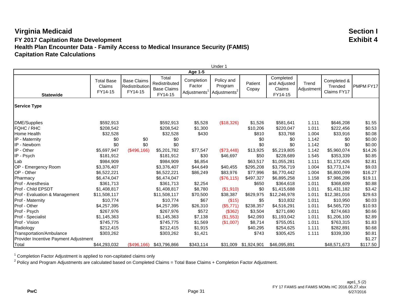Under 1 **Age 1-5 Statewide** Total Base Claims FY14-15 Base Claims **Redistribution** FY14-15 **Total** Redistributed Base Claims FY14-15 Completion Factor Adiustments<sup>1</sup> Policy and Program Adjustments<sup>2</sup> Patient Copay Completed and Adjusted Claims FY14-15 **Trend** Adjustment Completed & **Trended** Claims FY17 PMPM FY17 **Service Type** DME/Supplies \$592,913 \$592,913 \$5,528 (\$18,326) \$1,526 \$581,641 1.111 \$646,208 \$1.55 FQHC / RHC \$208,542 \$208,542 \$1,300 \$0 \$10,206 \$220,047 1.011 \$222,456 \$0.53 Home Health \$32,528 \$32,528 \$430 \$0 \$810 \$33,768 1.004 \$33,916 \$0.08 IP - Maternity \$0 \$0 \$0 \$0 \$0 \$0 \$0 1.142 \$0 \$0.00 IP - Newborn \$0 \$0 \$0 \$0 \$0 \$0 \$0 1.142 \$0 \$0.00 IP - Other \$5,697,947 (\$496,166) \$5,201,782 \$77,547 (\$73,448) \$13,925 \$5,219,805 1.142 \$5,960,074 \$14.26 IP - Psych \$181,912 \$181,912 \$30 \$46,697 \$50 \$228,689 1.545 \$353,339 \$0.85 Lab \$984,909 \$984,909 \$6,854 \$6,3517 \$1,055,281 1.111 \$1,172,426 \$2.81 OP - Emergency Room \$3,376,407 \$3,376,407 \$44,649 \$40,455 \$295,208 \$3,756,719 1.004 \$3,773,174 \$9.03 OP - Other \$6,522,221 \$6,522,221 \$86,249 \$83,976 \$77,996 \$6,770,442 1.004 \$6,800,099 \$16.27 Pharmacy \$6,474,047 \$6,474,047 \$0 (\$76,115) \$497,327 \$6,895,258 1.158 \$7,986,206 \$19.11 Prof - Anesthesia \$361,713 \$361,713 \$2,254 \$650 \$364,618 1.011 \$368,609 \$0.88 Prof - Child EPSDT \$1,408,817 \$1,408,817 \$8,780 (\$1,910) \$0 \$1,415,688 1.011 \$1,431,182 \$3.42 Prof - Evaluation & Management \$11,508,117 \$11,508,117 \$70,500 \$38,387 \$629,975 \$12,246,978 1.011 \$12,381,016 \$29.63 Prof - Maternity \$10,774 \$10,774 \$67 (\$15) \$5 \$10,832 1.011 \$10,950 \$0.03 Prof - Other \$4,257,395 \$4,257,395 \$26,310 (\$5,771) \$238,357 \$4,516,291 1.011 \$4,565,720 \$10.93 Prof - Psych \$267,976 \$267,976 \$572 (\$362) \$3,504 \$271,690 1.011 \$274,663 \$0.66 Prof - Specialist \$1,145,363 \$1,145,363 \$7,138 (\$1,553) \$42,093 \$1,193,042 1.011 \$1,206,100 \$2.89 Prof - Vision \$745,775 \$745,775 \$1,569 (\$1,007) \$8,714 \$755,051 1.011 \$763,315 \$1.83 Radiology \$212,415 \$212,415 \$1,915 \$40,295 \$254,625 1.111 \$282,891 \$0.68 Transportation/Ambulance \$303,262 \$303,262 \$1,421 \$1,421 \$305,425 1.111 \$339,330 \$0.81 Provider Incentive Payment Adjustment \$1.27 Total \$44,293,032 (\$496,166) \$43,796,866 \$343,114 \$31,009 \$1,924,901 \$46,095,891 \$48,571,673 \$117.50

 $1$  Completion Factor Adjustment is applied to non-capitated claims only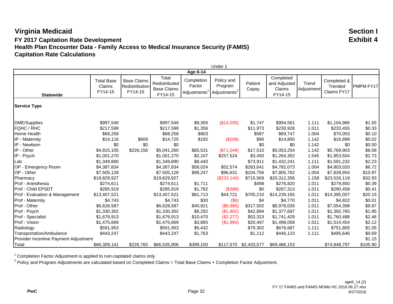Under 1 **Age 6-14 Statewide** Total Base Claims FY14-15 Base Claims **Redistribution** FY14-15 **Total** Redistributed Base Claims FY14-15 Completion Factor Adiustments<sup>1</sup> Policy and Program Adjustments<sup>2</sup> Patient Copay Completed and Adjusted Claims FY14-15 **Trend** Adjustment Completed & **Trended** Claims FY17 PMPM FY17 **Service Type** DME/Supplies \$997,549 \$997,549 \$9,300 (\$14,035) \$1,747 \$994,561 1.111 \$1,104,966 \$1.55 FQHC / RHC \$217,599 \$217,599 \$1,356 \$0 \$11,973 \$230,928 1.011 \$233,455 \$0.33 Home Health \$68,258 \$68,258 \$903 \$0 \$587 \$69,747 1.004 \$70,053 \$0.10 IP - Maternity \$14,116 \$609 \$14,725 \$192 (\$208) \$90 \$14,800 1.142 \$16,899 \$0.02 IP - Newborn \$0 \$0 \$0 \$0 \$0 \$0 \$0 1.142 \$0 \$0.00 IP - Other \$4,815,105 \$226,156 \$5,041,260 \$65,531 (\$71,048) \$17,510 \$5,053,254 1.142 \$5,769,903 \$8.08 IP - Psych \$1,001,270 \$1,001,270 \$2,107 \$257,524 \$3,450 \$1,264,352 1.545 \$1,953,504 \$2.73 Lab \$1,349,890 \$1,349,890 \$8,440 \$0 \$73,911 \$1,432,241 1.111 \$1,591,232 \$2.23 OP - Emergency Room \$4,387,834 \$4,387,834 \$58,024 \$52,574 \$283,641 \$4,782,073 1.004 \$4,803,020 \$6.72 OP - Other \$7,505,128 \$7,505,128 \$99,247 \$96,631 \$104,756 \$7,805,762 1.004 \$7,839,954 \$10.97 Pharmacy \$19,829,927 \$19,829,927 \$0 (\$233,140) \$715,569 \$20,312,356 1.158 \$23,526,119 \$32.93 Prof - Anesthesia \$274,611 \$274,611 \$1,711 \$0 \$498 \$276,820 1.011 \$279,850 \$0.39 Prof - Child EPSDT \$285,919 \$285,919 \$1,782 (\$388) \$0 \$287,313 1.011 \$290,458 \$0.41 Prof - Evaluation & Management \$13,407,521 \$13,407,521 \$81,713 \$44,721 \$705,210 \$14,239,165 1.011 \$14,395,007 \$20.15 Prof - Maternity \$4,743 \$4,743 \$30 (\$6) \$4 \$4,770 1.011 \$4,822 \$0.01 Prof - Other \$6,628,587 \$6,628,587 \$40,921 (\$8,985) \$317,502 \$6,978,026 1.011 \$7,054,398 \$9.87 Prof - Psych \$1,330,302 \$1,330,302 \$6,292 (\$1,801) \$42,894 \$1,377,687 1.011 \$1,392,765 \$1.95 Prof - Specialist \$1,679,913 \$1,679,913 \$10,470 (\$2,277) \$53,323 \$1,741,429 1.011 \$1,760,488 \$2.46 Prof - Vision \$1,475,669 \$1,475,669 \$3,885 (\$1,993) \$20,497 \$1,498,058 1.011 \$1,514,454 \$2.12 Radiology \$591,953 \$591,953 \$5,432 \$79,302 \$676,687 1.111 \$751,805 \$1.05 Transportation/Ambulance \$443,247 \$443,247 \$1,763 \$1,112 \$446,123 1.111 \$495,646 \$0.69 Provider Incentive Payment Adjustment \$1.15 Total \$66,309,141 \$226,765 \$66,535,906 \$399,100 \$117,570 \$2,433,577 \$69,486,153 \$74,848,797 \$105.90

 $1$  Completion Factor Adjustment is applied to non-capitated claims only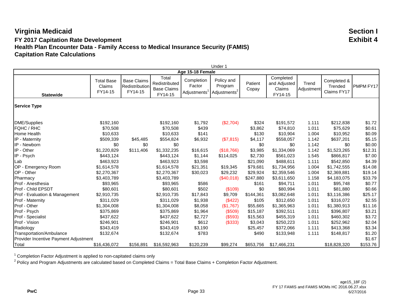Under 1 **Age 15-18 Female Statewide** Total Base Claims FY14-15 Base Claims **Redistribution** FY14-15 **Total** Redistributed Base Claims FY14-15 Completion Factor Adiustments<sup>1</sup> Policy and Program Adjustments<sup>2</sup> Patient Copay Completed and Adjusted Claims FY14-15 **Trend** Adjustment Completed & **Trended** Claims FY17 PMPM FY17 **Service Type** DME/Supplies \$192,160 \$192,160 \$1,792 (\$2,704) \$324 \$191,572 1.111 \$212,838 \$1.72 FQHC / RHC \$70,508 \$70,508 \$439 \$0 \$3,862 \$74,810 1.011 \$75,629 \$0.61 Home Health \$10,633 \$10,633 \$141 \$0 \$130 \$10,904 1.004 \$10,952 \$0.09 IP - Maternity \$509,339 \$45,485 \$554,824 \$6,932 (\$7,815) \$4,117 \$558,057 1.142 \$637,201 \$5.15 IP - Newborn \$0 \$0 \$0 \$0 \$0 \$0 \$0 1.142 \$0 \$0.00 IP - Other \$1,220,829 \$111,406 \$1,332,235 \$16,615 (\$18,766) \$3,985 \$1,334,069 1.142 \$1,523,265 \$12.31 IP - Psych \$443,124 \$443,124 \$1,144 \$114,025 \$2,730 \$561,023 1.545 \$866,817 \$7.00 Lab \$463,923 \$463,923 \$3,598 \$21,090 \$488,611 1.111 \$542,850 \$4.39 OP - Emergency Room \$1,614,578 \$1,614,578 \$21,351 \$19,345 \$79,681 \$1,734,956 1.004 \$1,742,555 \$14.08 OP - Other \$2,270,367 \$2,270,367 \$30,023 \$29,232 \$29,924 \$2,359,546 1.004 \$2,369,881 \$19.14 Pharmacy \$3,403,789 \$3,403,789 \$0 (\$40,018) \$247,880 \$3,611,650 1.158 \$4,183,075 \$33.79 Prof - Anesthesia \$93,965 \$93,965 \$586 \$161 \$94,711 1.011 \$95,748 \$0.77 Prof - Child EPSDT \$80,601 \$80,601 \$502 (\$109) \$0 \$80,994 1.011 \$81,880 \$0.66 Prof - Evaluation & Management \$2,910,735 \$2,910,735 \$17,843 \$9,709 \$144,361 \$3,082,648 1.011 \$3,116,386 \$25.17 Prof - Maternity \$311,029 \$311,029 \$1,938 (\$422) \$105 \$312,650 1.011 \$316,072 \$2.55 Prof - Other \$1,304,008 \$1,304,008 \$8,058 (\$1,767) \$55,665 \$1,365,963 1.011 \$1,380,913 \$11.16 Prof - Psych \$375,869 \$375,869 \$1,964 (\$509) \$15,187 \$392,511 1.011 \$396,807 \$3.21 Prof - Specialist \$437,622 \$437,622 \$2,727 (\$593) \$15,563 \$455,319 1.011 \$460,302 \$3.72 Prof - Vision \$246,901 \$246,901 \$612 (\$333) \$3,043 \$250,223 1.011 \$252,962 \$2.04 Radiology \$343,419 \$343,419 \$3,190 \$25,457 \$372,066 1.111 \$413,368 \$3.34 Transportation/Ambulance \$132,674 \$132,674 \$783 \$1490 \$133,948 1.111 \$148,817 \$1.20 Provider Incentive Payment Adjustment \$1.67 Total \$16,436,072 \$156,891 \$16,592,963 \$120,239 \$99,274 \$653,756 \$17,466,231 \$18,828,320 \$153.76

 $1$  Completion Factor Adjustment is applied to non-capitated claims only

 $2$  Policy and Program Adjustments are calculated based on Completed Claims = Total Base Claims + Completion Factor Adjustment.

**PwC** Page 33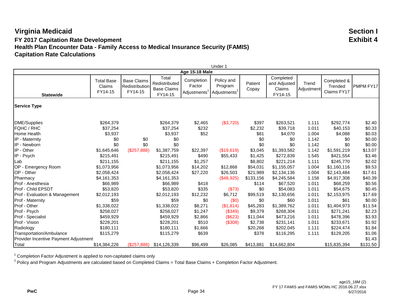|                                                                                                                                                                                                                                                                         | Under 1                                                                                                                                                                             |                                                 |                                                                                                                                                                                     |                                                                                                                       |                                                                                                         |                                                                                                                                                 |                                                                                                                                                                                     |                                                                                                                                     |                                                                                                                                                                                     |                                                                                                                                                        |
|-------------------------------------------------------------------------------------------------------------------------------------------------------------------------------------------------------------------------------------------------------------------------|-------------------------------------------------------------------------------------------------------------------------------------------------------------------------------------|-------------------------------------------------|-------------------------------------------------------------------------------------------------------------------------------------------------------------------------------------|-----------------------------------------------------------------------------------------------------------------------|---------------------------------------------------------------------------------------------------------|-------------------------------------------------------------------------------------------------------------------------------------------------|-------------------------------------------------------------------------------------------------------------------------------------------------------------------------------------|-------------------------------------------------------------------------------------------------------------------------------------|-------------------------------------------------------------------------------------------------------------------------------------------------------------------------------------|--------------------------------------------------------------------------------------------------------------------------------------------------------|
|                                                                                                                                                                                                                                                                         |                                                                                                                                                                                     |                                                 |                                                                                                                                                                                     | <b>Age 15-18 Male</b>                                                                                                 |                                                                                                         |                                                                                                                                                 |                                                                                                                                                                                     |                                                                                                                                     |                                                                                                                                                                                     |                                                                                                                                                        |
| <b>Statewide</b>                                                                                                                                                                                                                                                        | <b>Total Base</b><br>Claims<br>FY14-15                                                                                                                                              | <b>Base Claims</b><br>Redistribution<br>FY14-15 | Total<br>Redistributed<br><b>Base Claims</b><br>FY14-15                                                                                                                             | Completion<br>Factor<br>Adjustments'                                                                                  | Policy and<br>Program<br>Adjustments <sup>2</sup>                                                       | Patient<br>Copay                                                                                                                                | Completed<br>and Adjusted<br>Claims<br>FY14-15                                                                                                                                      | Trend<br>Adjustment                                                                                                                 | Completed &<br>Trended<br>Claims FY17                                                                                                                                               | PMPM FY17                                                                                                                                              |
| <b>Service Type</b>                                                                                                                                                                                                                                                     |                                                                                                                                                                                     |                                                 |                                                                                                                                                                                     |                                                                                                                       |                                                                                                         |                                                                                                                                                 |                                                                                                                                                                                     |                                                                                                                                     |                                                                                                                                                                                     |                                                                                                                                                        |
| <b>DME/Supplies</b><br>FQHC / RHC<br>Home Health<br>IP - Maternity<br>IP - Newborn<br>IP - Other<br>IP - Psych<br>Lab<br>OP - Emergency Room<br>OP - Other<br>Pharmacy<br>Prof - Anesthesia<br>Prof - Child EPSDT<br>Prof - Evaluation & Management<br>Prof - Maternity | \$264,379<br>\$37,254<br>\$3,937<br>\$0<br>\$0<br>\$1,645,646<br>\$215,491<br>\$211,155<br>\$1,073,956<br>\$2,058,424<br>\$4,161,353<br>\$66,989<br>\$53,820<br>\$2,012,193<br>\$59 | \$0<br>\$0<br>(\$257,888)                       | \$264,379<br>\$37,254<br>\$3,937<br>\$0<br>\$0<br>\$1,387,759<br>\$215,491<br>\$211,155<br>\$1,073,956<br>\$2,058,424<br>\$4,161,353<br>\$66,989<br>\$53,820<br>\$2,012,193<br>\$59 | \$2,465<br>\$232<br>\$52<br>\$22,397<br>\$490<br>\$1,257<br>\$14,202<br>\$27,220<br>\$418<br>\$335<br>\$12,232<br>\$0 | (\$3,720)<br>(\$19,619)<br>\$55,433<br>\$12,868<br>\$26,503<br>(\$48,925)<br>(\$73)<br>\$6,712<br>(\$0) | \$397<br>\$2,232<br>\$81<br>\$0<br>\$0<br>\$3,045<br>\$1,425<br>\$8,802<br>\$54,031<br>\$21,989<br>\$133,156<br>\$114<br>\$0<br>\$99,519<br>\$0 | \$263,521<br>\$39,718<br>\$4,070<br>\$0<br>\$0<br>\$1,393,582<br>\$272,839<br>\$221,214<br>\$1,155,057<br>\$2,134,136<br>\$4,245,584<br>\$67,520<br>\$54,083<br>\$2,130,656<br>\$60 | 1.111<br>1.011<br>1.004<br>1.142<br>1.142<br>1.142<br>1.545<br>1.111<br>1.004<br>1.004<br>1.158<br>1.011<br>1.011<br>1.011<br>1.011 | \$292,774<br>\$40,153<br>\$4,088<br>\$0<br>\$0<br>\$1,591,219<br>\$421,554<br>\$245,770<br>\$1,160,116<br>\$2,143,484<br>\$4,917,308<br>\$68,259<br>\$54,675<br>\$2,153,975<br>\$61 | \$2.40<br>\$0.33<br>\$0.03<br>\$0.00<br>\$0.00<br>\$13.07<br>\$3.46<br>\$2.02<br>\$9.53<br>\$17.61<br>\$40.39<br>\$0.56<br>\$0.45<br>\$17.69<br>\$0.00 |
| Prof - Other<br>Prof - Psych<br>Prof - Specialist<br>Prof - Vision<br>Radiology<br>Transportation/Ambulance<br>Provider Incentive Payment Adjustment                                                                                                                    | \$1,338,022<br>\$258,027<br>\$459,929<br>\$228,201<br>\$180,111<br>\$115,279                                                                                                        |                                                 | \$1,338,022<br>\$258,027<br>\$459,929<br>\$228,201<br>\$180,111<br>\$115,279                                                                                                        | \$8,271<br>\$1,247<br>\$2,866<br>\$510<br>\$1,666<br>\$639                                                            | (\$1,814)<br>(\$349)<br>(\$623)<br>(\$308)                                                              | \$45,283<br>\$9,379<br>\$11,044<br>\$2,738<br>\$20,268<br>\$378                                                                                 | \$1,389,762<br>\$268,304<br>\$473,216<br>\$231,141<br>\$202,045<br>\$116,295                                                                                                        | 1.011<br>1.011<br>1.011<br>1.011<br>1.111<br>1.111                                                                                  | \$1,404,973<br>\$271,241<br>\$478,396<br>\$233,671<br>\$224,474<br>\$129,205                                                                                                        | \$11.54<br>\$2.23<br>\$3.93<br>\$1.92<br>\$1.84<br>\$1.06<br>\$1.43                                                                                    |
| Total                                                                                                                                                                                                                                                                   | \$14,384,226                                                                                                                                                                        | (\$257,888)                                     | \$14,126,339                                                                                                                                                                        | \$96,499                                                                                                              | \$26,085                                                                                                | \$413,881                                                                                                                                       | \$14,662,804                                                                                                                                                                        |                                                                                                                                     | \$15,835,394                                                                                                                                                                        | \$131.50                                                                                                                                               |

 $1$  Completion Factor Adjustment is applied to non-capitated claims only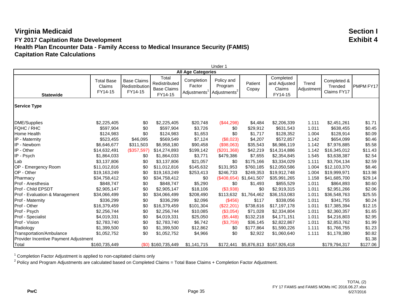Under 1 **All Age Categories Statewide** Total Base Claims FY14-15 Base Claims **Redistribution** FY14-15 **Total** Redistributed Base Claims FY14-15 Completion Factor Adiustments<sup>1</sup> Policy and Program Adjustments<sup>2</sup> Patient Copay Completed and Adjusted Claims FY14-15 **Trend** Adjustment Completed & **Trended** Claims FY17 PMPM FY17 **Service Type** DME/Supplies \$2,225,405 \$0 \$2,225,405 \$20,748 (\$44,298) \$4,484 \$2,206,339 1.111 \$2,451,261 \$1.71 FQHC / RHC \$597,904 \$0 \$597,904 \$3,726 \$0 \$29,912 \$631,543 1.011 \$638,455 \$0.45 Home Health \$124,983 \$0 \$124,983 \$1,653 \$0 \$1,717 \$128,352 1.004 \$128,914 \$0.09 IP - Maternity \$523,455 \$46,095 \$569,549 \$7,124 (\$8,023) \$4,207 \$572,857 1.142 \$654,099 \$0.46 IP - Newborn \$6,646,677 \$311,503 \$6,958,180 \$90,458 (\$98,063) \$35,543 \$6,986,119 1.142 \$7,976,885 \$5.58 IP - Other \$14,632,491 (\$357,597) \$14,274,893 \$199,142 (\$201,368) \$42,219 \$14,314,886 1.142 \$16,345,012 \$11.43 IP - Psych \$1,864,033 \$0 \$1,864,033 \$3,771 \$479,386 \$7,655 \$2,354,845 1.545 \$3,638,387 \$2.54 Lab \$3,137,806 \$0 \$3,137,806 \$21,057 \$0 \$175,166 \$3,334,029 1.111 \$3,704,134 \$2.59 OP - Emergency Room  $$11,012,816$   $$0$   $$11,012,816$   $$145,632$   $$131,953$   $$760,185$   $$12,050,586$   $1.004$   $$12,103,370$   $$8.46$ OP - Other \$19,163,249 \$0 \$19,163,249 \$253,413 \$246,733 \$249,353 \$19,912,748 1.004 \$19,999,971 \$13.98 Pharmacy 634,758,412 \$0 \$34,758,412 \$0 \$34,758,412 \$0 (\$408,654) \$1,641,507 \$35,991,265 1.158 \$41,685,700 \$29.14 Prof - Anesthesia \$848,747 \$0 \$848,747 \$5,290 \$0 \$1,493 \$855,529 1.011 \$864,893 \$0.60 Prof - Child EPSDT \$2,905,147 \$0 \$2,905,147 \$18,106 (\$3,938) \$0 \$2,919,315 1.011 \$2,951,266 \$2.06 Prof - Evaluation & Management \$34,066,499 \$0 \$34,066,499 \$208,490 \$113,632 \$1,764,462 \$36,153,083 1.011 \$36,548,763 \$25.55 Prof - Maternity \$336,299 \$0 \$336,299 \$2,096 (\$456) \$117 \$338,056 1.011 \$341,755 \$0.24 Prof - Other \$16,379,459 \$0 \$16,379,459 \$101,304 (\$22,201) \$738,616 \$17,197,178 1.011 \$17,385,394 \$12.15 Prof - Psych \$2,256,744 \$0 \$2,256,744 \$10,085 (\$3,054) \$71,028 \$2,334,804 1.011 \$2,360,357 \$1.65 Prof - Specialist \$4,019,331 \$0 \$4,019,331 \$25,050 (\$5,448) \$132,218 \$4,171,151 1.011 \$4,216,803 \$2.95 Prof - Vision \$2,783,740 \$0 \$2,783,740 \$6,742 (\$3,759) \$36,145 \$2,822,867 1.011 \$2,853,762 \$1.99 Radiology \$1,399,500 \$0 \$1,399,500 \$12,862 \$0 \$177,864 \$1,590,226 1.111 \$1,766,755 \$1.23 Transportation/Ambulance \$1,052,752 \$0 \$1,052,752 \$4,966 \$0 \$2,922 \$1,060,640 1.111 \$1,178,380 \$0.82 Provider Incentive Payment Adjustment \$1.38 Total \$160,735,449 (\$0) \$160,735,449 \$1,141,715 \$172,441 \$5,876,813 \$167,926,418 \$179,794,317 \$127.06

 $1$  Completion Factor Adjustment is applied to non-capitated claims only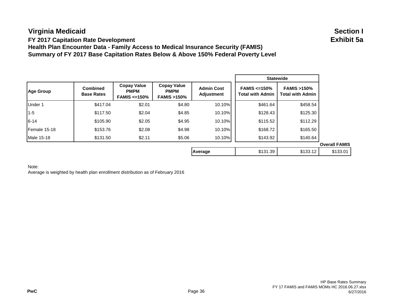#### **FY 2017 Capitation Rate Development Exhibit 5a Health Plan Encounter Data - Family Access to Medical Insurance Security (FAMIS) Summary of FY 2017 Base Capitation Rates Below & Above 150% Federal Poverty Level**

**Statewide Age Group Combined Base Rates Copay Value PMPM FAMIS <=150% Copay Value PMPM FAMIS >150% Admin Cost Adjustment FAMIS <=150% Total with Admin FAMIS >150% Total with Admin** Under 1 | \$417.04 \$2.01 \$4.80 10.10% | \$461.64 \$458.54 1-5 \$117.50 \$2.04 \$4.85 10.10% | \$128.43 \$125.30 6-14 \$105.90 \$2.05 \$4.95 10.10% \$115.52 \$112.29 Female 15-18 | \$153.76 \$2.08 \$4.98 10.10% | \$168.72 | \$165.50 Male 15-18 | \$131.50 \$2.11 \$5.06 10.10%| | \$143.92 | \$140.64 **Overall FAMIS Average** \$131.39 \$133.12 \$133.01

#### Note:

Average is weighted by health plan enrollment distribution as of February 2016

#### **PwC** Page 36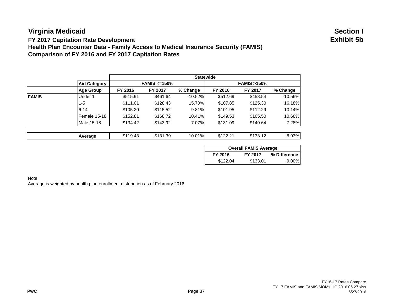#### **FY 2017 Capitation Rate Development Exhibit 5b Health Plan Encounter Data - Family Access to Medical Insurance Security (FAMIS) Comparison of FY 2016 and FY 2017 Capitation Rates**

|              | <b>Aid Category</b> | <b>Statewide</b>   |          |                       |          |          |           |
|--------------|---------------------|--------------------|----------|-----------------------|----------|----------|-----------|
|              |                     | FAMIS $\leq$ =150% |          | <b>FAMIS &gt;150%</b> |          |          |           |
|              | <b>Age Group</b>    | FY 2016            | FY 2017  | % Change              | FY 2016  | FY 2017  | % Change  |
| <b>FAMIS</b> | Under 1             | \$515.91           | \$461.64 | $-10.52\%$            | \$512.69 | \$458.54 | $-10.56%$ |
|              | $1 - 5$             | \$111.01           | \$128.43 | 15.70%I               | \$107.85 | \$125.30 | 16.18%    |
|              | $6 - 14$            | \$105.20           | \$115.52 | 9.81%                 | \$101.95 | \$112.29 | 10.14%    |
|              | Female 15-18        | \$152.81           | \$168.72 | $10.41\%$             | \$149.53 | \$165.50 | 10.68%    |
|              | Male 15-18          | \$134.42           | \$143.92 | 7.07%                 | \$131.09 | \$140.64 | 7.28%     |
|              |                     |                    |          |                       |          |          |           |
|              | Average             | \$119.43           | \$131.39 | 10.01%                | \$122.21 | \$133.12 | 8.93%     |

| <b>Overall FAMIS Average</b> |          |              |  |  |  |
|------------------------------|----------|--------------|--|--|--|
| FY 2016                      | FY 2017  | % Difference |  |  |  |
| \$122.04                     | \$133.01 | 9.00%        |  |  |  |

Note:

Average is weighted by health plan enrollment distribution as of February 2016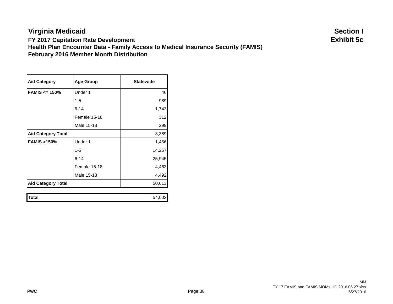#### **FY 2017 Capitation Rate Development Exhibit 5c Health Plan Encounter Data - Family Access to Medical Insurance Security (FAMIS) February 2016 Member Month Distribution**

| <b>Aid Category</b>                | <b>Age Group</b> | <b>Statewide</b> |
|------------------------------------|------------------|------------------|
| <b>FAMIS <math>\le</math> 150%</b> | Under 1          | 46               |
|                                    | $1 - 5$          | 989              |
|                                    | $6 - 14$         | 1,743            |
|                                    | Female 15-18     | 312              |
|                                    | Male 15-18       | 299              |
| <b>Aid Category Total</b>          | 3,389            |                  |
| <b>FAMIS &gt;150%</b>              | Under 1          | 1,456            |
|                                    | $1 - 5$          | 14,257           |
|                                    | $6 - 14$         | 25,945           |
|                                    | Female 15-18     | 4,463            |
|                                    | Male 15-18       | 4,492            |
| <b>Aid Category Total</b>          | 50,613           |                  |

| Total | 54,002 |
|-------|--------|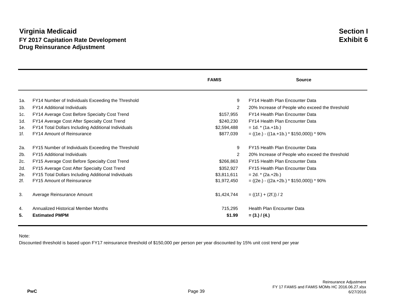### **Virginia Medicaid Section I FY 2017 Capitation Rate Development Exhibit 6 Drug Reinsurance Adjustment**

|     |                                                     | <b>FAMIS</b>   | <b>Source</b>                                   |
|-----|-----------------------------------------------------|----------------|-------------------------------------------------|
| 1a. | FY14 Number of Individuals Exceeding the Threshold  | 9              | FY14 Health Plan Encounter Data                 |
| 1b. | <b>FY14 Additional Individuals</b>                  | $\overline{2}$ | 20% Increase of People who exceed the threshold |
| 1c. | FY14 Average Cost Before Specialty Cost Trend       | \$157,955      | FY14 Health Plan Encounter Data                 |
| 1d. | FY14 Average Cost After Specialty Cost Trend        | \$240,230      | <b>FY14 Health Plan Encounter Data</b>          |
| 1e. | FY14 Total Dollars Including Additional Individuals | \$2,594,488    | $= 1d. * (1a.+1b.)$                             |
| 1f. | <b>FY14 Amount of Reinsurance</b>                   | \$877,039      | $= ((1e.) - ((1a.+1b.) * $150,000)) * 90\%$     |
| 2a. | FY15 Number of Individuals Exceeding the Threshold  | 9              | <b>FY15 Health Plan Encounter Data</b>          |
| 2b. | <b>FY15 Additional Individuals</b>                  | $\overline{2}$ | 20% Increase of People who exceed the threshold |
| 2c. | FY15 Average Cost Before Specialty Cost Trend       | \$266.863      | FY15 Health Plan Encounter Data                 |
| 2d. | FY15 Average Cost After Specialty Cost Trend        | \$352,927      | FY15 Health Plan Encounter Data                 |
| 2e. | FY15 Total Dollars Including Additional Individuals | \$3,811,611    | $= 2d. * (2a.+2b.)$                             |
| 2f. | <b>FY15 Amount of Reinsurance</b>                   | \$1,972,450    | $= ((2e.) - ((2a.+2b.) * $150,000)) * 90\%$     |
| 3.  | Average Reinsurance Amount                          | \$1,424,744    | $= ((1f.)+(2f.))/2$                             |
| 4.  | Annualized Historical Member Months                 | 715,295        | Health Plan Encounter Data                      |
| 5.  | <b>Estimated PMPM</b>                               | \$1.99         | $= (3.) / (4.)$                                 |

Note:

Discounted threshold is based upon FY17 reinsurance threshold of \$150,000 per person per year discounted by 15% unit cost trend per year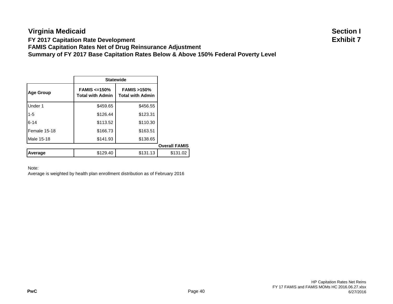### **Virginia Medicaid Section I FY 2017 Capitation Rate Development Exhibit 7 FAMIS Capitation Rates Net of Drug Reinsurance Adjustment Summary of FY 2017 Base Capitation Rates Below & Above 150% Federal Poverty Level**

|                  |                                                    | <b>Statewide</b>                                 |                      |  |  |  |
|------------------|----------------------------------------------------|--------------------------------------------------|----------------------|--|--|--|
| <b>Age Group</b> | <b>FAMIS &lt;= 150%</b><br><b>Total with Admin</b> | <b>FAMIS &gt;150%</b><br><b>Total with Admin</b> |                      |  |  |  |
| Under 1          | \$459.65                                           | \$456.55                                         |                      |  |  |  |
| $1 - 5$          | \$126.44                                           | \$123.31                                         |                      |  |  |  |
| $6 - 14$         | \$113.52                                           | \$110.30                                         |                      |  |  |  |
| Female 15-18     | \$166.73                                           | \$163.51                                         |                      |  |  |  |
| Male 15-18       | \$141.93                                           | \$138.65                                         |                      |  |  |  |
|                  |                                                    |                                                  | <b>Overall FAMIS</b> |  |  |  |
| Average          | \$129.40                                           | \$131.13                                         | \$131.02             |  |  |  |

Note:

Average is weighted by health plan enrollment distribution as of February 2016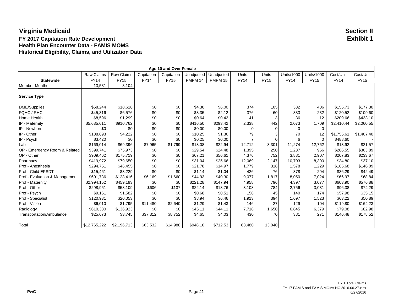#### **Virginia Medicaid Section II FY 2017 Capitation Rate Development Exhibit 1 Health Plan Encounter Data - FAMIS MOMS Historical Eligibility, Claims, and Utilization Data**

| Age 10 and Over Female         |                   |             |             |             |            |                |                |             |                   |                   |             |             |
|--------------------------------|-------------------|-------------|-------------|-------------|------------|----------------|----------------|-------------|-------------------|-------------------|-------------|-------------|
|                                | <b>Raw Claims</b> | Raw Claims  | Capitation  | Capitation  | Unadjusted | Unadjusted     | Units          | Units       | <b>Units/1000</b> | <b>Units/1000</b> | Cost/Unit   | Cost/Unit   |
| <b>Statewide</b>               | <b>FY14</b>       | <b>FY15</b> | <b>FY14</b> | <b>FY15</b> | PMPM 14    | <b>PMPM 15</b> | <b>FY14</b>    | <b>FY15</b> | <b>FY14</b>       | <b>FY15</b>       | <b>FY14</b> | <b>FY15</b> |
| <b>Member Months</b>           | 13,531            | 3,104       |             |             |            |                |                |             |                   |                   |             |             |
| <b>Service Type</b>            |                   |             |             |             |            |                |                |             |                   |                   |             |             |
| <b>DME/Supplies</b>            | \$58,244          | \$18,616    | \$0         | \$0         | \$4.30     | \$6.00         | 374            | 105         | 332               | 406               | \$155.73    | \$177.30    |
| FQHC / RHC                     | \$45,316          | \$6,576     | \$0         | \$0         | \$3.35     | \$2.12         | 376            | 60          | 333               | 232               | \$120.52    | \$109.60    |
| Home Health                    | \$8,596           | \$1,299     | \$0         | \$0         | \$0.64     | \$0.42         | 41             | 3           | 36                | 12                | \$209.66    | \$433.10    |
| IP - Maternity                 | \$5,635,611       | \$910,762   | \$0         | \$0         | \$416.50   | \$293.42       | 2,338          | 442         | 2,073             | 1,709             | \$2,410.44  | \$2,060.55  |
| IP - Newborn                   | \$0               | \$0         | \$0         | \$0         | \$0.00     | \$0.00         | 0              | 0           | $\Omega$          | 0                 |             |             |
| IP - Other                     | \$138,693         | \$4,222     | \$0         | \$0         | \$10.25    | \$1.36         | 79             | 3           | 70                | 12                | \$1,755.61  | \$1,407.40  |
| IP Psych                       | \$3,420           | \$0         | \$0         | \$0         | \$0.25     | \$0.00         | $\overline{7}$ | 0           | 6                 | 0                 | \$488.60    |             |
| Lab                            | \$169,014         | \$69,396    | \$7,965     | \$1,799     | \$13.08    | \$22.94        | 12,712         | 3,301       | 11,274            | 12,762            | \$13.92     | \$21.57     |
| OP - Emergency Room & Related  | \$399,741         | \$75,973    | \$0         | \$0         | \$29.54    | \$24.48        | 1,395          | 250         | 1,237             | 966               | \$286.55    | \$303.89    |
| OP - Other                     | \$909,462         | \$175,719   | \$0         | \$0         | \$67.21    | \$56.61        | 4,376          | 752         | 3,881             | 2,907             | \$207.83    | \$233.67    |
| Pharmacy                       | \$419,972         | \$79,650    | \$0         | \$0         | \$31.04    | \$25.66        | 12,069         | 2,147       | 10,703            | 8,300             | \$34.80     | \$37.10     |
| Prof - Anesthesia              | \$294,751         | \$46,455    | \$0         | \$0         | \$21.78    | \$14.97        | 1,779          | 318         | 1,578             | 1,229             | \$165.68    | \$146.09    |
| Prof - Child EPSDT             | \$15,461          | \$3,229     | \$0         | \$0         | \$1.14     | \$1.04         | 426            | 76          | 378               | 294               | \$36.29     | \$42.49     |
| Prof - Evaluation & Management | \$601,736         | \$123,416   | \$6,169     | \$1,660     | \$44.93    | \$40.30        | 9,077          | 1,817       | 8,050             | 7,024             | \$66.97     | \$68.84     |
| Prof - Maternity               | \$2,994,152       | \$459,193   | \$0         | \$0         | \$221.28   | \$147.94       | 4,958          | 796         | 4,397             | 3,077             | \$603.90    | \$576.88    |
| Prof - Other                   | \$298,951         | \$58,109    | \$606       | \$137       | \$22.14    | \$18.76        | 3,108          | 784         | 2,756             | 3,031             | \$96.38     | \$74.29     |
| Prof - Psych                   | \$9,161           | \$1,582     | \$0         | \$0         | \$0.68     | \$0.51         | 158            | 45          | 140               | 174               | \$57.98     | \$35.15     |
| Prof - Specialist              | \$120,931         | \$20,053    | \$0         | \$0         | \$8.94     | \$6.46         | 1,913          | 394         | 1,697             | 1,523             | \$63.22     | \$50.89     |
| Prof - Vision                  | \$6,010           | \$1.795     | \$11,480    | \$2,640     | \$1.29     | \$1.43         | 146            | 27          | 129               | 104               | \$119.80    | \$164.23    |
| Radiology                      | \$610,330         | \$136,923   | \$0         | \$0         | \$45.11    | \$44.11        | 7,718          | 1,650       | 6,845             | 6,379             | \$79.08     | \$82.98     |
| Transportation/Ambulance       | \$25,673          | \$3,745     | \$37,312    | \$8,752     | \$4.65     | \$4.03         | 430            | 70          | 381               | 271               | \$146.48    | \$178.52    |
| Total                          | \$12,765,222      | \$2,196,713 | \$63,532    | \$14,988    | \$948.10   | \$712.53       | 63,480         | 13,040      |                   |                   |             |             |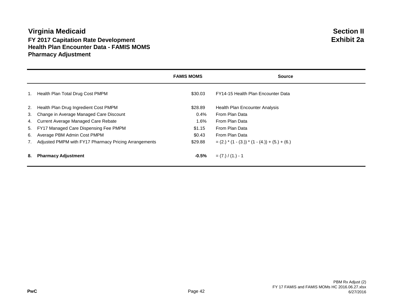## **Virginia Medicaid Section II FY 2017 Capitation Rate Development Exhibit 2a Health Plan Encounter Data - FAMIS MOMS Pharmacy Adjustment**

|    |                                                       | <b>FAMIS MOMS</b> | <b>Source</b>                                    |
|----|-------------------------------------------------------|-------------------|--------------------------------------------------|
| 1. | Health Plan Total Drug Cost PMPM                      | \$30.03           | FY14-15 Health Plan Encounter Data               |
| 2. | Health Plan Drug Ingredient Cost PMPM                 | \$28.89           | Health Plan Encounter Analysis                   |
| 3. | Change in Average Managed Care Discount               | 0.4%              | From Plan Data                                   |
| 4. | Current Average Managed Care Rebate                   | 1.6%              | From Plan Data                                   |
|    | 5. FY17 Managed Care Dispensing Fee PMPM              | \$1.15            | From Plan Data                                   |
| 6. | Average PBM Admin Cost PMPM                           | \$0.43            | From Plan Data                                   |
|    | Adjusted PMPM with FY17 Pharmacy Pricing Arrangements | \$29.88           | $= (2.) * (1 - (3.)) * (1 - (4.)) + (5.) + (6.)$ |
| 8. | <b>Pharmacy Adjustment</b>                            | $-0.5\%$          | $= (7.) / (1.) - 1$                              |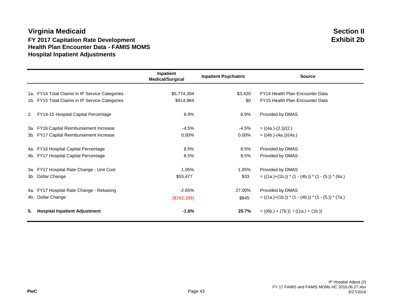### **Virginia Medicaid Section II FY 2017 Capitation Rate Development Exhibit 2b Health Plan Encounter Data - FAMIS MOMS Hospital Inpatient Adjustments**

|    |                                                | Inpatient<br><b>Medical/Surgical</b> | <b>Inpatient Psychiatric</b> | <b>Source</b>                                        |
|----|------------------------------------------------|--------------------------------------|------------------------------|------------------------------------------------------|
|    | 1a. FY14 Total Claims in IP Service Categories | \$5,774,304                          | \$3,420                      | FY14 Health Plan Encounter Data                      |
|    | 1b. FY15 Total Claims in IP Service Categories | \$914,984                            | \$0                          | FY15 Health Plan Encounter Data                      |
| 2. | FY14-15 Hospital Capital Percentage            | 8.9%                                 | 8.9%                         | Provided by DMAS                                     |
|    | 3a. FY16 Capital Reimbursement Increase        | $-4.5%$                              | $-4.5\%$                     | $= ((4a.)-(2.))/(2.)$                                |
|    | 3b. FY17 Capital Reimbursement Increase        | $0.00\%$                             | $0.00\%$                     | $= ((4b.)-(4a.))/(4a.)$                              |
|    | 4a. FY16 Hospital Capital Percentage           | 8.5%                                 | 8.5%                         | Provided by DMAS                                     |
|    | 4b. FY17 Hospital Capital Percentage           | 8.5%                                 | 8.5%                         | Provided by DMAS                                     |
|    | 3a. FY17 Hospital Rate Change - Unit Cost      | 1.05%                                | 1.05%                        | Provided by DMAS                                     |
|    | 3b. Dollar Change                              | \$55,477                             | \$33                         | $= ((1a.)+(1b.))* (1 - (4b.))* (1 - (5.))* (6a.))$   |
|    | 4a. FY17 Hospital Rate Change - Rebasing       | $-2.65%$                             | 27.00%                       | Provided by DMAS                                     |
|    | 4b. Dollar Change                              | (\$162, 199)                         | \$845                        | $= ((1a.)+(1b.)) * (1 - (4b.)) * (1 - (5.)) * (7a.)$ |
| 5. | <b>Hospital Inpatient Adjustment</b>           | $-1.6%$                              | 25.7%                        | $= ((6b.) + (7b.)) / ((1a.) + (1b.))$                |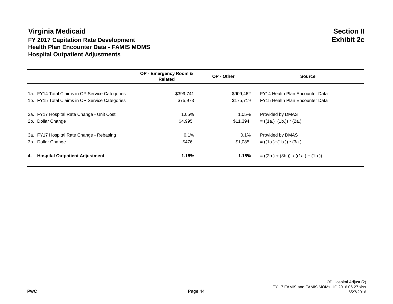### **Virginia Medicaid Section II FY 2017 Capitation Rate Development Exhibit 2c Health Plan Encounter Data - FAMIS MOMS Hospital Outpatient Adjustments**

|    |                                                | OP - Emergency Room &<br><b>Related</b> | OP - Other | <b>Source</b>                         |
|----|------------------------------------------------|-----------------------------------------|------------|---------------------------------------|
|    | 1a. FY14 Total Claims in OP Service Categories | \$399,741                               | \$909,462  | FY14 Health Plan Encounter Data       |
|    | 1b. FY15 Total Claims in OP Service Categories | \$75,973                                | \$175,719  | FY15 Health Plan Encounter Data       |
|    | 2a. FY17 Hospital Rate Change - Unit Cost      | 1.05%                                   | 1.05%      | Provided by DMAS                      |
|    | 2b. Dollar Change                              | \$4,995                                 | \$11,394   | $= ((1a.)+(1b.))$ * (2a.)             |
|    | 3a. FY17 Hospital Rate Change - Rebasing       | 0.1%                                    | 0.1%       | Provided by DMAS                      |
|    | 3b. Dollar Change                              | \$476                                   | \$1,085    | $= ((1a.)+(1b.))$ * (3a.)             |
| 4. | <b>Hospital Outpatient Adjustment</b>          | 1.15%                                   | 1.15%      | $= ((2b.) + (3b.)) / ((1a.) + (1b.))$ |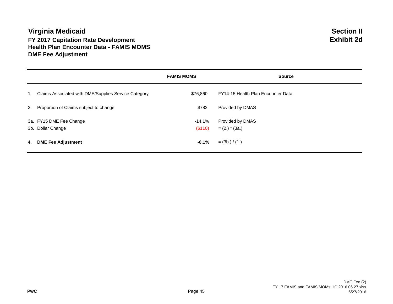## **Virginia Medicaid Section II FY 2017 Capitation Rate Development Exhibit 2d Health Plan Encounter Data - FAMIS MOMS DME Fee Adjustment**

|                                                         | <b>FAMIS MOMS</b> | <b>Source</b>                      |
|---------------------------------------------------------|-------------------|------------------------------------|
| 1. Claims Associated with DME/Supplies Service Category | \$76.860          | FY14-15 Health Plan Encounter Data |
| 2. Proportion of Claims subject to change               | \$782             | Provided by DMAS                   |
| 3a. FY15 DME Fee Change                                 | $-14.1%$          | Provided by DMAS                   |
| 3b. Dollar Change                                       | (\$110)           | $= (2.)$ * (3a.)                   |
| 4. DME Fee Adjustment                                   | $-0.1\%$          | $=$ (3b.) / (1.)                   |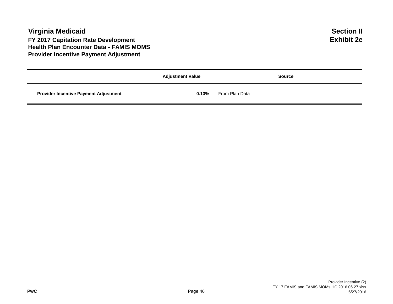|                                              | <b>Adjustment Value</b> | <b>Source</b>  |
|----------------------------------------------|-------------------------|----------------|
| <b>Provider Incentive Payment Adjustment</b> | 0.13%                   | From Plan Data |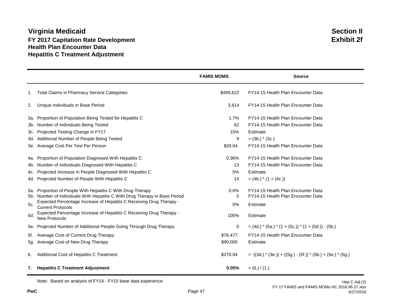# **Virginia Medicaid Section II FY 2017 Capitation Rate Development Exhibit 2f Health Plan Encounter Data Hepatitis C Treatment Adjustment**

|                   |                                                                                                                                                                                                                                                                                                                                                | <b>FAMIS MOMS</b>              | <b>Source</b>                                                                                                     |  |  |
|-------------------|------------------------------------------------------------------------------------------------------------------------------------------------------------------------------------------------------------------------------------------------------------------------------------------------------------------------------------------------|--------------------------------|-------------------------------------------------------------------------------------------------------------------|--|--|
| 1.                | Total Claims in Pharmacy Service Categories                                                                                                                                                                                                                                                                                                    | \$499,622                      | FY14-15 Health Plan Encounter Data                                                                                |  |  |
| 2.                | Unique Individuals in Base Period                                                                                                                                                                                                                                                                                                              | 3,614                          | FY14-15 Health Plan Encounter Data                                                                                |  |  |
|                   | 3a. Proportion of Population Being Tested for Hepatitis C<br>3b. Number of Individuals Being Tested                                                                                                                                                                                                                                            | 1.7%<br>62                     | FY14-15 Health Plan Encounter Data<br>FY14-15 Health Plan Encounter Data                                          |  |  |
|                   | 3c. Projected Testing Change in FY17<br>3d. Additional Number of People Being Tested<br>3e. Average Cost Per Test Per Person                                                                                                                                                                                                                   | 15%<br>9<br>\$29.04            | Estimate<br>$=$ (3b.) $*$ (3c.)<br>FY14-15 Health Plan Encounter Data                                             |  |  |
| 4а.<br>4b.<br>4c. | Proportion of Population Diagnosed With Hepatitis C<br>Number of Individuals Diagnosed With Hepatitis C<br>Projected Increase in People Diagnosed With Hepatitis C<br>4d. Projected Number of People With Hepatitis C                                                                                                                          | 0.36%<br>13<br>5%<br>14        | FY14-15 Health Plan Encounter Data<br>FY14-15 Health Plan Encounter Data<br>Estimate<br>$= (4b.)$ * $(1 + (4c.))$ |  |  |
| 5c.<br>5d.        | 5a. Proportion of People With Hepatitis C With Drug Therapy<br>5b. Number of Individuals With Hepatitis C With Drug Therapy in Base Period<br>Expected Percentage Increase of Hepatitis C Receiving Drug Therapy -<br><b>Current Protocols</b><br>Expected Percentage Increase of Hepatitis C Receiving Drug Therapy -<br><b>New Protocols</b> | 0.0%<br>$\Omega$<br>0%<br>100% | FY14-15 Health Plan Encounter Data<br>FY14-15 Health Plan Encounter Data<br>Estimate<br>Estimate                  |  |  |
| 5e.               | Projected Number of Additional People Going Through Drug Therapy                                                                                                                                                                                                                                                                               | 0                              | $=$ (4d.) $*(5a.) * (1 + (5c.)) * (1 + (5d.)) - (5b.)$                                                            |  |  |
| 5f.<br>5a.        | Average Cost of Current Drug Therapy<br>Average Cost of New Drug Therapy                                                                                                                                                                                                                                                                       | \$76,477<br>\$90,000           | FY14-15 Health Plan Encounter Data<br>Estimate                                                                    |  |  |
| 6.                | Additional Cost of Hepatitis C Treatment                                                                                                                                                                                                                                                                                                       | \$270.04                       | $= ((3d.) * (3e.)) + ((5g.) - (5f.)) * (5b.) + (5e.) * (5g.)$                                                     |  |  |
|                   | 7. Hepatitis C Treatment Adjustment                                                                                                                                                                                                                                                                                                            | 0.05%                          | $= (6.) / (1.)$                                                                                                   |  |  |

Note: Based on analysis of FY14 - FY15 base data experience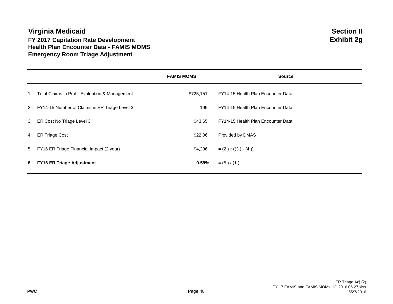# **Virginia Medicaid Section II FY 2017 Capitation Rate Development Health Plan Encounter Data - FAMIS MOMS Emergency Room Triage Adjustment**

|    |                                                 | <b>FAMIS MOMS</b> | <b>Source</b>                      |
|----|-------------------------------------------------|-------------------|------------------------------------|
| 1. | Total Claims in Prof - Evaluation & Management  | \$725,151         | FY14-15 Health Plan Encounter Data |
|    | 2 FY14-15 Number of Claims in ER Triage Level 3 | 199               | FY14-15 Health Plan Encounter Data |
|    | 3. ER Cost No Triage Level 3                    | \$43.65           | FY14-15 Health Plan Encounter Data |
| 4. | <b>ER Triage Cost</b>                           | \$22.06           | Provided by DMAS                   |
|    | 5. FY16 ER Triage Financial Impact (2 year)     | \$4,296           | $= (2.) * ((3.) - (4.)$            |
| 6. | <b>FY16 ER Triage Adjustment</b>                | 0.59%             | $= (5.) / (1.)$                    |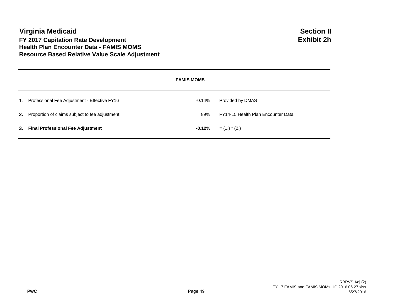|    |                                                          | <b>FAMIS MOMS</b> |                                    |  |  |  |  |
|----|----------------------------------------------------------|-------------------|------------------------------------|--|--|--|--|
| 1. | Professional Fee Adjustment - Effective FY16             | $-0.14\%$         | Provided by DMAS                   |  |  |  |  |
|    | <b>2.</b> Proportion of claims subject to fee adjustment | 89%               | FY14-15 Health Plan Encounter Data |  |  |  |  |
| 3. | <b>Final Professional Fee Adjustment</b>                 | $-0.12\%$         | $=$ (1.) $*$ (2.)                  |  |  |  |  |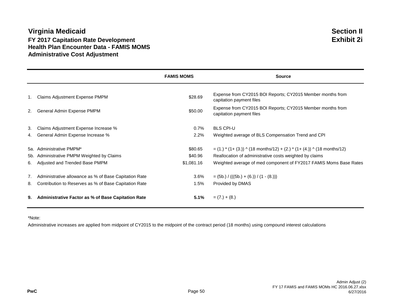# **Virginia Medicaid** Section II **FY 2017 Capitation Rate Development Exhibit 2i Health Plan Encounter Data - FAMIS MOMS Administrative Cost Adjustment**

|     |                                                           | <b>FAMIS MOMS</b> | <b>Source</b>                                                                          |
|-----|-----------------------------------------------------------|-------------------|----------------------------------------------------------------------------------------|
|     |                                                           |                   | Expense from CY2015 BOI Reports; CY2015 Member months from                             |
| 1.  | Claims Adjustment Expense PMPM                            | \$28.69           | capitation payment files                                                               |
| 2.  | General Admin Expense PMPM                                | \$50.00           | Expense from CY2015 BOI Reports; CY2015 Member months from<br>capitation payment files |
| З.  | Claims Adjustment Expense Increase %                      | 0.7%              | <b>BLS CPI-U</b>                                                                       |
| 4.  | General Admin Expense Increase %                          | 2.2%              | Weighted average of BLS Compensation Trend and CPI                                     |
|     | 5a. Administrative PMPM*                                  | \$80.65           | $=$ (1.) * (1+ (3.)) ^ (18 months/12) + (2.) * (1+ (4.)) ^ (18 months/12)              |
| 5b. | Administrative PMPM Weighted by Claims                    | \$40.96           | Reallocation of administrative costs weighted by claims                                |
| 6.  | Adjusted and Trended Base PMPM                            | \$1,081.16        | Weighted average of med component of FY2017 FAMIS Moms Base Rates                      |
| 7.  | Administrative allowance as % of Base Capitation Rate     | 3.6%              | $=$ (5b.) / (((5b.) + (6.)) / (1 - (8.)))                                              |
| 8.  | Contribution to Reserves as % of Base Capitation Rate     | 1.5%              | Provided by DMAS                                                                       |
| 9.  | <b>Administrative Factor as % of Base Capitation Rate</b> | 5.1%              | $= (7.) + (8.)$                                                                        |

\*Note:

Administrative increases are applied from midpoint of CY2015 to the midpoint of the contract period (18 months) using compound interest calculations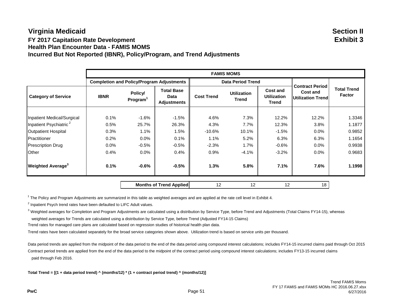# **Virginia Medicaid** Section II

#### **FY 2017 Capitation Rate Development Exhibit 3 Health Plan Encounter Data - FAMIS MOMS Incurred But Not Reported (IBNR), Policy/Program, and Trend Adjustments**

| <b>FAMIS MOMS</b>                                |                                 |                                                 |                          |                             |                                                |                                       |                                     |
|--------------------------------------------------|---------------------------------|-------------------------------------------------|--------------------------|-----------------------------|------------------------------------------------|---------------------------------------|-------------------------------------|
| <b>Completion and Policy/Program Adjustments</b> |                                 |                                                 | <b>Data Period Trend</b> |                             |                                                |                                       |                                     |
| <b>IBNR</b>                                      | Policy/<br>Program <sup>1</sup> | <b>Total Base</b><br>Data<br><b>Adjustments</b> | <b>Cost Trend</b>        | <b>Utilization</b><br>Trend | <b>Cost and</b><br><b>Utilization</b><br>Trend | Cost and<br><b>Utilization Trendl</b> | <b>Total Trend</b><br><b>Factor</b> |
|                                                  |                                 |                                                 |                          |                             |                                                |                                       |                                     |
| 0.1%                                             | $-1.6%$                         | $-1.5%$                                         | 4.6%                     | 7.3%                        | 12.2%                                          | 12.2%                                 | 1.3346                              |
| 0.5%                                             | 25.7%                           | 26.3%                                           | 4.3%                     | 7.7%                        | 12.3%                                          | 3.8%                                  | 1.1877                              |
| 0.3%                                             | 1.1%                            | 1.5%                                            | $-10.6%$                 | 10.1%                       | $-1.5%$                                        | 0.0%                                  | 0.9852                              |
| 0.2%                                             | $0.0\%$                         | 0.1%                                            | 1.1%                     | 5.2%                        | 6.3%                                           | 6.3%                                  | 1.1654                              |
| $0.0\%$                                          | $-0.5%$                         | $-0.5%$                                         | $-2.3%$                  | 1.7%                        | $-0.6%$                                        | 0.0%                                  | 0.9938                              |
| 0.4%                                             | $0.0\%$                         | 0.4%                                            | 0.9%                     | $-4.1%$                     | $-3.2%$                                        | 0.0%                                  | 0.9683                              |
| 0.1%                                             | $-0.6%$                         | $-0.5%$                                         | 1.3%                     | 5.8%                        | 7.1%                                           | 7.6%                                  | 1.1998                              |
|                                                  |                                 |                                                 |                          |                             |                                                |                                       | <b>Contract Period</b>              |

**Months of Trend Applied** 12 12 12 18

 $1$  The Policy and Program Adjustments are summarized in this table as weighted averages and are applied at the rate cell level in Exhibit 4.

 $2$  Inpatient Psych trend rates have been defaulted to LIFC Adult values.

 $3$  Weighted averages for Completion and Program Adjustments are calculated using a distribution by Service Type, before Trend and Adjustments (Total Claims FY14-15), whereas

weighted averages for Trends are calculated using a distribution by Service Type, before Trend (Adjusted FY14-15 Claims)

Trend rates for managed care plans are calculated based on regression studies of historical health plan data.

Trend rates have been calculated separately for the broad service categories shown above. Utilization trend is based on service units per thousand.

Data period trends are applied from the midpoint of the data period to the end of the data period using compound interest calculations; includes FY14-15 incurred claims paid through Oct 2015. Contract period trends are applied from the end of the data period to the midpoint of the contract period using compound interest calculations; includes FY13-15 incurred claims paid through Feb 2016.

**Total Trend = [(1 + data period trend) ^ (months/12) \* (1 + contract period trend) ^ (months/12)]**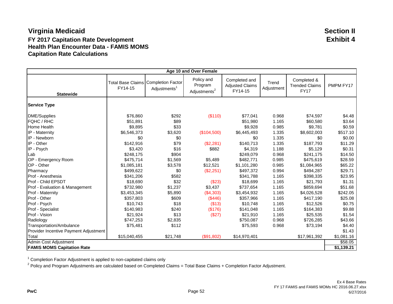#### **Virginia Medicaid** Section II **FY 2017 Capitation Rate Development Exhibit 4 Health Plan Encounter Data - FAMIS MOMS Capitation Rate Calculations**

| Age 10 and Over Female                          |              |                                                                 |                                                   |                                                    |                     |                                                     |            |
|-------------------------------------------------|--------------|-----------------------------------------------------------------|---------------------------------------------------|----------------------------------------------------|---------------------|-----------------------------------------------------|------------|
| <b>Statewide</b>                                | FY14-15      | Total Base Claims Completion Factor<br>Adjustments <sup>1</sup> | Policy and<br>Program<br>Adjustments <sup>2</sup> | Completed and<br><b>Adjusted Claims</b><br>FY14-15 | Trend<br>Adjustment | Completed &<br><b>Trended Claims</b><br><b>FY17</b> | PMPM FY17  |
|                                                 |              |                                                                 |                                                   |                                                    |                     |                                                     |            |
| <b>Service Type</b>                             |              |                                                                 |                                                   |                                                    |                     |                                                     |            |
| <b>DME/Supplies</b>                             | \$76,860     | \$292                                                           | (\$110)                                           | \$77,041                                           | 0.968               | \$74,597                                            | \$4.48     |
| FQHC / RHC                                      | \$51,891     | \$89                                                            |                                                   | \$51,980                                           | 1.165               | \$60,580                                            | \$3.64     |
| Home Health                                     | \$9,895      | \$33                                                            |                                                   | \$9,928                                            | 0.985               | \$9,781                                             | \$0.59     |
| IP - Maternity                                  | \$6,546,373  | \$3,620                                                         | (\$104,500)                                       | \$6,445,493                                        | 1.335               | \$8,602,003                                         | \$517.10   |
| IP - Newborn                                    | \$0          | \$0                                                             |                                                   | \$0                                                | 1.335               | \$0                                                 | \$0.00     |
| IP - Other                                      | \$142,916    | \$79                                                            | (\$2,281)                                         | \$140,713                                          | 1.335               | \$187,793                                           | \$11.29    |
| IP - Psych                                      | \$3,420      | \$16                                                            | \$882                                             | \$4,319                                            | 1.188               | \$5,129                                             | \$0.31     |
| Lab                                             | \$248,175    | \$904                                                           |                                                   | \$249,079                                          | 0.968               | \$241,175                                           | \$14.50    |
| OP - Emergency Room                             | \$475,714    | \$1,569                                                         | \$5,489                                           | \$482,771                                          | 0.985               | \$475,619                                           | \$28.59    |
| OP - Other                                      | \$1,085,181  | \$3,578                                                         | \$12,521                                          | \$1,101,280                                        | 0.985               | \$1,084,965                                         | \$65.22    |
| Pharmacy                                        | \$499,622    | \$0                                                             | (\$2,251)                                         | \$497,372                                          | 0.994               | \$494,287                                           | \$29.71    |
| Prof - Anesthesia                               | \$341,206    | \$582                                                           |                                                   | \$341,788                                          | 1.165               | \$398,335                                           | \$23.95    |
| Prof - Child EPSDT                              | \$18,690     | \$32                                                            | (\$23)                                            | \$18,699                                           | 1.165               | \$21,793                                            | \$1.31     |
| Prof - Evaluation & Management                  | \$732,980    | \$1,237                                                         | \$3,437                                           | \$737,654                                          | 1.165               | \$859,694                                           | \$51.68    |
| Prof - Maternity                                | \$3,453,345  | \$5,890                                                         | (\$4,303)                                         | \$3,454,932                                        | 1.165               | \$4,026,528                                         | \$242.05   |
| Prof - Other                                    | \$357,803    | \$609                                                           | (\$446)                                           | \$357,966                                          | 1.165               | \$417,190                                           | \$25.08    |
| Prof - Psych                                    | \$10,743     | \$18                                                            | (\$13)                                            | \$10.748                                           | 1.165               | \$12,526                                            | \$0.75     |
| Prof - Specialist                               | \$140,983    | \$240                                                           | (\$176)                                           | \$141,048                                          | 1.165               | \$164,383                                           | \$9.88     |
| Prof - Vision                                   | \$21,924     | \$13                                                            | (\$27)                                            | \$21,910                                           | 1.165               | \$25,535                                            | \$1.54     |
| Radiology                                       | \$747,253    | \$2,835                                                         |                                                   | \$750,087                                          | 0.968               | \$726,285                                           | \$43.66    |
| Transportation/Ambulance                        | \$75,481     | \$112                                                           |                                                   | \$75,593                                           | 0.968               | \$73,194                                            | \$4.40     |
| Provider Incentive Payment Adjustment           |              |                                                                 |                                                   |                                                    |                     |                                                     | \$1.43     |
| Total                                           | \$15,040,455 | \$21,748                                                        | (\$91,802)                                        | \$14,970,401                                       |                     | \$17,961,392                                        | \$1,081.16 |
| Admin Cost Adjustment                           |              |                                                                 |                                                   |                                                    |                     |                                                     | \$58.05    |
| \$1,139.21<br><b>FAMIS MOMS Capitation Rate</b> |              |                                                                 |                                                   |                                                    |                     |                                                     |            |

<sup>1</sup> Completion Factor Adjustment is applied to non-capitated claims only

 $^2$  Policy and Program Adjustments are calculated based on Completed Claims = Total Base Claims + Completion Factor Adjustment.